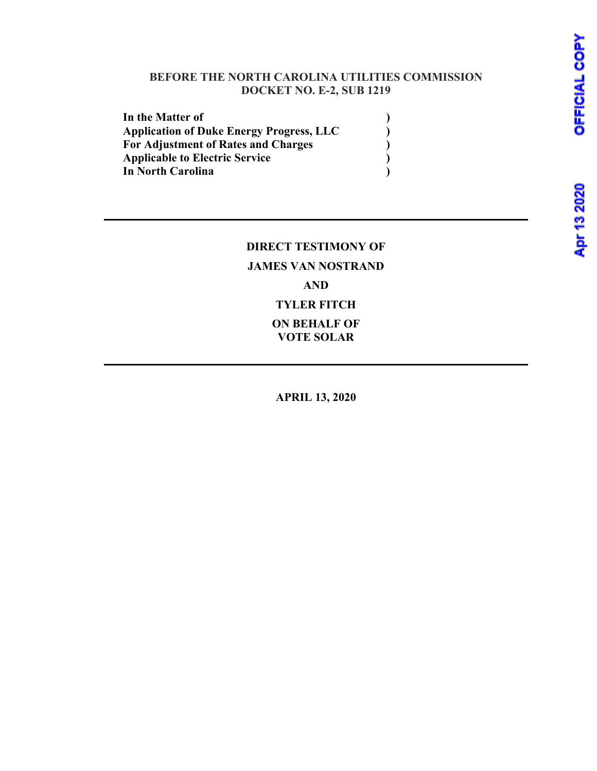#### **BEFORE THE NORTH CAROLINA UTILITIES COMMISSION DOCKET NO. E-2, SUB 1219**

| In the Matter of                                |  |
|-------------------------------------------------|--|
| <b>Application of Duke Energy Progress, LLC</b> |  |
| <b>For Adjustment of Rates and Charges</b>      |  |
| <b>Applicable to Electric Service</b>           |  |
| In North Carolina                               |  |

### **DIRECT TESTIMONY OF JAMES VAN NOSTRAND AND TYLER FITCH ON BEHALF OF VOTE SOLAR**

**APRIL 13, 2020**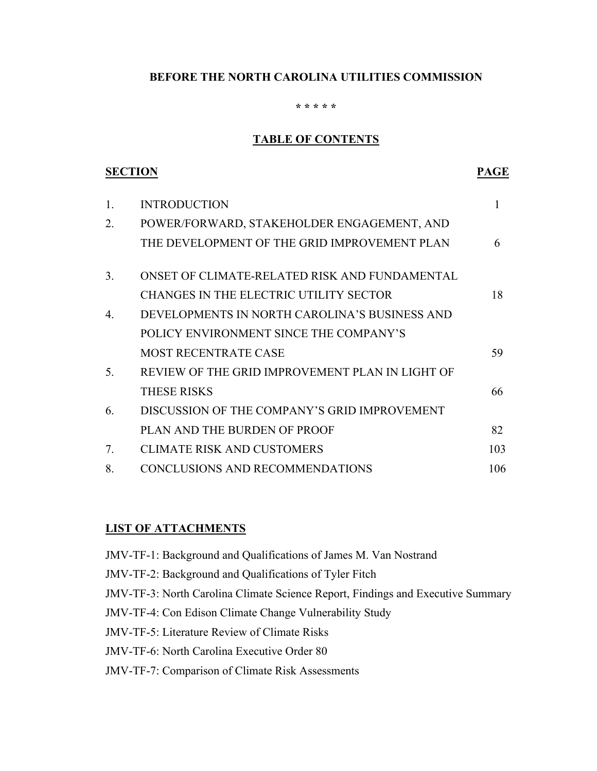### **BEFORE THE NORTH CAROLINA UTILITIES COMMISSION**

#### **\* \* \* \* \***

#### **TABLE OF CONTENTS**

| <b>SECTION</b> |                                                 | PAGE |
|----------------|-------------------------------------------------|------|
| 1.             | <b>INTRODUCTION</b>                             | 1    |
| 2.             | POWER/FORWARD, STAKEHOLDER ENGAGEMENT, AND      |      |
|                | THE DEVELOPMENT OF THE GRID IMPROVEMENT PLAN    | 6    |
| 3.             | ONSET OF CLIMATE-RELATED RISK AND FUNDAMENTAL   |      |
|                | <b>CHANGES IN THE ELECTRIC UTILITY SECTOR</b>   | 18   |
| 4              | DEVELOPMENTS IN NORTH CAROLINA'S BUSINESS AND   |      |
|                | POLICY ENVIRONMENT SINCE THE COMPANY'S          |      |
|                | <b>MOST RECENTRATE CASE</b>                     | 59   |
| 5.             | REVIEW OF THE GRID IMPROVEMENT PLAN IN LIGHT OF |      |
|                | <b>THESE RISKS</b>                              | 66   |
| 6              | DISCUSSION OF THE COMPANY'S GRID IMPROVEMENT    |      |
|                | PLAN AND THE BURDEN OF PROOF                    | 82   |
| 7.             | <b>CLIMATE RISK AND CUSTOMERS</b>               | 103  |
| 8.             | CONCLUSIONS AND RECOMMENDATIONS                 | 106  |

#### **LIST OF ATTACHMENTS**

| JMV-TF-1: Background and Qualifications of James M. Van Nostrand                       |
|----------------------------------------------------------------------------------------|
| JMV-TF-2: Background and Qualifications of Tyler Fitch                                 |
| <b>JMV-TF-3: North Carolina Climate Science Report, Findings and Executive Summary</b> |
| <b>JMV-TF-4: Con Edison Climate Change Vulnerability Study</b>                         |
| <b>JMV-TF-5: Literature Review of Climate Risks</b>                                    |
| <b>JMV-TF-6: North Carolina Executive Order 80</b>                                     |
| <b>JMV-TF-7: Comparison of Climate Risk Assessments</b>                                |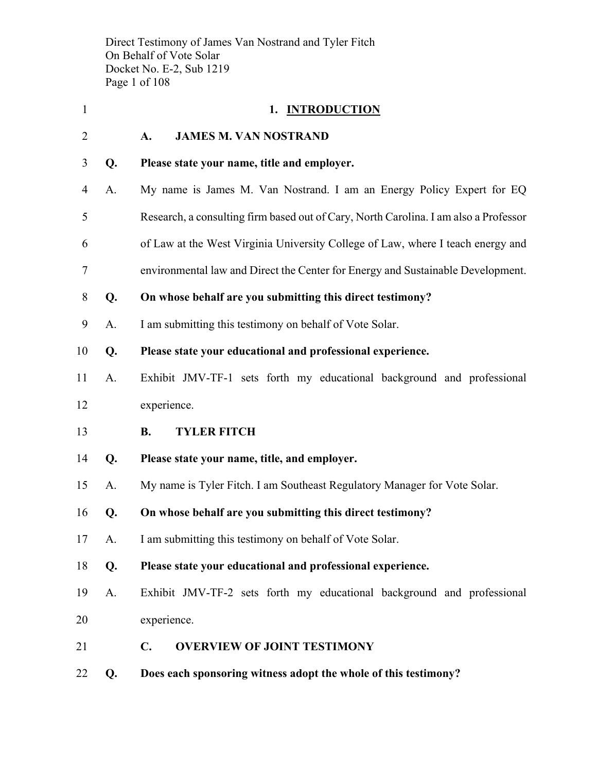Direct Testimony of James Van Nostrand and Tyler Fitch On Behalf of Vote Solar Docket No. E-2, Sub 1219 Page 1 of 108

| $\mathbf{1}$   |    | 1. INTRODUCTION                                                                      |
|----------------|----|--------------------------------------------------------------------------------------|
| $\overline{2}$ |    | <b>JAMES M. VAN NOSTRAND</b><br>A.                                                   |
| 3              | Q. | Please state your name, title and employer.                                          |
| $\overline{4}$ | A. | My name is James M. Van Nostrand. I am an Energy Policy Expert for EQ                |
| 5              |    | Research, a consulting firm based out of Cary, North Carolina. I am also a Professor |
| 6              |    | of Law at the West Virginia University College of Law, where I teach energy and      |
| 7              |    | environmental law and Direct the Center for Energy and Sustainable Development.      |
| 8              | Q. | On whose behalf are you submitting this direct testimony?                            |
| 9              | A. | I am submitting this testimony on behalf of Vote Solar.                              |
| 10             | Q. | Please state your educational and professional experience.                           |
| 11             | A. | Exhibit JMV-TF-1 sets forth my educational background and professional               |
| 12             |    | experience.                                                                          |
| 13             |    | <b>B.</b><br><b>TYLER FITCH</b>                                                      |
| 14             | Q. | Please state your name, title, and employer.                                         |
| 15             | A. | My name is Tyler Fitch. I am Southeast Regulatory Manager for Vote Solar.            |
| 16             | Q. | On whose behalf are you submitting this direct testimony?                            |
| 17             | A. | I am submitting this testimony on behalf of Vote Solar.                              |
| 18             | Q. | Please state your educational and professional experience.                           |
| 19             | A. | Exhibit JMV-TF-2 sets forth my educational background and professional               |
| 20             |    | experience.                                                                          |
| 21             |    | <b>OVERVIEW OF JOINT TESTIMONY</b><br>$\mathbf{C}$ .                                 |
| 22             | Q. | Does each sponsoring witness adopt the whole of this testimony?                      |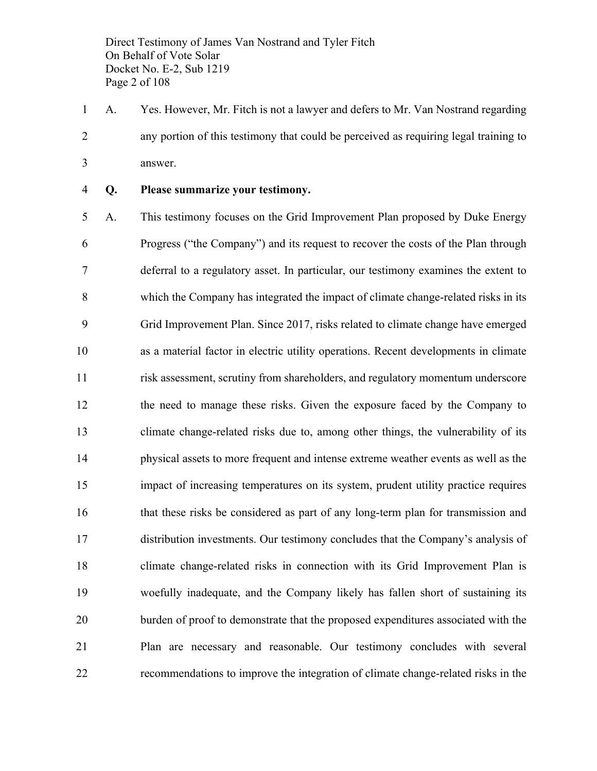Direct Testimony of James Van Nostrand and Tyler Fitch On Behalf of Vote Solar Docket No. E-2, Sub 1219 Page 2 of 108

 A. Yes. However, Mr. Fitch is not a lawyer and defers to Mr. Van Nostrand regarding any portion of this testimony that could be perceived as requiring legal training to answer.

#### **Q. Please summarize your testimony.**

 A. This testimony focuses on the Grid Improvement Plan proposed by Duke Energy Progress ("the Company") and its request to recover the costs of the Plan through deferral to a regulatory asset. In particular, our testimony examines the extent to which the Company has integrated the impact of climate change-related risks in its Grid Improvement Plan. Since 2017, risks related to climate change have emerged as a material factor in electric utility operations. Recent developments in climate risk assessment, scrutiny from shareholders, and regulatory momentum underscore the need to manage these risks. Given the exposure faced by the Company to climate change-related risks due to, among other things, the vulnerability of its physical assets to more frequent and intense extreme weather events as well as the impact of increasing temperatures on its system, prudent utility practice requires that these risks be considered as part of any long-term plan for transmission and distribution investments. Our testimony concludes that the Company's analysis of climate change-related risks in connection with its Grid Improvement Plan is woefully inadequate, and the Company likely has fallen short of sustaining its burden of proof to demonstrate that the proposed expenditures associated with the Plan are necessary and reasonable. Our testimony concludes with several recommendations to improve the integration of climate change-related risks in the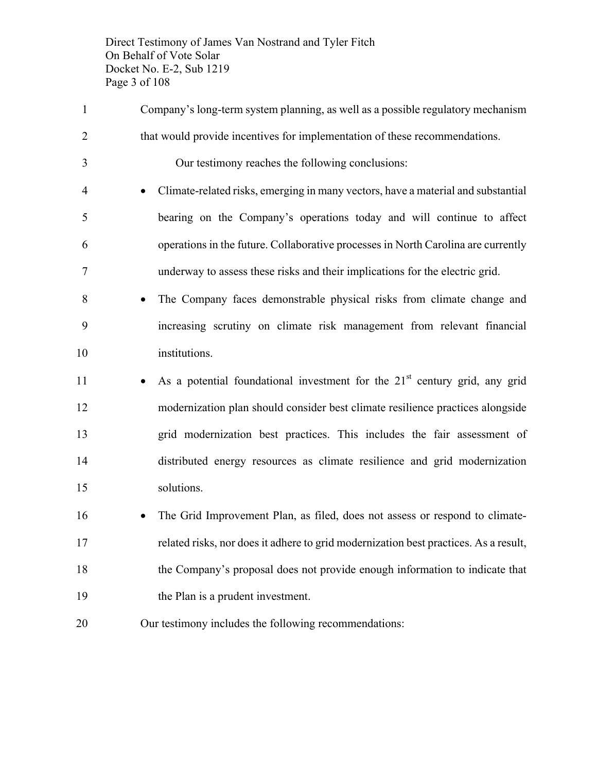Direct Testimony of James Van Nostrand and Tyler Fitch On Behalf of Vote Solar Docket No. E-2, Sub 1219 Page 3 of 108

- Company's long-term system planning, as well as a possible regulatory mechanism that would provide incentives for implementation of these recommendations. Our testimony reaches the following conclusions: • Climate-related risks, emerging in many vectors, have a material and substantial bearing on the Company's operations today and will continue to affect operations in the future. Collaborative processes in North Carolina are currently underway to assess these risks and their implications for the electric grid. • The Company faces demonstrable physical risks from climate change and
- increasing scrutiny on climate risk management from relevant financial institutions.
- $\bullet$  As a potential foundational investment for the 21<sup>st</sup> century grid, any grid modernization plan should consider best climate resilience practices alongside grid modernization best practices. This includes the fair assessment of distributed energy resources as climate resilience and grid modernization solutions.
- The Grid Improvement Plan, as filed, does not assess or respond to climate- related risks, nor does it adhere to grid modernization best practices. As a result, the Company's proposal does not provide enough information to indicate that the Plan is a prudent investment.
- Our testimony includes the following recommendations: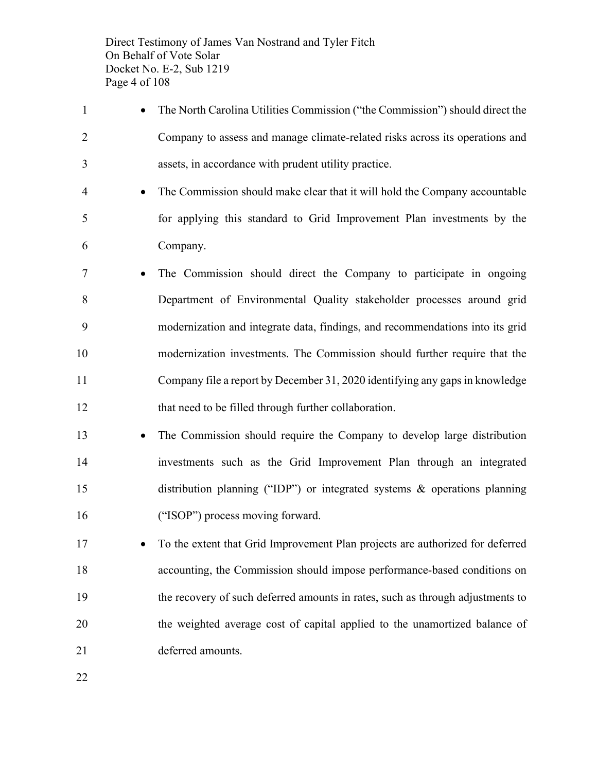Direct Testimony of James Van Nostrand and Tyler Fitch On Behalf of Vote Solar Docket No. E-2, Sub 1219 Page 4 of 108

- The North Carolina Utilities Commission ("the Commission") should direct the Company to assess and manage climate-related risks across its operations and assets, in accordance with prudent utility practice. • The Commission should make clear that it will hold the Company accountable for applying this standard to Grid Improvement Plan investments by the Company. • The Commission should direct the Company to participate in ongoing Department of Environmental Quality stakeholder processes around grid modernization and integrate data, findings, and recommendations into its grid modernization investments. The Commission should further require that the Company file a report by December 31, 2020 identifying any gaps in knowledge that need to be filled through further collaboration. • The Commission should require the Company to develop large distribution investments such as the Grid Improvement Plan through an integrated
- ("ISOP") process moving forward.
- To the extent that Grid Improvement Plan projects are authorized for deferred accounting, the Commission should impose performance-based conditions on the recovery of such deferred amounts in rates, such as through adjustments to the weighted average cost of capital applied to the unamortized balance of deferred amounts.

distribution planning ("IDP") or integrated systems & operations planning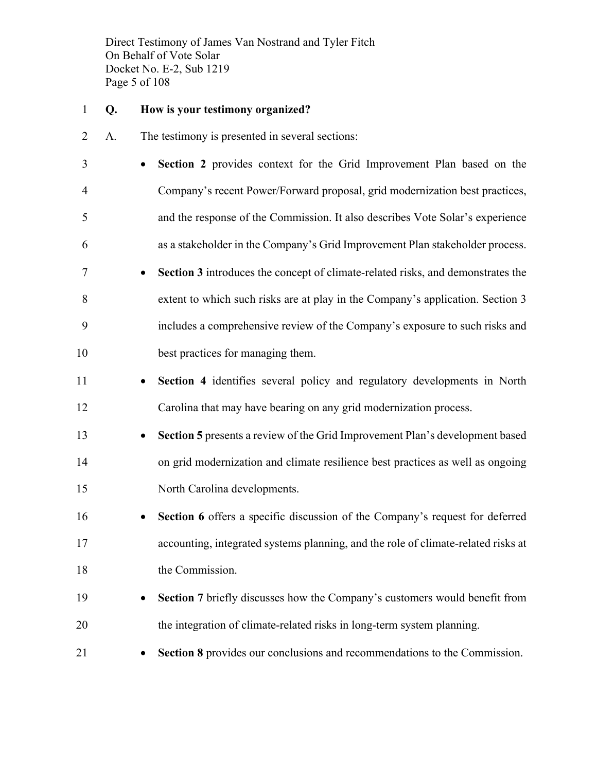Direct Testimony of James Van Nostrand and Tyler Fitch On Behalf of Vote Solar Docket No. E-2, Sub 1219 Page 5 of 108

#### **Q. How is your testimony organized?**

- A. The testimony is presented in several sections:
- **Section 2** provides context for the Grid Improvement Plan based on the Company's recent Power/Forward proposal, grid modernization best practices, and the response of the Commission. It also describes Vote Solar's experience as a stakeholder in the Company's Grid Improvement Plan stakeholder process.
- **Section 3** introduces the concept of climate-related risks, and demonstrates the extent to which such risks are at play in the Company's application. Section 3 includes a comprehensive review of the Company's exposure to such risks and best practices for managing them.
- **Section 4** identifies several policy and regulatory developments in North Carolina that may have bearing on any grid modernization process.
- **Section 5** presents a review of the Grid Improvement Plan's development based on grid modernization and climate resilience best practices as well as ongoing North Carolina developments.
- **Section 6** offers a specific discussion of the Company's request for deferred accounting, integrated systems planning, and the role of climate-related risks at 18 the Commission.
- **Section** 7 briefly discusses how the Company's customers would benefit from the integration of climate-related risks in long-term system planning.
- **Section 8** provides our conclusions and recommendations to the Commission.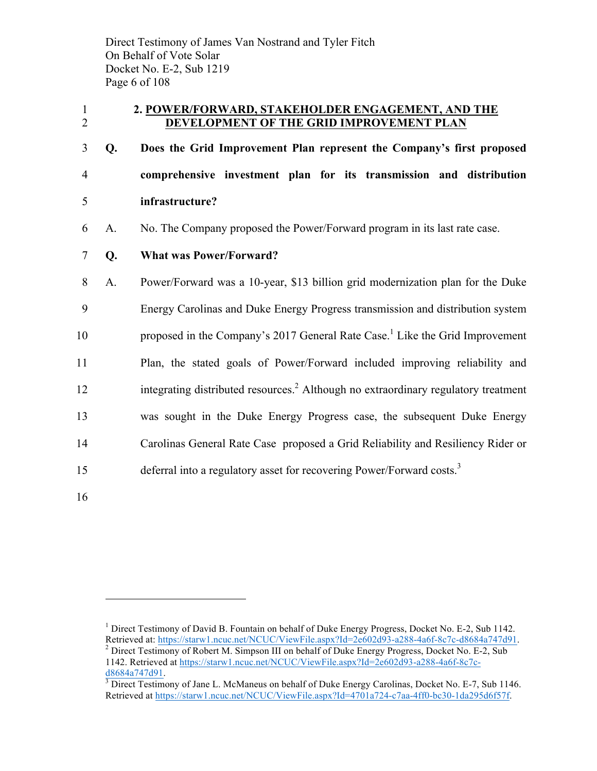Direct Testimony of James Van Nostrand and Tyler Fitch On Behalf of Vote Solar Docket No. E-2, Sub 1219 Page 6 of 108

#### 1 **2. POWER/FORWARD, STAKEHOLDER ENGAGEMENT, AND THE**  2 **DEVELOPMENT OF THE GRID IMPROVEMENT PLAN**

3 **Q. Does the Grid Improvement Plan represent the Company's first proposed**  4 **comprehensive investment plan for its transmission and distribution**  5 **infrastructure?**

- 6 A. No. The Company proposed the Power/Forward program in its last rate case.
- 7 **Q. What was Power/Forward?**

 A. Power/Forward was a 10-year, \$13 billion grid modernization plan for the Duke Energy Carolinas and Duke Energy Progress transmission and distribution system 10 proposed in the Company's 2017 General Rate Case.<sup>1</sup> Like the Grid Improvement Plan, the stated goals of Power/Forward included improving reliability and 12 integrating distributed resources.<sup>2</sup> Although no extraordinary regulatory treatment was sought in the Duke Energy Progress case, the subsequent Duke Energy Carolinas General Rate Case proposed a Grid Reliability and Resiliency Rider or 15 deferral into a regulatory asset for recovering Power/Forward costs.<sup>3</sup>

16

<sup>&</sup>lt;sup>1</sup> Direct Testimony of David B. Fountain on behalf of Duke Energy Progress, Docket No. E-2, Sub 1142. Retrieved at: https://starw1.ncuc.net/NCUC/ViewFile.aspx?Id=2e602d93-a288-4a6f-8c7c-d8684a747d91.<br><sup>2</sup> Direct Testimony of Robert M. Simpson III on behalf of Duke Energy Progress, Docket No. E-2, Sub 1142. Retrieved at https://starw1.ncuc.net/NCUC/ViewFile.aspx?Id=2e602d93-a288-4a6f-8c7cd8684a747d91.<br><sup>3</sup> Direct Testimony of Jane L. McManeus on behalf of Duke Energy Carolinas, Docket No. E-7, Sub 1146.

Retrieved at https://starw1.ncuc.net/NCUC/ViewFile.aspx?Id=4701a724-c7aa-4ff0-bc30-1da295d6f57f.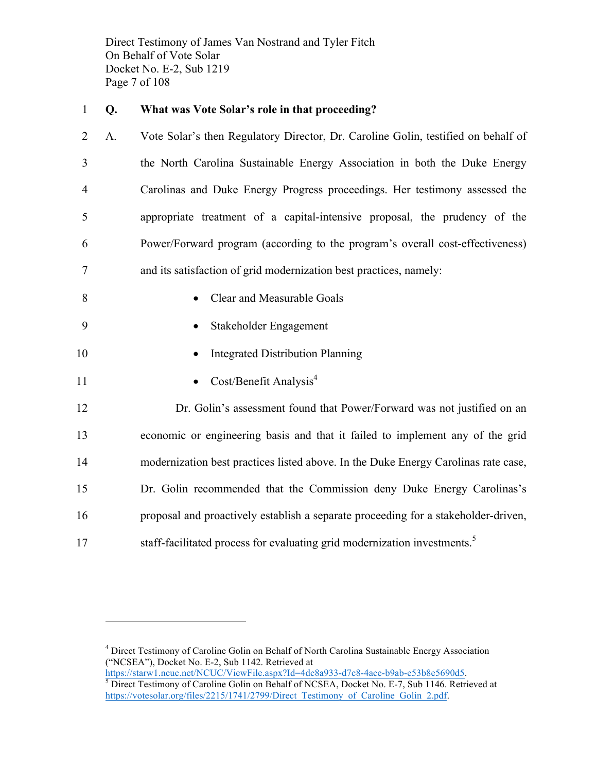Direct Testimony of James Van Nostrand and Tyler Fitch On Behalf of Vote Solar Docket No. E-2, Sub 1219 Page 7 of 108

#### 1 **Q. What was Vote Solar's role in that proceeding?**

 A. Vote Solar's then Regulatory Director, Dr. Caroline Golin, testified on behalf of the North Carolina Sustainable Energy Association in both the Duke Energy Carolinas and Duke Energy Progress proceedings. Her testimony assessed the appropriate treatment of a capital-intensive proposal, the prudency of the Power/Forward program (according to the program's overall cost-effectiveness) and its satisfaction of grid modernization best practices, namely:

- 8 Clear and Measurable Goals
- 9 Stakeholder Engagement
- 10 Integrated Distribution Planning
- 11 Cost/Benefit Analysis<sup>4</sup>

 $\overline{a}$ 

 Dr. Golin's assessment found that Power/Forward was not justified on an economic or engineering basis and that it failed to implement any of the grid modernization best practices listed above. In the Duke Energy Carolinas rate case, Dr. Golin recommended that the Commission deny Duke Energy Carolinas's proposal and proactively establish a separate proceeding for a stakeholder-driven, 17 staff-facilitated process for evaluating grid modernization investments.<sup>5</sup>

<sup>&</sup>lt;sup>4</sup> Direct Testimony of Caroline Golin on Behalf of North Carolina Sustainable Energy Association ("NCSEA"), Docket No. E-2, Sub 1142. Retrieved at<br>https://starw1.ncuc.net/NCUC/ViewFile.aspx?Id=4dc8a933-d7c8-4ace-b9ab-e53b8e5690d5.

 $\frac{1}{5}$  Direct Testimony of Caroline Golin on Behalf of NCSEA, Docket No. E-7, Sub 1146. Retrieved at https://votesolar.org/files/2215/1741/2799/Direct\_Testimony\_of\_Caroline\_Golin\_2.pdf.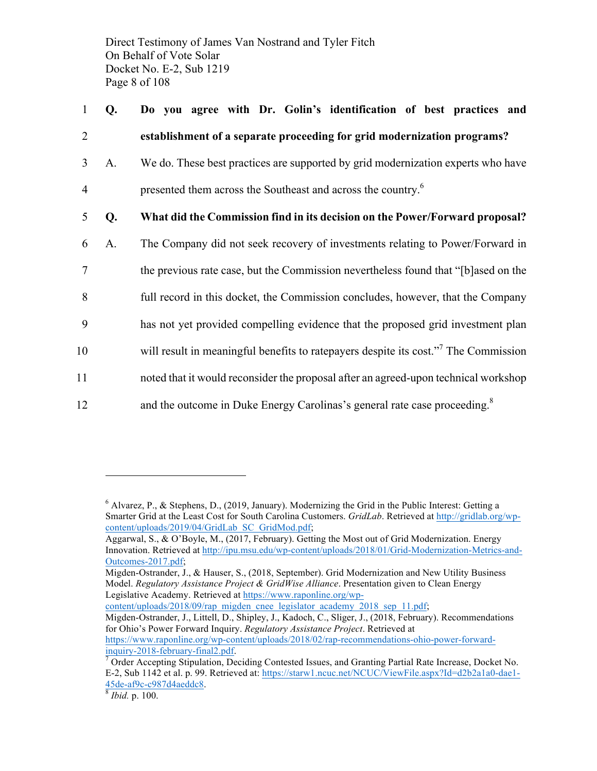Direct Testimony of James Van Nostrand and Tyler Fitch On Behalf of Vote Solar Docket No. E-2, Sub 1219 Page 8 of 108

# 1 **Q. Do you agree with Dr. Golin's identification of best practices and**  2 **establishment of a separate proceeding for grid modernization programs?** 3 A. We do. These best practices are supported by grid modernization experts who have 4 **presented them across the Southeast and across the country.**<sup>6</sup> 5 **Q. What did the Commission find in its decision on the Power/Forward proposal?**  6 A. The Company did not seek recovery of investments relating to Power/Forward in 7 the previous rate case, but the Commission nevertheless found that "[b]ased on the 8 full record in this docket, the Commission concludes, however, that the Company 9 has not yet provided compelling evidence that the proposed grid investment plan 10 will result in meaningful benefits to rate payers despite its cost."<sup>7</sup> The Commission 11 noted that it would reconsider the proposal after an agreed-upon technical workshop 12 and the outcome in Duke Energy Carolinas's general rate case proceeding.<sup>8</sup>

<sup>6</sup> Alvarez, P., & Stephens, D., (2019, January). Modernizing the Grid in the Public Interest: Getting a Smarter Grid at the Least Cost for South Carolina Customers. *GridLab*. Retrieved at http://gridlab.org/wpcontent/uploads/2019/04/GridLab\_SC\_GridMod.pdf;

Aggarwal, S., & O'Boyle, M., (2017, February). Getting the Most out of Grid Modernization. Energy Innovation. Retrieved at http://ipu.msu.edu/wp-content/uploads/2018/01/Grid-Modernization-Metrics-and-Outcomes-2017.pdf;

Migden-Ostrander, J., & Hauser, S., (2018, September). Grid Modernization and New Utility Business Model. *Regulatory Assistance Project & GridWise Alliance*. Presentation given to Clean Energy Legislative Academy. Retrieved at https://www.raponline.org/wp-

content/uploads/2018/09/rap\_migden\_cnee\_legislator\_academy\_2018\_sep\_11.pdf;

Migden-Ostrander, J., Littell, D., Shipley, J., Kadoch, C., Sliger, J., (2018, February). Recommendations for Ohio's Power Forward Inquiry. *Regulatory Assistance Project*. Retrieved at https://www.raponline.org/wp-content/uploads/2018/02/rap-recommendations-ohio-power-forward-

 $\frac{\text{inquiry}-2018\text{-} \text{february-final2.pdf}}{2}$  Order Accepting Stipulation, Deciding Contested Issues, and Granting Partial Rate Increase, Docket No. E-2, Sub 1142 et al. p. 99. Retrieved at: https://starw1.ncuc.net/NCUC/ViewFile.aspx?Id=d2b2a1a0-dae1- 45de-af9c-c987d4aeddc8. 8 *Ibid.* p. 100.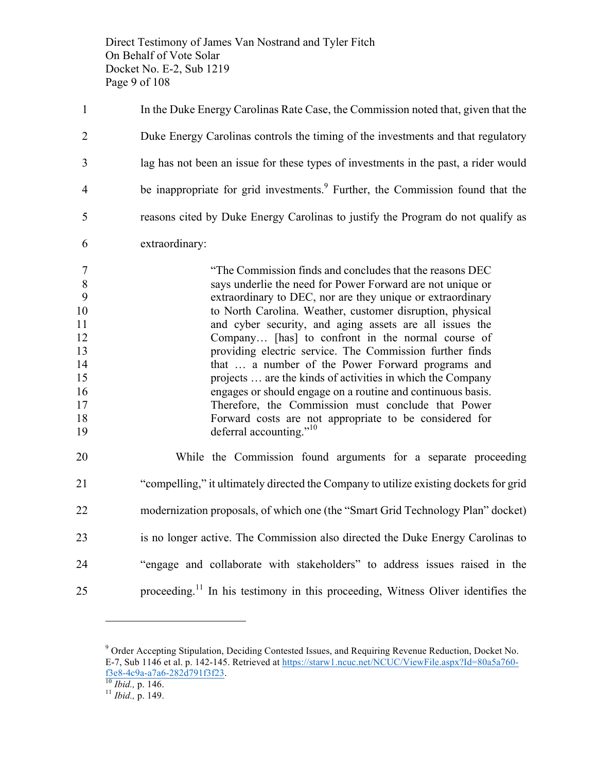Direct Testimony of James Van Nostrand and Tyler Fitch On Behalf of Vote Solar Docket No. E-2, Sub 1219 Page 9 of 108

| $\mathbf{1}$                                                                  | In the Duke Energy Carolinas Rate Case, the Commission noted that, given that the                                                                                                                                                                                                                                                                                                                                                                                                                                                                                                                                                                                                                                                                            |
|-------------------------------------------------------------------------------|--------------------------------------------------------------------------------------------------------------------------------------------------------------------------------------------------------------------------------------------------------------------------------------------------------------------------------------------------------------------------------------------------------------------------------------------------------------------------------------------------------------------------------------------------------------------------------------------------------------------------------------------------------------------------------------------------------------------------------------------------------------|
| 2                                                                             | Duke Energy Carolinas controls the timing of the investments and that regulatory                                                                                                                                                                                                                                                                                                                                                                                                                                                                                                                                                                                                                                                                             |
| 3                                                                             | lag has not been an issue for these types of investments in the past, a rider would                                                                                                                                                                                                                                                                                                                                                                                                                                                                                                                                                                                                                                                                          |
| 4                                                                             | be inappropriate for grid investments. <sup>9</sup> Further, the Commission found that the                                                                                                                                                                                                                                                                                                                                                                                                                                                                                                                                                                                                                                                                   |
| 5                                                                             | reasons cited by Duke Energy Carolinas to justify the Program do not qualify as                                                                                                                                                                                                                                                                                                                                                                                                                                                                                                                                                                                                                                                                              |
| 6                                                                             | extraordinary:                                                                                                                                                                                                                                                                                                                                                                                                                                                                                                                                                                                                                                                                                                                                               |
| 7<br>$\,8\,$<br>9<br>10<br>11<br>12<br>13<br>14<br>15<br>16<br>17<br>18<br>19 | "The Commission finds and concludes that the reasons DEC<br>says underlie the need for Power Forward are not unique or<br>extraordinary to DEC, nor are they unique or extraordinary<br>to North Carolina. Weather, customer disruption, physical<br>and cyber security, and aging assets are all issues the<br>Company [has] to confront in the normal course of<br>providing electric service. The Commission further finds<br>that  a number of the Power Forward programs and<br>projects  are the kinds of activities in which the Company<br>engages or should engage on a routine and continuous basis.<br>Therefore, the Commission must conclude that Power<br>Forward costs are not appropriate to be considered for<br>deferral accounting." $10$ |
| 20                                                                            | While the Commission found arguments for a separate proceeding                                                                                                                                                                                                                                                                                                                                                                                                                                                                                                                                                                                                                                                                                               |
| 21                                                                            | "compelling," it ultimately directed the Company to utilize existing dockets for grid                                                                                                                                                                                                                                                                                                                                                                                                                                                                                                                                                                                                                                                                        |
| 22                                                                            | modernization proposals, of which one (the "Smart Grid Technology Plan" docket)                                                                                                                                                                                                                                                                                                                                                                                                                                                                                                                                                                                                                                                                              |
| 23                                                                            | is no longer active. The Commission also directed the Duke Energy Carolinas to                                                                                                                                                                                                                                                                                                                                                                                                                                                                                                                                                                                                                                                                               |
| 24                                                                            | "engage and collaborate with stakeholders" to address issues raised in the                                                                                                                                                                                                                                                                                                                                                                                                                                                                                                                                                                                                                                                                                   |
| 25                                                                            | proceeding. <sup>11</sup> In his testimony in this proceeding, Witness Oliver identifies the                                                                                                                                                                                                                                                                                                                                                                                                                                                                                                                                                                                                                                                                 |

 Order Accepting Stipulation, Deciding Contested Issues, and Requiring Revenue Reduction, Docket No. E-7, Sub 1146 et al. p. 142-145. Retrieved at https://starw1.ncuc.net/NCUC/ViewFile.aspx?Id=80a5a760 f3e8-4c9a-a7a6-282d791f3f23. <sup>10</sup> *Ibid.,* p. 146. <sup>11</sup> *Ibid.,* p. 149.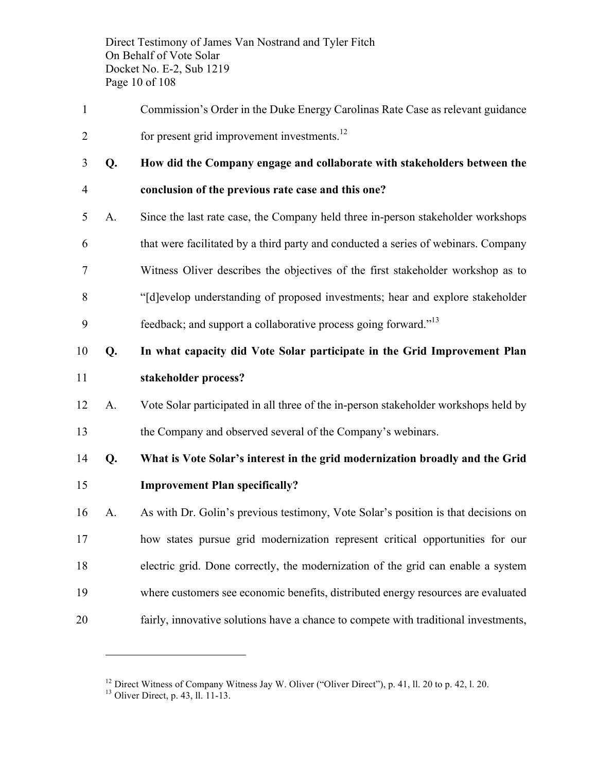Direct Testimony of James Van Nostrand and Tyler Fitch On Behalf of Vote Solar Docket No. E-2, Sub 1219 Page 10 of 108

- Commission's Order in the Duke Energy Carolinas Rate Case as relevant guidance 2 for present grid improvement investments. $^{12}$
- 
- **Q. How did the Company engage and collaborate with stakeholders between the conclusion of the previous rate case and this one?**
- A. Since the last rate case, the Company held three in-person stakeholder workshops that were facilitated by a third party and conducted a series of webinars. Company Witness Oliver describes the objectives of the first stakeholder workshop as to "[d]evelop understanding of proposed investments; hear and explore stakeholder
- 9 feedback; and support a collaborative process going forward."<sup>13</sup>
- **Q. In what capacity did Vote Solar participate in the Grid Improvement Plan stakeholder process?**
- A. Vote Solar participated in all three of the in-person stakeholder workshops held by the Company and observed several of the Company's webinars.
- **Q. What is Vote Solar's interest in the grid modernization broadly and the Grid Improvement Plan specifically?**
- A. As with Dr. Golin's previous testimony, Vote Solar's position is that decisions on how states pursue grid modernization represent critical opportunities for our electric grid. Done correctly, the modernization of the grid can enable a system where customers see economic benefits, distributed energy resources are evaluated fairly, innovative solutions have a chance to compete with traditional investments,

Direct Witness of Company Witness Jay W. Oliver ("Oliver Direct"), p. 41, ll. 20 to p. 42, l. 20.  $13$  Oliver Direct, p. 43, ll. 11-13.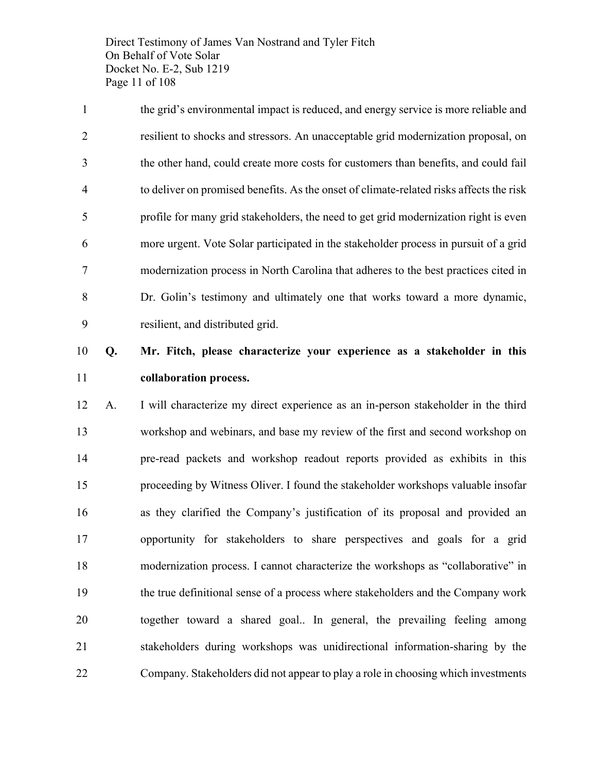Direct Testimony of James Van Nostrand and Tyler Fitch On Behalf of Vote Solar Docket No. E-2, Sub 1219 Page 11 of 108

 the grid's environmental impact is reduced, and energy service is more reliable and resilient to shocks and stressors. An unacceptable grid modernization proposal, on the other hand, could create more costs for customers than benefits, and could fail to deliver on promised benefits. As the onset of climate-related risks affects the risk profile for many grid stakeholders, the need to get grid modernization right is even more urgent. Vote Solar participated in the stakeholder process in pursuit of a grid modernization process in North Carolina that adheres to the best practices cited in Dr. Golin's testimony and ultimately one that works toward a more dynamic, resilient, and distributed grid.

## **Q. Mr. Fitch, please characterize your experience as a stakeholder in this collaboration process.**

 A. I will characterize my direct experience as an in-person stakeholder in the third workshop and webinars, and base my review of the first and second workshop on pre-read packets and workshop readout reports provided as exhibits in this proceeding by Witness Oliver. I found the stakeholder workshops valuable insofar as they clarified the Company's justification of its proposal and provided an opportunity for stakeholders to share perspectives and goals for a grid modernization process. I cannot characterize the workshops as "collaborative" in the true definitional sense of a process where stakeholders and the Company work together toward a shared goal.. In general, the prevailing feeling among stakeholders during workshops was unidirectional information-sharing by the Company. Stakeholders did not appear to play a role in choosing which investments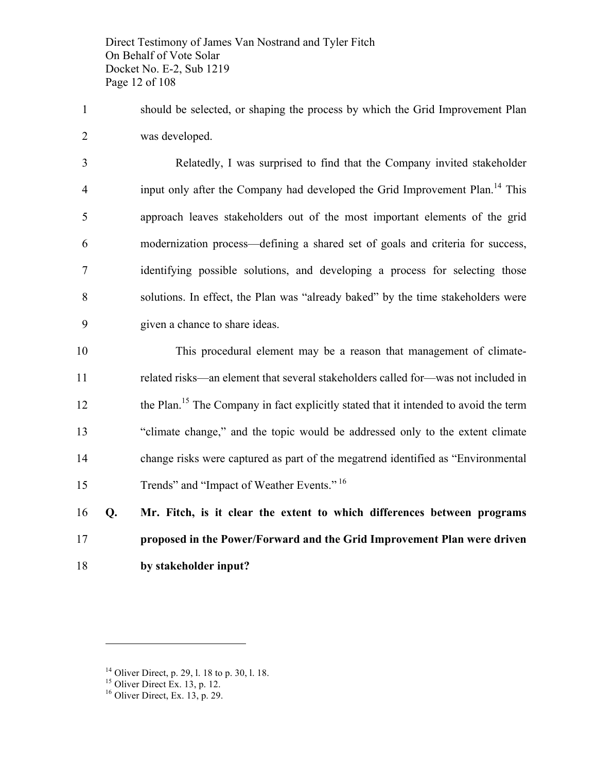Direct Testimony of James Van Nostrand and Tyler Fitch On Behalf of Vote Solar Docket No. E-2, Sub 1219 Page 12 of 108

 should be selected, or shaping the process by which the Grid Improvement Plan was developed.

 Relatedly, I was surprised to find that the Company invited stakeholder 4 input only after the Company had developed the Grid Improvement Plan.<sup>14</sup> This approach leaves stakeholders out of the most important elements of the grid modernization process—defining a shared set of goals and criteria for success, identifying possible solutions, and developing a process for selecting those solutions. In effect, the Plan was "already baked" by the time stakeholders were given a chance to share ideas.

 This procedural element may be a reason that management of climate- related risks—an element that several stakeholders called for—was not included in 12 the Plan.<sup>15</sup> The Company in fact explicitly stated that it intended to avoid the term "climate change," and the topic would be addressed only to the extent climate change risks were captured as part of the megatrend identified as "Environmental 15 Trends" and "Impact of Weather Events." <sup>16</sup>

 **Q. Mr. Fitch, is it clear the extent to which differences between programs proposed in the Power/Forward and the Grid Improvement Plan were driven by stakeholder input?**

<sup>&</sup>lt;sup>14</sup> Oliver Direct, p. 29, l. 18 to p. 30, l. 18.<br><sup>15</sup> Oliver Direct Ex. 13, p. 12.<br><sup>16</sup> Oliver Direct, Ex. 13, p. 29.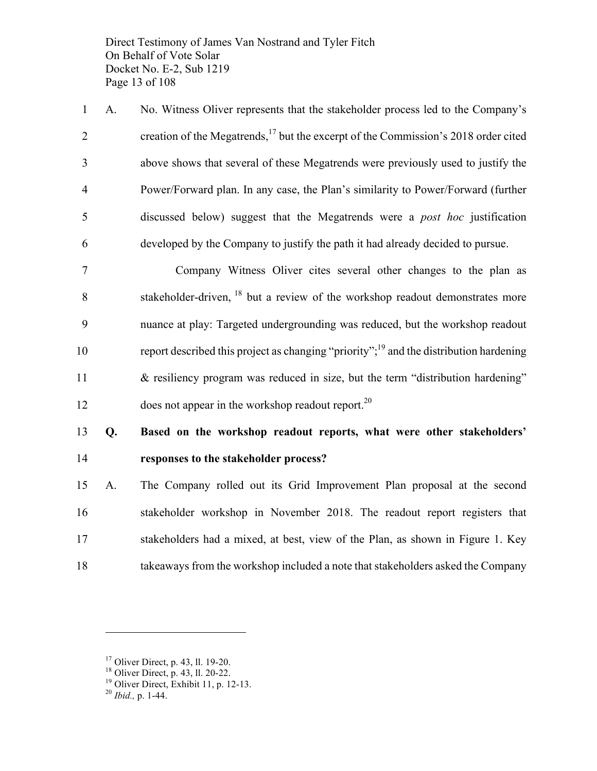Direct Testimony of James Van Nostrand and Tyler Fitch On Behalf of Vote Solar Docket No. E-2, Sub 1219 Page 13 of 108

 A. No. Witness Oliver represents that the stakeholder process led to the Company's 2 creation of the Megatrends,<sup>17</sup> but the excerpt of the Commission's 2018 order cited above shows that several of these Megatrends were previously used to justify the Power/Forward plan. In any case, the Plan's similarity to Power/Forward (further discussed below) suggest that the Megatrends were a *post hoc* justification developed by the Company to justify the path it had already decided to pursue.

 Company Witness Oliver cites several other changes to the plan as  $\delta$  stakeholder-driven,  $^{18}$  but a review of the workshop readout demonstrates more nuance at play: Targeted undergrounding was reduced, but the workshop readout 10 report described this project as changing "priority";<sup>19</sup> and the distribution hardening & resiliency program was reduced in size, but the term "distribution hardening" does not appear in the workshop readout report.<sup>20</sup>

 **Q. Based on the workshop readout reports, what were other stakeholders' responses to the stakeholder process?**

 A. The Company rolled out its Grid Improvement Plan proposal at the second stakeholder workshop in November 2018. The readout report registers that stakeholders had a mixed, at best, view of the Plan, as shown in Figure 1. Key takeaways from the workshop included a note that stakeholders asked the Company

<sup>&</sup>lt;sup>17</sup> Oliver Direct, p. 43, ll. 19-20.<br><sup>18</sup> Oliver Direct, p. 43, ll. 20-22.<br><sup>19</sup> Oliver Direct, Exhibit 11, p. 12-13.<br><sup>20</sup> *Ibid.*, p. 1-44.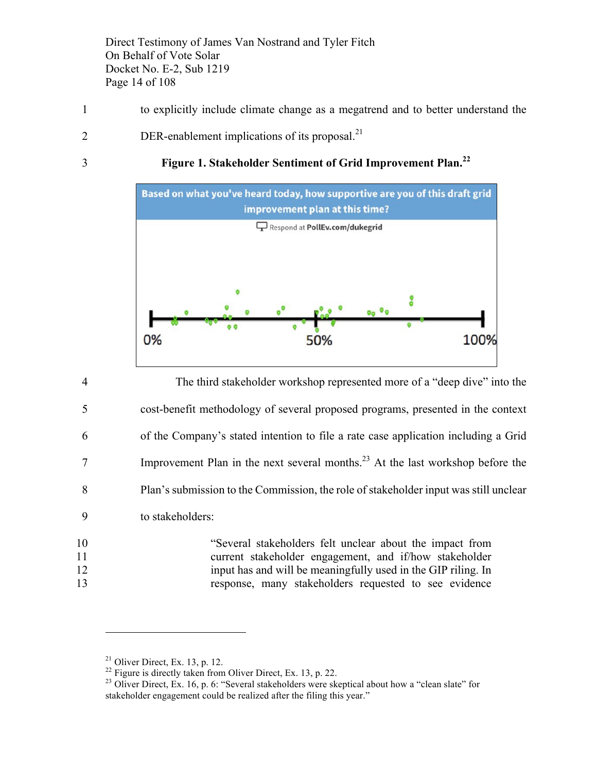Direct Testimony of James Van Nostrand and Tyler Fitch On Behalf of Vote Solar Docket No. E-2, Sub 1219 Page 14 of 108

- 1 to explicitly include climate change as a megatrend and to better understand the
- $2$  DER-enablement implications of its proposal.<sup>21</sup>
- 

#### **Figure 1. Stakeholder Sentiment of Grid Improvement Plan.<sup>22</sup>** 3



 The third stakeholder workshop represented more of a "deep dive" into the cost-benefit methodology of several proposed programs, presented in the context of the Company's stated intention to file a rate case application including a Grid Improvement Plan in the next several months.<sup>23</sup> At the last workshop before the Plan's submission to the Commission, the role of stakeholder input was still unclear to stakeholders: "Several stakeholders felt unclear about the impact from current stakeholder engagement, and if/how stakeholder

 $\overline{a}$ 

12 input has and will be meaningfully used in the GIP riling. In 13 response, many stakeholders requested to see evidence

<sup>&</sup>lt;sup>21</sup> Oliver Direct, Ex. 13, p. 12.<br><sup>22</sup> Figure is directly taken from Oliver Direct, Ex. 13, p. 22.<br><sup>23</sup> Oliver Direct, Ex. 16, p. 6: "Several stakeholders were skeptical about how a "clean slate" for stakeholder engagement could be realized after the filing this year."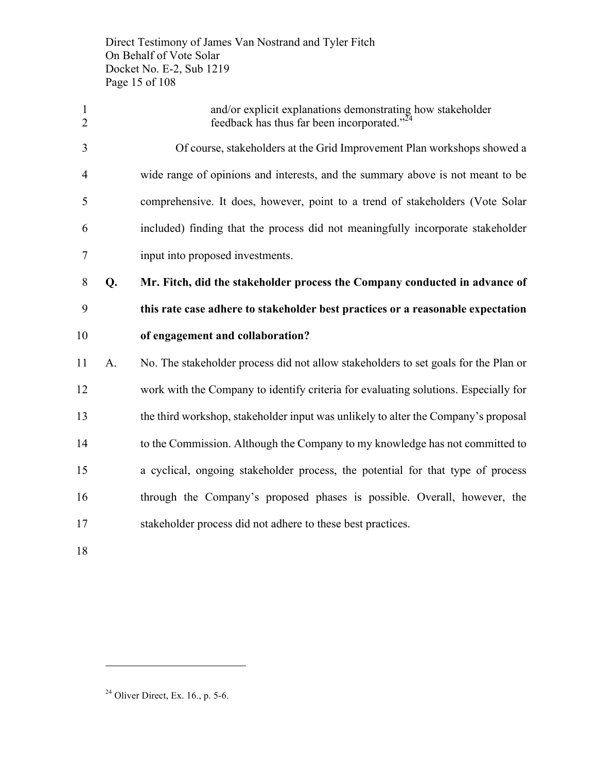Direct Testimony of James Van Nostrand and Tyler Fitch On Behalf of Vote Solar Docket No. E-2, Sub 1219 Page 15 of 108

 and/or explicit explanations demonstrating how stakeholder 2 feedback has thus far been incorporated. $^{24}$  Of course, stakeholders at the Grid Improvement Plan workshops showed a wide range of opinions and interests, and the summary above is not meant to be comprehensive. It does, however, point to a trend of stakeholders (Vote Solar included) finding that the process did not meaningfully incorporate stakeholder input into proposed investments. **Q. Mr. Fitch, did the stakeholder process the Company conducted in advance of this rate case adhere to stakeholder best practices or a reasonable expectation of engagement and collaboration?** A. No. The stakeholder process did not allow stakeholders to set goals for the Plan or work with the Company to identify criteria for evaluating solutions. Especially for the third workshop, stakeholder input was unlikely to alter the Company's proposal to the Commission. Although the Company to my knowledge has not committed to a cyclical, ongoing stakeholder process, the potential for that type of process through the Company's proposed phases is possible. Overall, however, the stakeholder process did not adhere to these best practices.

Oliver Direct, Ex. 16., p. 5-6.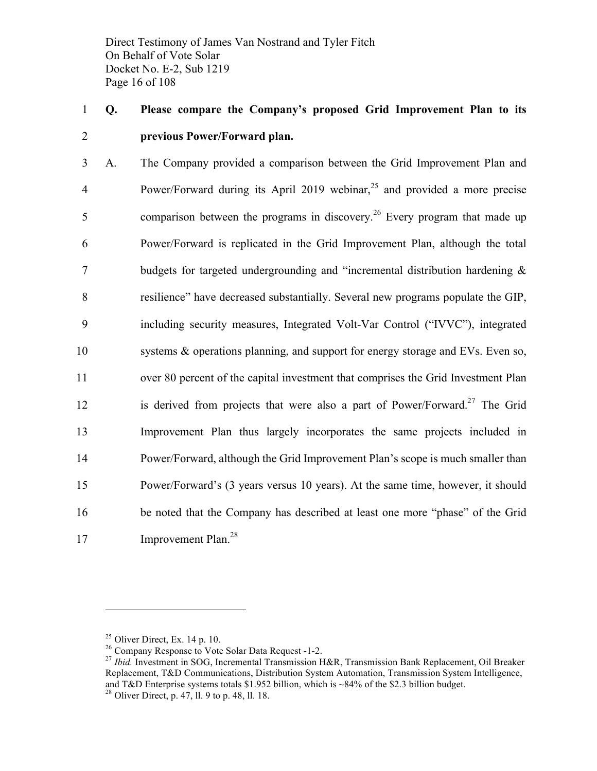Direct Testimony of James Van Nostrand and Tyler Fitch On Behalf of Vote Solar Docket No. E-2, Sub 1219 Page 16 of 108

# 1 **Q. Please compare the Company's proposed Grid Improvement Plan to its**  2 **previous Power/Forward plan.**

 A. The Company provided a comparison between the Grid Improvement Plan and 4 Power/Forward during its April 2019 webinar,<sup>25</sup> and provided a more precise 5 comparison between the programs in discovery.<sup>26</sup> Every program that made up Power/Forward is replicated in the Grid Improvement Plan, although the total budgets for targeted undergrounding and "incremental distribution hardening & resilience" have decreased substantially. Several new programs populate the GIP, including security measures, Integrated Volt-Var Control ("IVVC"), integrated systems & operations planning, and support for energy storage and EVs. Even so, over 80 percent of the capital investment that comprises the Grid Investment Plan 12 is derived from projects that were also a part of Power/Forward.<sup>27</sup> The Grid Improvement Plan thus largely incorporates the same projects included in Power/Forward, although the Grid Improvement Plan's scope is much smaller than Power/Forward's (3 years versus 10 years). At the same time, however, it should be noted that the Company has described at least one more "phase" of the Grid 17 Improvement Plan.<sup>28</sup>

<sup>&</sup>lt;sup>25</sup> Oliver Direct, Ex. 14 p. 10.<br><sup>26</sup> Company Response to Vote Solar Data Request -1-2.<br><sup>27</sup> *Ibid.* Investment in SOG, Incremental Transmission H&R, Transmission Bank Replacement, Oil Breaker Replacement, T&D Communications, Distribution System Automation, Transmission System Intelligence, and T&D Enterprise systems totals \$1.952 billion, which is ~84% of the \$2.3 billion budget.  $28$  Oliver Direct, p. 47, ll. 9 to p. 48, ll. 18.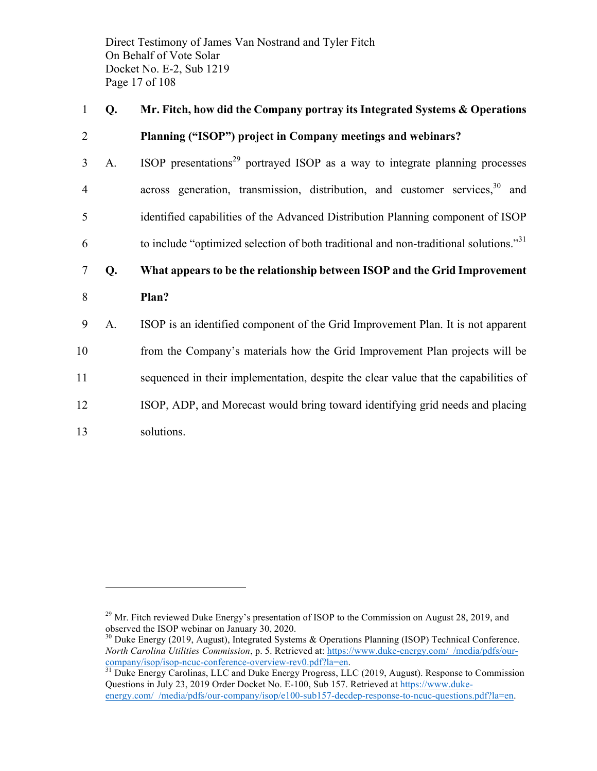Direct Testimony of James Van Nostrand and Tyler Fitch On Behalf of Vote Solar Docket No. E-2, Sub 1219 Page 17 of 108

### 1 **Q. Mr. Fitch, how did the Company portray its Integrated Systems & Operations**

#### 2 **Planning ("ISOP") project in Company meetings and webinars?**

 $A.$  ISOP presentations<sup>29</sup> portrayed ISOP as a way to integrate planning processes 4 across generation, transmission, distribution, and customer services,  $30^{\circ}$  and 5 identified capabilities of the Advanced Distribution Planning component of ISOP  $\epsilon$  to include "optimized selection of both traditional and non-traditional solutions."<sup>31</sup>

# 7 **Q. What appears to be the relationship between ISOP and the Grid Improvement**

- 8 **Plan?**
- 9 A. ISOP is an identified component of the Grid Improvement Plan. It is not apparent
- 10 from the Company's materials how the Grid Improvement Plan projects will be
- 11 sequenced in their implementation, despite the clear value that the capabilities of
- 12 ISOP, ADP, and Morecast would bring toward identifying grid needs and placing
- 13 solutions.

 $^{29}$  Mr. Fitch reviewed Duke Energy's presentation of ISOP to the Commission on August 28, 2019, and observed the ISOP webinar on January 30, 2020.

<sup>&</sup>lt;sup>30</sup> Duke Energy (2019, August), Integrated Systems & Operations Planning (ISOP) Technical Conference. *North Carolina Utilities Commission*, p. 5. Retrieved at: https://www.duke-energy.com/\_/media/pdfs/our-company/isop/isop-ncuc-conference-overview-rev0.pdf?la=en.

 $\frac{31}{21}$  Duke Energy Carolinas, LLC and Duke Energy Progress, LLC (2019, August). Response to Commission Questions in July 23, 2019 Order Docket No. E-100, Sub 157. Retrieved at https://www.dukeenergy.com/ /media/pdfs/our-company/isop/e100-sub157-decdep-response-to-ncuc-questions.pdf?la=en.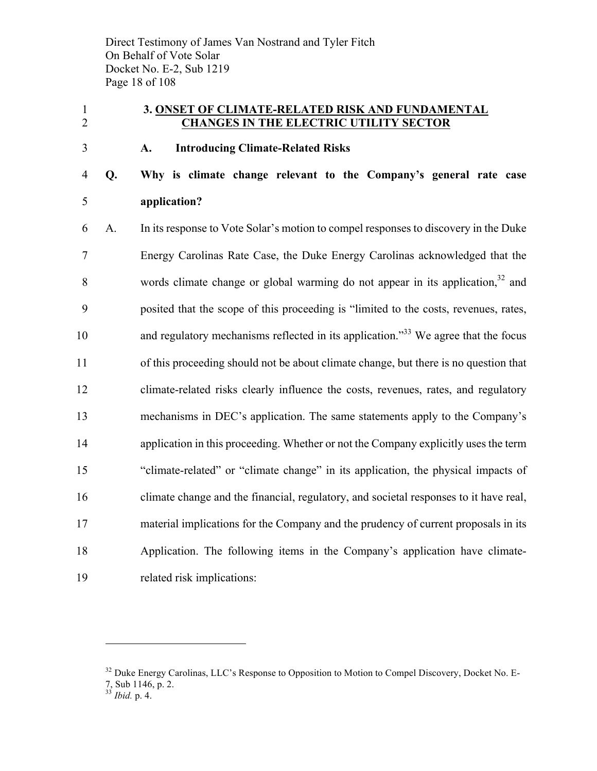Direct Testimony of James Van Nostrand and Tyler Fitch On Behalf of Vote Solar Docket No. E-2, Sub 1219 Page 18 of 108

#### **3. ONSET OF CLIMATE-RELATED RISK AND FUNDAMENTAL CHANGES IN THE ELECTRIC UTILITY SECTOR**

#### **A. Introducing Climate-Related Risks**

# **Q. Why is climate change relevant to the Company's general rate case application?**

 A. In its response to Vote Solar's motion to compel responses to discovery in the Duke Energy Carolinas Rate Case, the Duke Energy Carolinas acknowledged that the 8 words climate change or global warming do not appear in its application, and posited that the scope of this proceeding is "limited to the costs, revenues, rates, 10 and regulatory mechanisms reflected in its application. $10^{33}$  We agree that the focus of this proceeding should not be about climate change, but there is no question that climate-related risks clearly influence the costs, revenues, rates, and regulatory mechanisms in DEC's application. The same statements apply to the Company's application in this proceeding. Whether or not the Company explicitly uses the term "climate-related" or "climate change" in its application, the physical impacts of climate change and the financial, regulatory, and societal responses to it have real, material implications for the Company and the prudency of current proposals in its Application. The following items in the Company's application have climate-related risk implications:

<sup>&</sup>lt;sup>32</sup> Duke Energy Carolinas, LLC's Response to Opposition to Motion to Compel Discovery, Docket No. E-7, Sub 1146, p. 2.

*Ibid.* p. 4.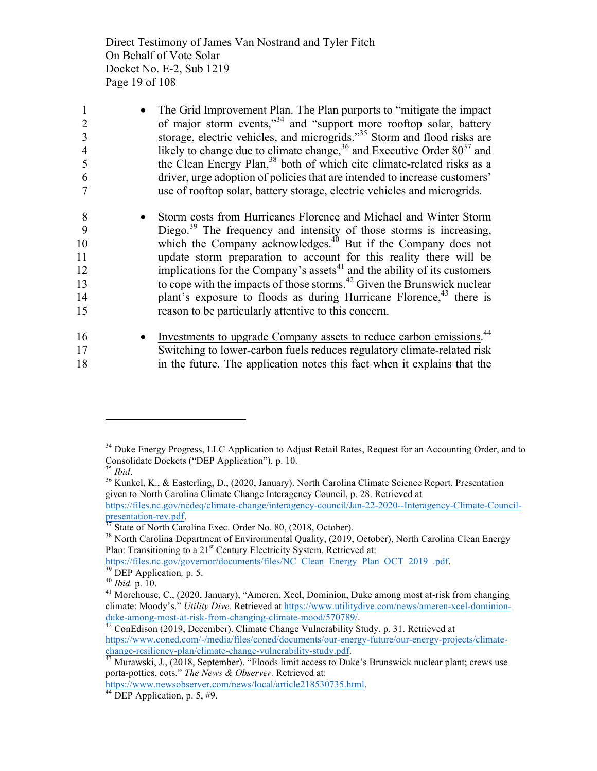Direct Testimony of James Van Nostrand and Tyler Fitch On Behalf of Vote Solar Docket No. E-2, Sub 1219 Page 19 of 108

| 1  | The Grid Improvement Plan. The Plan purports to "mitigate the impact"                |
|----|--------------------------------------------------------------------------------------|
| 2  | of major storm events," <sup>34</sup> and "support more rooftop solar, battery       |
|    | storage, electric vehicles, and microgrids." <sup>35</sup> Storm and flood risks are |
| 4  | likely to change due to climate change, $36$ and Executive Order $80^{37}$ and       |
| 5  | the Clean Energy Plan, <sup>38</sup> both of which cite climate-related risks as a   |
| 6  | driver, urge adoption of policies that are intended to increase customers'           |
|    | use of rooftop solar, battery storage, electric vehicles and microgrids.             |
| 8  | Storm costs from Hurricanes Florence and Michael and Winter Storm                    |
| 9  | Diego. <sup>39</sup> The frequency and intensity of those storms is increasing,      |
| 10 | which the Company acknowledges. <sup>40</sup> But if the Company does not            |
| 11 | update storm preparation to account for this reality there will be                   |
| 12 | implications for the Company's assets <sup>41</sup> and the ability of its customers |
| 13 | to cope with the impacts of those storms. <sup>42</sup> Given the Brunswick nuclear  |
| 14 | plant's exposure to floods as during Hurricane Florence, <sup>43</sup> there is      |
| 15 | reason to be particularly attentive to this concern.                                 |
| 16 | Investments to upgrade Company assets to reduce carbon emissions. <sup>44</sup>      |
| 17 | Switching to lower-carbon fuels reduces regulatory climate-related risk              |

18 in the future. The application notes this fact when it explains that the

<sup>&</sup>lt;sup>34</sup> Duke Energy Progress, LLC Application to Adjust Retail Rates, Request for an Accounting Order, and to Consolidate Dockets ("DEP Application"). p. 10.

Consolidate Dockets ("DEP Application")*.* p. 10. <sup>35</sup> *Ibid*. <sup>36</sup> Kunkel, K., & Easterling, D., (2020, January). North Carolina Climate Science Report. Presentation given to North Carolina Climate Change Interagency Council, p. 28. Retrieved at https://files.nc.gov/ncdeq/climate-change/interagency-council/Jan-22-2020--Interagency-Climate-Council-<br>presentation-rev.pdf.

<sup>&</sup>lt;sup>37</sup> State of North Carolina Exec. Order No. 80, (2018, October).<br><sup>38</sup> North Carolina Department of Environmental Quality, (2019, October), North Carolina Clean Energy Plan: Transitioning to a 21<sup>st</sup> Century Electricity System. Retrieved at:

https://files.nc.gov/governor/documents/files/NC Clean Energy Plan OCT 2019 .pdf.<br><sup>39</sup> DEP Application, p. 5.<br><sup>40</sup> *Ibid.* p. 10.<br><sup>41</sup> Morehouse, C., (2020, January), "Ameren, Xcel, Dominion, Duke among most at-risk from c

climate: Moody's." *Utility Dive.* Retrieved at https://www.utilitydive.com/news/ameren-xcel-dominionduke-among-most-at-risk-from-changing-climate-mood/570789/.<br><sup>42</sup> ConEdison (2019, December). Climate Change Vulnerability Study. p. 31. Retrieved at

https://www.coned.com/-/media/files/coned/documents/our-energy-future/our-energy-projects/climatechange-resiliency-plan/climate-change-vulnerability-study.pdf. <sup>43</sup> Murawski, J., (2018, September). "Floods limit access to Duke's Brunswick nuclear plant; crews use

porta-potties, cots." *The News & Observer.* Retrieved at:

https://www.newsobserver.com/news/local/article218530735.html.<br><sup>44</sup> DEP Application, p. 5, #9.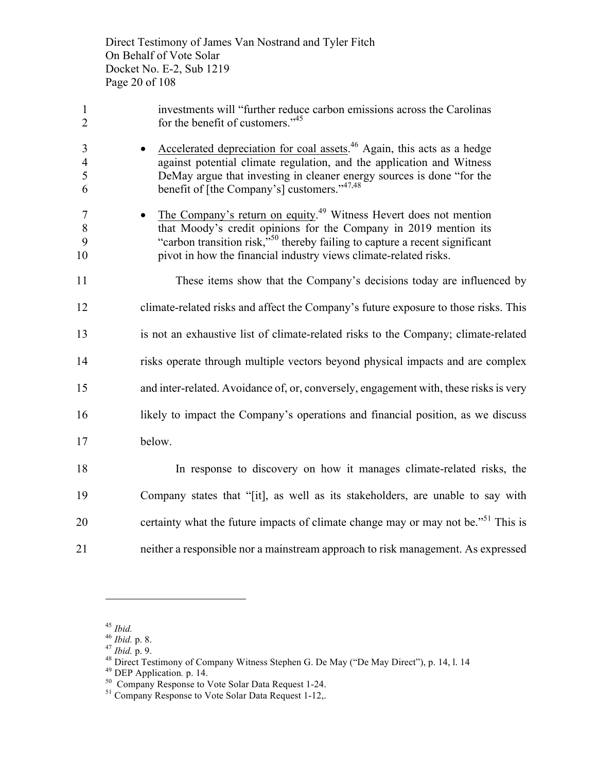Direct Testimony of James Van Nostrand and Tyler Fitch On Behalf of Vote Solar Docket No. E-2, Sub 1219 Page 20 of 108

| $\mathbf{1}$<br>$\overline{2}$             | investments will "further reduce carbon emissions across the Carolinas<br>for the benefit of customers." <sup>45</sup>                                                                                                                                                                                           |
|--------------------------------------------|------------------------------------------------------------------------------------------------------------------------------------------------------------------------------------------------------------------------------------------------------------------------------------------------------------------|
| $\overline{3}$<br>$\overline{4}$<br>5<br>6 | Accelerated depreciation for coal assets. <sup>46</sup> Again, this acts as a hedge<br>against potential climate regulation, and the application and Witness<br>DeMay argue that investing in cleaner energy sources is done "for the<br>benefit of [the Company's] customers."47,48                             |
| $\tau$<br>$8\phantom{1}$<br>9<br>10        | The Company's return on equity. <sup>49</sup> Witness Hevert does not mention<br>that Moody's credit opinions for the Company in 2019 mention its<br>"carbon transition risk," <sup>50</sup> thereby failing to capture a recent significant<br>pivot in how the financial industry views climate-related risks. |
| 11                                         | These items show that the Company's decisions today are influenced by                                                                                                                                                                                                                                            |
| 12                                         | climate-related risks and affect the Company's future exposure to those risks. This                                                                                                                                                                                                                              |
| 13                                         | is not an exhaustive list of climate-related risks to the Company; climate-related                                                                                                                                                                                                                               |
| 14                                         | risks operate through multiple vectors beyond physical impacts and are complex                                                                                                                                                                                                                                   |
| 15                                         | and inter-related. Avoidance of, or, conversely, engagement with, these risks is very                                                                                                                                                                                                                            |
| 16                                         | likely to impact the Company's operations and financial position, as we discuss                                                                                                                                                                                                                                  |
| 17                                         | below.                                                                                                                                                                                                                                                                                                           |
| 18                                         | In response to discovery on how it manages climate-related risks, the                                                                                                                                                                                                                                            |
| 19                                         | Company states that "[it], as well as its stakeholders, are unable to say with                                                                                                                                                                                                                                   |
| 20                                         | certainty what the future impacts of climate change may or may not be." <sup>51</sup> This is                                                                                                                                                                                                                    |

neither a responsible nor a mainstream approach to risk management. As expressed

<sup>&</sup>lt;sup>45</sup> *Ibid.*<br>
<sup>46</sup> *Ibid.* p. 8.<br>
<sup>47</sup> *Ibid.* p. 9.<br>
<sup>48</sup> Direct Testimony of Company Witness Stephen G. De May ("De May Direct"), p. 14, 1. 14<br>
<sup>49</sup> DEP Application. p. 14.<br>
<sup>50</sup> Company Response to Vote Solar Data Requ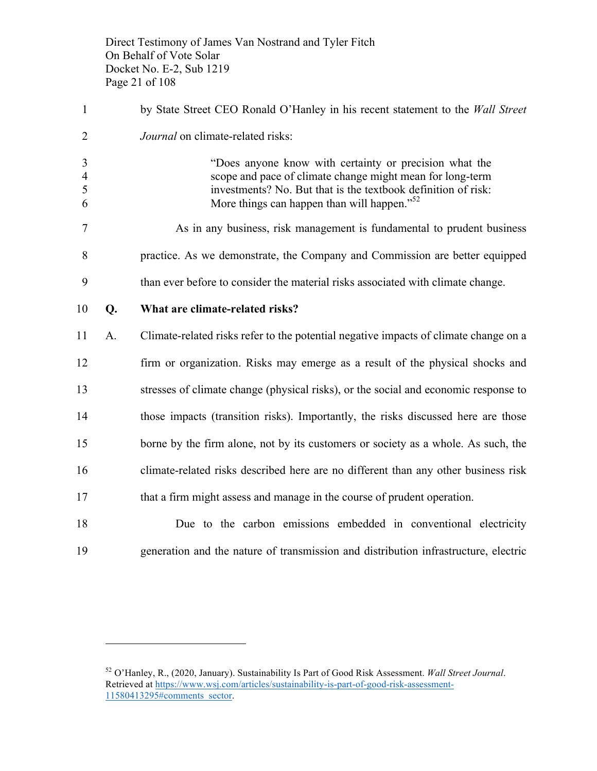Direct Testimony of James Van Nostrand and Tyler Fitch On Behalf of Vote Solar Docket No. E-2, Sub 1219 Page 21 of 108

| $\mathbf{1}$                  |    | by State Street CEO Ronald O'Hanley in his recent statement to the Wall Street                                                                                                                                                                  |
|-------------------------------|----|-------------------------------------------------------------------------------------------------------------------------------------------------------------------------------------------------------------------------------------------------|
| $\overline{2}$                |    | Journal on climate-related risks:                                                                                                                                                                                                               |
| 3<br>$\overline{4}$<br>5<br>6 |    | "Does anyone know with certainty or precision what the<br>scope and pace of climate change might mean for long-term<br>investments? No. But that is the textbook definition of risk:<br>More things can happen than will happen." <sup>52</sup> |
| 7                             |    | As in any business, risk management is fundamental to prudent business                                                                                                                                                                          |
| 8                             |    | practice. As we demonstrate, the Company and Commission are better equipped                                                                                                                                                                     |
| 9                             |    | than ever before to consider the material risks associated with climate change.                                                                                                                                                                 |
| 10                            | Q. | What are climate-related risks?                                                                                                                                                                                                                 |
| 11                            | A. | Climate-related risks refer to the potential negative impacts of climate change on a                                                                                                                                                            |
| 12                            |    | firm or organization. Risks may emerge as a result of the physical shocks and                                                                                                                                                                   |
| 13                            |    | stresses of climate change (physical risks), or the social and economic response to                                                                                                                                                             |
| 14                            |    | those impacts (transition risks). Importantly, the risks discussed here are those                                                                                                                                                               |
| 15                            |    | borne by the firm alone, not by its customers or society as a whole. As such, the                                                                                                                                                               |
| 16                            |    | climate-related risks described here are no different than any other business risk                                                                                                                                                              |
| 17                            |    | that a firm might assess and manage in the course of prudent operation.                                                                                                                                                                         |
| 18                            |    | Due to the carbon emissions embedded in conventional electricity                                                                                                                                                                                |
| 19                            |    | generation and the nature of transmission and distribution infrastructure, electric                                                                                                                                                             |

 O'Hanley, R., (2020, January). Sustainability Is Part of Good Risk Assessment. *Wall Street Journal*. Retrieved at https://www.wsj.com/articles/sustainability-is-part-of-good-risk-assessment-11580413295#comments\_sector.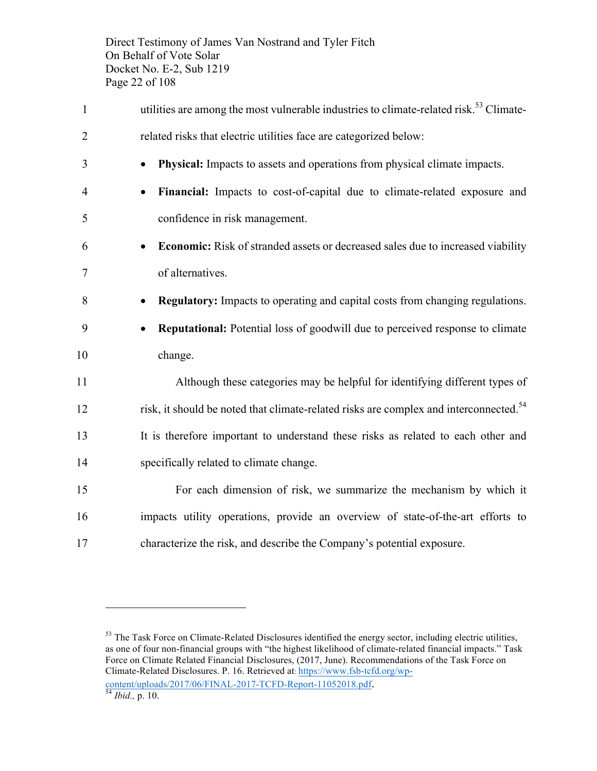Direct Testimony of James Van Nostrand and Tyler Fitch On Behalf of Vote Solar Docket No. E-2, Sub 1219 Page 22 of 108

1 utilities are among the most vulnerable industries to climate-related risk.<sup>53</sup> Climate- related risks that electric utilities face are categorized below: • **Physical:** Impacts to assets and operations from physical climate impacts. • **Financial:** Impacts to cost-of-capital due to climate-related exposure and confidence in risk management. • **Economic:** Risk of stranded assets or decreased sales due to increased viability of alternatives. • **Regulatory:** Impacts to operating and capital costs from changing regulations. • **Reputational:** Potential loss of goodwill due to perceived response to climate 10 change. Although these categories may be helpful for identifying different types of risk, it should be noted that climate-related risks are complex and interconnected.<sup>54</sup> It is therefore important to understand these risks as related to each other and specifically related to climate change. For each dimension of risk, we summarize the mechanism by which it impacts utility operations, provide an overview of state-of-the-art efforts to characterize the risk, and describe the Company's potential exposure.

<sup>&</sup>lt;sup>53</sup> The Task Force on Climate-Related Disclosures identified the energy sector, including electric utilities, as one of four non-financial groups with "the highest likelihood of climate-related financial impacts." Task Force on Climate Related Financial Disclosures, (2017, June). Recommendations of the Task Force on Climate-Related Disclosures. P. 16. Retrieved at: https://www.fsb-tcfd.org/wpcontent/uploads/2017/06/FINAL-2017-TCFD-Report-11052018.pdf. <sup>54</sup> *Ibid.,* p. 10.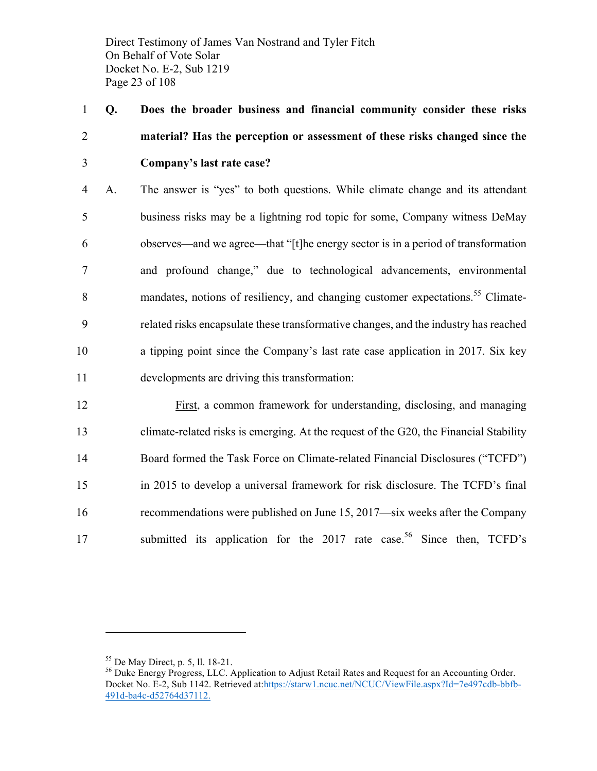Direct Testimony of James Van Nostrand and Tyler Fitch On Behalf of Vote Solar Docket No. E-2, Sub 1219 Page 23 of 108

1 **Q. Does the broader business and financial community consider these risks**  2 **material? Has the perception or assessment of these risks changed since the**  3 **Company's last rate case?**

 A. The answer is "yes" to both questions. While climate change and its attendant business risks may be a lightning rod topic for some, Company witness DeMay observes—and we agree—that "[t]he energy sector is in a period of transformation and profound change," due to technological advancements, environmental 8 mandates, notions of resiliency, and changing customer expectations.<sup>55</sup> Climate- related risks encapsulate these transformative changes, and the industry has reached a tipping point since the Company's last rate case application in 2017. Six key developments are driving this transformation:

 First, a common framework for understanding, disclosing, and managing climate-related risks is emerging. At the request of the G20, the Financial Stability Board formed the Task Force on Climate-related Financial Disclosures ("TCFD") in 2015 to develop a universal framework for risk disclosure. The TCFD's final recommendations were published on June 15, 2017—six weeks after the Company 17 submitted its application for the 2017 rate case.<sup>56</sup> Since then, TCFD's

<sup>&</sup>lt;sup>55</sup> De May Direct, p. 5, ll. 18-21.<br><sup>56</sup> Duke Energy Progress, LLC. Application to Adjust Retail Rates and Request for an Accounting Order. Docket No. E-2, Sub 1142. Retrieved at:https://starw1.ncuc.net/NCUC/ViewFile.aspx?Id=7e497cdb-bbfb-491d-ba4c-d52764d37112.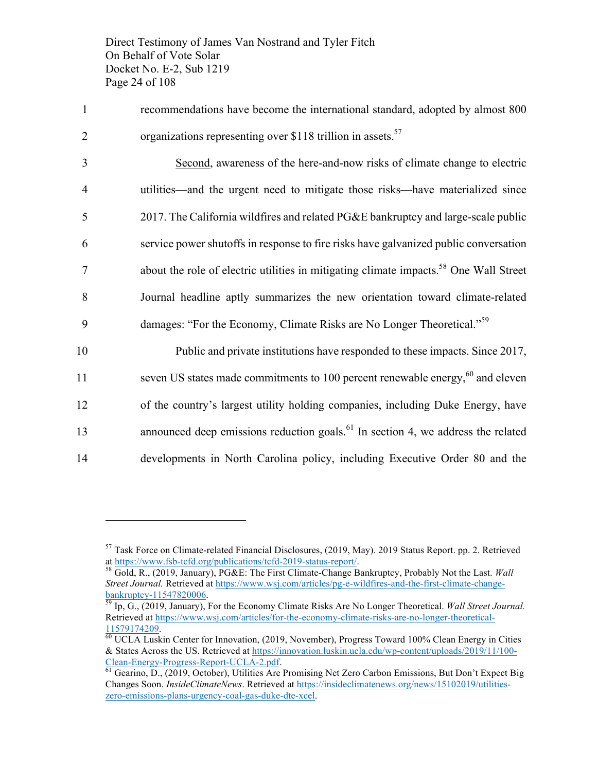Direct Testimony of James Van Nostrand and Tyler Fitch On Behalf of Vote Solar Docket No. E-2, Sub 1219 Page 24 of 108

1 recommendations have become the international standard, adopted by almost 800 2 organizations representing over \$118 trillion in assets.<sup>57</sup>

 Second, awareness of the here-and-now risks of climate change to electric utilities—and the urgent need to mitigate those risks—have materialized since 2017. The California wildfires and related PG&E bankruptcy and large-scale public service power shutoffs in response to fire risks have galvanized public conversation about the role of electric utilities in mitigating climate impacts.<sup>58</sup> One Wall Street Journal headline aptly summarizes the new orientation toward climate-related damages: "For the Economy, Climate Risks are No Longer Theoretical."59 9

10 Public and private institutions have responded to these impacts. Since 2017, seven US states made commitments to 100 percent renewable energy,  $60$  and eleven 12 of the country's largest utility holding companies, including Duke Energy, have 13 announced deep emissions reduction goals.<sup>61</sup> In section 4, we address the related 14 developments in North Carolina policy, including Executive Order 80 and the

<sup>57</sup> Task Force on Climate-related Financial Disclosures, (2019, May). 2019 Status Report. pp. 2. Retrieved at https://www.fsb-tcfd.org/publications/tcfd-2019-status-report/. 58 Gold, R., (2019, January), PG&E: The First Climate-Change Bankruptcy, Probably Not the Last. *Wall* 

*Street Journal.* Retrieved at https://www.wsj.com/articles/pg-e-wildfires-and-the-first-climate-change-bankruptcy-11547820006.

Ip, G., (2019, January), For the Economy Climate Risks Are No Longer Theoretical. *Wall Street Journal*. Retrieved at https://www.wsj.com/articles/for-the-economy-climate-risks-are-no-longer-theoretical- $\frac{11579174209}{60}$  UCLA Luskin Center for Innovation, (2019, November), Progress Toward 100% Clean Energy in Cities

<sup>&</sup>amp; States Across the US. Retrieved at https://innovation.luskin.ucla.edu/wp-content/uploads/2019/11/100- Clean-Energy-Progress-Report-UCLA-2.pdf.<br><sup>61</sup> Gearino, D., (2019, October), Utilities Are Promising Net Zero Carbon Emissions, But Don't Expect Big

Changes Soon. *InsideClimateNews*. Retrieved at https://insideclimatenews.org/news/15102019/utilitieszero-emissions-plans-urgency-coal-gas-duke-dte-xcel.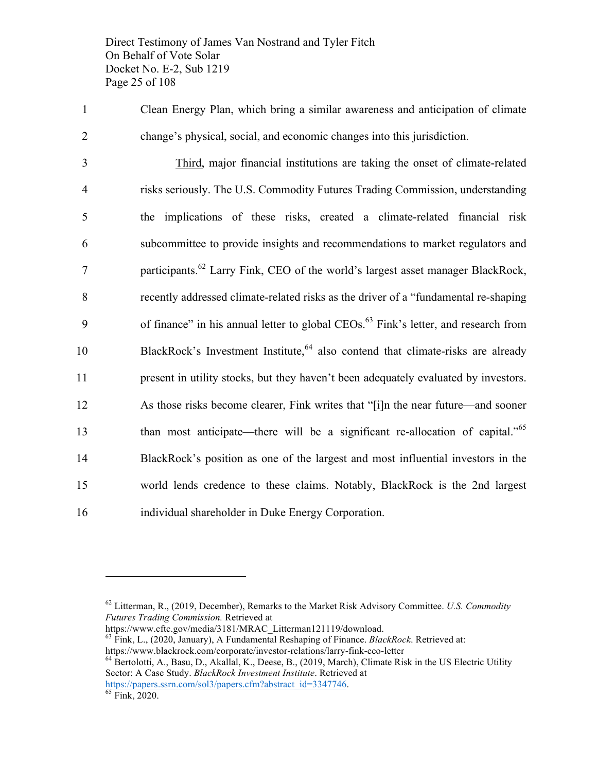Direct Testimony of James Van Nostrand and Tyler Fitch On Behalf of Vote Solar Docket No. E-2, Sub 1219 Page 25 of 108

1 Clean Energy Plan, which bring a similar awareness and anticipation of climate 2 change's physical, social, and economic changes into this jurisdiction.

 Third, major financial institutions are taking the onset of climate-related risks seriously. The U.S. Commodity Futures Trading Commission, understanding the implications of these risks, created a climate-related financial risk subcommittee to provide insights and recommendations to market regulators and **Participants.**<sup>62</sup> Larry Fink, CEO of the world's largest asset manager BlackRock, recently addressed climate-related risks as the driver of a "fundamental re-shaping 9 of finance" in his annual letter to global CEOs.<sup>63</sup> Fink's letter, and research from BlackRock's Investment Institute,  $64$  also contend that climate-risks are already present in utility stocks, but they haven't been adequately evaluated by investors. As those risks become clearer, Fink writes that "[i]n the near future—and sooner than most anticipate—there will be a significant re-allocation of capital."<sup>65</sup> BlackRock's position as one of the largest and most influential investors in the world lends credence to these claims. Notably, BlackRock is the 2nd largest individual shareholder in Duke Energy Corporation.

https://www.cftc.gov/media/3181/MRAC\_Litterman121119/download.

<sup>63</sup> Fink, L., (2020, January), A Fundamental Reshaping of Finance. *BlackRock*. Retrieved at:

https://www.blackrock.com/corporate/investor-relations/larry-fink-ceo-letter<br><sup>64</sup> Bertolotti, A., Basu, D., Akallal, K., Deese, B., (2019, March), Climate Risk in the US Electric Utility Sector: A Case Study. *BlackRock Investment Institute*. Retrieved at

https://papers.ssrn.com/sol3/papers.cfm?abstract\_id=3347746.

<sup>62</sup> Litterman, R., (2019, December), Remarks to the Market Risk Advisory Committee. *U.S. Commodity Futures Trading Commission.* Retrieved at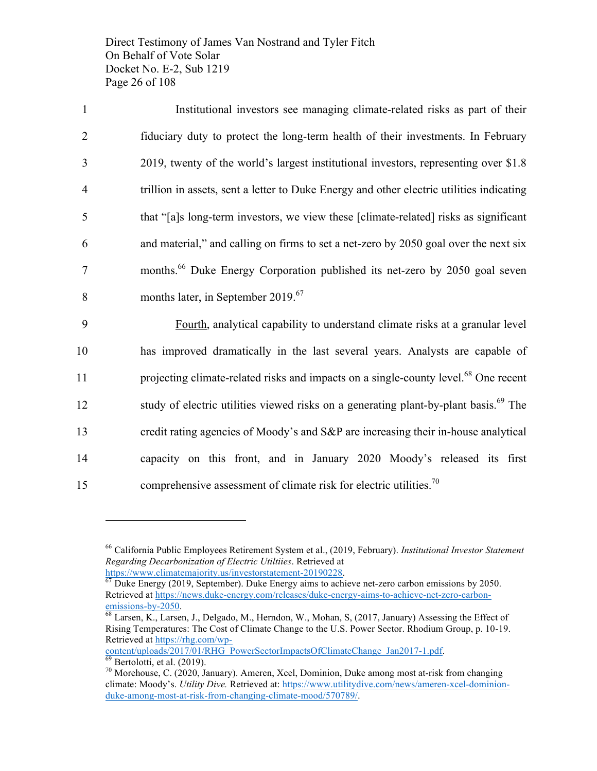Direct Testimony of James Van Nostrand and Tyler Fitch On Behalf of Vote Solar Docket No. E-2, Sub 1219 Page 26 of 108

 Institutional investors see managing climate-related risks as part of their fiduciary duty to protect the long-term health of their investments. In February 2019, twenty of the world's largest institutional investors, representing over \$1.8 trillion in assets, sent a letter to Duke Energy and other electric utilities indicating that "[a]s long-term investors, we view these [climate-related] risks as significant and material," and calling on firms to set a net-zero by 2050 goal over the next six 7 months.<sup>66</sup> Duke Energy Corporation published its net-zero by 2050 goal seven 8 months later, in September 2019.<sup>67</sup>

9 Fourth, analytical capability to understand climate risks at a granular level 10 has improved dramatically in the last several years. Analysts are capable of 11 projecting climate-related risks and impacts on a single-county level.<sup>68</sup> One recent study of electric utilities viewed risks on a generating plant-by-plant basis.<sup>69</sup> The 13 credit rating agencies of Moody's and S&P are increasing their in-house analytical 14 capacity on this front, and in January 2020 Moody's released its first 15 comprehensive assessment of climate risk for electric utilities.<sup>70</sup>

content/uploads/2017/01/RHG\_PowerSectorImpactsOfClimateChange\_Jan2017-1.pdf. <sup>69</sup> Bertolotti, et al. (2019).<br><sup>70</sup> Morehouse, C. (2020, January). Ameren, Xcel, Dominion, Duke among most at-risk from changing

<sup>66</sup> California Public Employees Retirement System et al., (2019, February). *Institutional Investor Statement Regarding Decarbonization of Electric Utiltiies*. Retrieved at

 $\frac{https://www.climatemajority.us/investorstatement-20190228}{67}$ <br> $\frac{67}{67}$  Duke Energy (2019, September). Duke Energy aims to achieve net-zero carbon emissions by 2050. Retrieved at https://news.duke-energy.com/releases/duke-energy-aims-to-achieve-net-zero-carbonemissions-by-2050.<br><sup>68</sup> Larsen, K., Larsen, J., Delgado, M., Herndon, W., Mohan, S, (2017, January) Assessing the Effect of

Rising Temperatures: The Cost of Climate Change to the U.S. Power Sector. Rhodium Group, p. 10-19. Retrieved at https://rhg.com/wp-

climate: Moody's. *Utility Dive.* Retrieved at: https://www.utilitydive.com/news/ameren-xcel-dominionduke-among-most-at-risk-from-changing-climate-mood/570789/.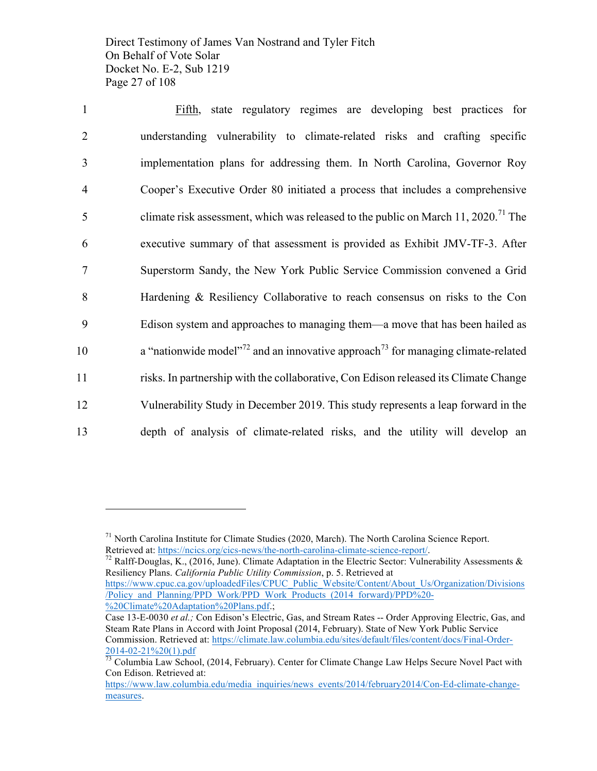Direct Testimony of James Van Nostrand and Tyler Fitch On Behalf of Vote Solar Docket No. E-2, Sub 1219 Page 27 of 108

 Fifth, state regulatory regimes are developing best practices for understanding vulnerability to climate-related risks and crafting specific implementation plans for addressing them. In North Carolina, Governor Roy Cooper's Executive Order 80 initiated a process that includes a comprehensive 5 climate risk assessment, which was released to the public on March 11, 2020.<sup>71</sup> The executive summary of that assessment is provided as Exhibit JMV-TF-3. After Superstorm Sandy, the New York Public Service Commission convened a Grid Hardening & Resiliency Collaborative to reach consensus on risks to the Con Edison system and approaches to managing them—a move that has been hailed as **a** "nationwide model"<sup>72</sup> and an innovative approach<sup>73</sup> for managing climate-related risks. In partnership with the collaborative, Con Edison released its Climate Change Vulnerability Study in December 2019. This study represents a leap forward in the depth of analysis of climate-related risks, and the utility will develop an

/Policy\_and\_Planning/PPD\_Work/PPD\_Work\_Products\_(2014\_forward)/PPD%20- %20Climate%20Adaptation%20Plans.pdf.;

<sup>&</sup>lt;sup>71</sup> North Carolina Institute for Climate Studies (2020, March). The North Carolina Science Report.<br>Retrieved at: https://ncics.org/cics-news/the-north-carolina-climate-science-report/.

<sup>&</sup>lt;sup>72</sup> Ralff-Douglas, K., (2016, June). Climate Adaptation in the Electric Sector: Vulnerability Assessments & Resiliency Plans. *California Public Utility Commission*, p. 5. Retrieved at https://www.cpuc.ca.gov/uploadedFiles/CPUC\_Public\_Website/Content/About\_Us/Organization/Divisions

Case 13-E-0030 *et al.;* Con Edison's Electric, Gas, and Stream Rates -- Order Approving Electric, Gas, and Steam Rate Plans in Accord with Joint Proposal (2014, February). State of New York Public Service Commission. Retrieved at: https://climate.law.columbia.edu/sites/default/files/content/docs/Final-Order-

 $\frac{2014-02-21\%20(1).pdf}{73}$  Columbia Law School, (2014, February). Center for Climate Change Law Helps Secure Novel Pact with Con Edison. Retrieved at:

https://www.law.columbia.edu/media\_inquiries/news\_events/2014/february2014/Con-Ed-climate-changemeasures.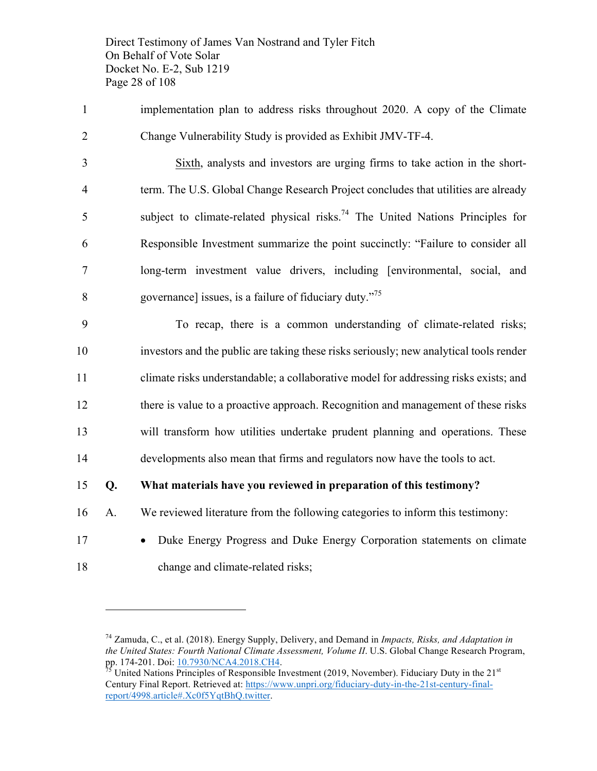Direct Testimony of James Van Nostrand and Tyler Fitch On Behalf of Vote Solar Docket No. E-2, Sub 1219 Page 28 of 108

 implementation plan to address risks throughout 2020. A copy of the Climate Change Vulnerability Study is provided as Exhibit JMV-TF-4.

 Sixth, analysts and investors are urging firms to take action in the short- term. The U.S. Global Change Research Project concludes that utilities are already 5 subject to climate-related physical risks.<sup>74</sup> The United Nations Principles for Responsible Investment summarize the point succinctly: "Failure to consider all long-term investment value drivers, including [environmental, social, and 8 governance] issues, is a failure of fiduciary duty. $^{75}$ 

 To recap, there is a common understanding of climate-related risks; investors and the public are taking these risks seriously; new analytical tools render climate risks understandable; a collaborative model for addressing risks exists; and there is value to a proactive approach. Recognition and management of these risks will transform how utilities undertake prudent planning and operations. These developments also mean that firms and regulators now have the tools to act.

#### **Q. What materials have you reviewed in preparation of this testimony?**

- A. We reviewed literature from the following categories to inform this testimony:
- 

 $\overline{a}$ 

 • Duke Energy Progress and Duke Energy Corporation statements on climate change and climate-related risks;

 Zamuda, C., et al. (2018). Energy Supply, Delivery, and Demand in *Impacts, Risks, and Adaptation in the United States: Fourth National Climate Assessment, Volume II*. U.S. Global Change Research Program, pp. 174-201. Doi: <u>10.7930/NCA4.2018.CH4</u>.<br><sup>75</sup> United Nations Principles of Responsible Investment (2019, November). Fiduciary Duty in the 21<sup>st</sup>

Century Final Report. Retrieved at: https://www.unpri.org/fiduciary-duty-in-the-21st-century-finalreport/4998.article#.Xc0f5YqtBhQ.twitter.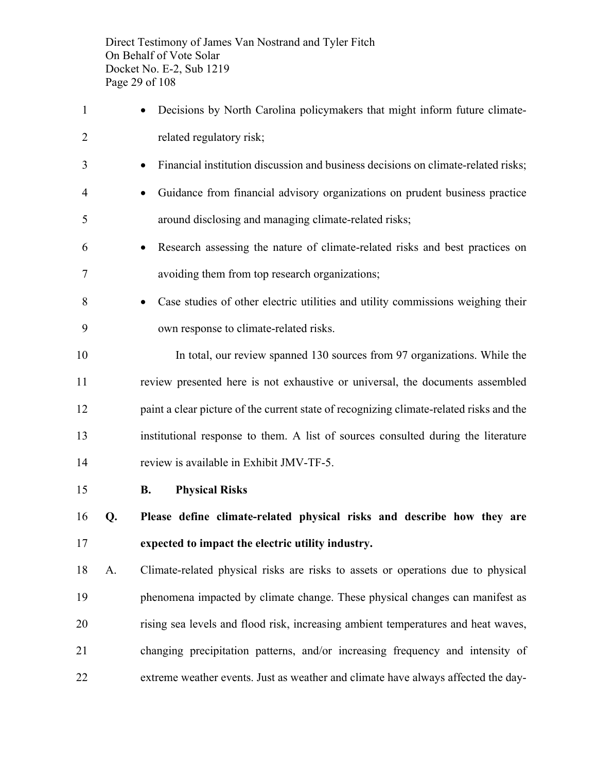Direct Testimony of James Van Nostrand and Tyler Fitch On Behalf of Vote Solar Docket No. E-2, Sub 1219 Page 29 of 108

 • Decisions by North Carolina policymakers that might inform future climate- related regulatory risk; • Financial institution discussion and business decisions on climate-related risks; • Guidance from financial advisory organizations on prudent business practice around disclosing and managing climate-related risks; • Research assessing the nature of climate-related risks and best practices on avoiding them from top research organizations; • Case studies of other electric utilities and utility commissions weighing their own response to climate-related risks. In total, our review spanned 130 sources from 97 organizations. While the review presented here is not exhaustive or universal, the documents assembled paint a clear picture of the current state of recognizing climate-related risks and the institutional response to them. A list of sources consulted during the literature review is available in Exhibit JMV-TF-5. **B. Physical Risks Q. Please define climate-related physical risks and describe how they are expected to impact the electric utility industry.** A. Climate-related physical risks are risks to assets or operations due to physical phenomena impacted by climate change. These physical changes can manifest as rising sea levels and flood risk, increasing ambient temperatures and heat waves, changing precipitation patterns, and/or increasing frequency and intensity of extreme weather events. Just as weather and climate have always affected the day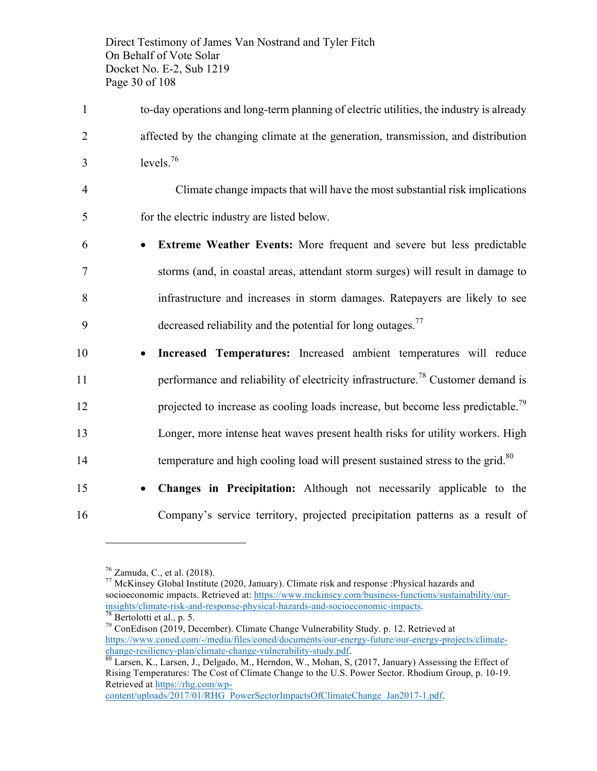Direct Testimony of James Van Nostrand and Tyler Fitch On Behalf of Vote Solar Docket No. E-2, Sub 1219 Page 30 of 108

- 1 to-day operations and long-term planning of electric utilities, the industry is already 2 affected by the changing climate at the generation, transmission, and distribution  $3$  levels.<sup>76</sup>
- 4 Climate change impacts that will have the most substantial risk implications 5 for the electric industry are listed below.
- 6 **Extreme Weather Events:** More frequent and severe but less predictable 7 storms (and, in coastal areas, attendant storm surges) will result in damage to 8 infrastructure and increases in storm damages. Ratepayers are likely to see  $\theta$  decreased reliability and the potential for long outages.<sup>77</sup>
- 10 **Increased Temperatures:** Increased ambient temperatures will reduce performance and reliability of electricity infrastructure.<sup>78</sup> Customer demand is projected to increase as cooling loads increase, but become less predictable.<sup>79</sup> 13 Longer, more intense heat waves present health risks for utility workers. High temperature and high cooling load will present sustained stress to the grid.<sup>80</sup>
- 15 **Changes in Precipitation:** Although not necessarily applicable to the 16 Company's service territory, projected precipitation patterns as a result of

 $\overline{a}$ 

<sup>76</sup> Zamuda, C., et al. (2018).<br><sup>77</sup> McKinsey Global Institute (2020, January). Climate risk and response :Physical hazards and socioeconomic impacts. Retrieved at: https://www.mckinsey.com/business-functions/sustainability/our- $\frac{\text{insights/climate-risk-and-response-physical-hazards-and-score} 78 \text{ Bertolotti et al., p. 5.}$ <br>  $\frac{78}{78}$  Bertolotti et al., p. 5.  $\frac{79}{7}$  ConEdison (2019, December). Climate Change Vulnerability Study. p. 12. Retrieved at

content/uploads/2017/01/RHG\_PowerSectorImpactsOfClimateChange\_Jan2017-1.pdf.

https://www.coned.com/-/media/files/coned/documents/our-energy-future/our-energy-projects/climatechange-resiliency-plan/climate-change-vulnerability-study.pdf.<br><sup>80</sup> Larsen, K., Larsen, J., Delgado, M., Herndon, W., Mohan, S, (2017, January) Assessing the Effect of

Rising Temperatures: The Cost of Climate Change to the U.S. Power Sector. Rhodium Group, p. 10-19. Retrieved at https://rhg.com/wp-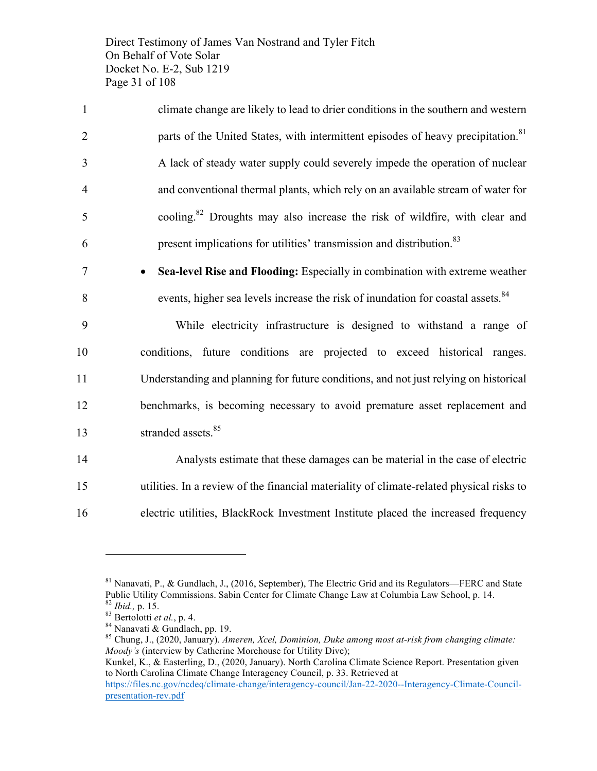Direct Testimony of James Van Nostrand and Tyler Fitch On Behalf of Vote Solar Docket No. E-2, Sub 1219 Page 31 of 108

| $\mathbf{1}$   | climate change are likely to lead to drier conditions in the southern and western            |
|----------------|----------------------------------------------------------------------------------------------|
| 2              | parts of the United States, with intermittent episodes of heavy precipitation. <sup>81</sup> |
| 3              | A lack of steady water supply could severely impede the operation of nuclear                 |
| $\overline{4}$ | and conventional thermal plants, which rely on an available stream of water for              |
| 5              | cooling. <sup>82</sup> Droughts may also increase the risk of wildfire, with clear and       |
| 6              | present implications for utilities' transmission and distribution. <sup>83</sup>             |

7 • **Sea-level Rise and Flooding:** Especially in combination with extreme weather 8 events, higher sea levels increase the risk of inundation for coastal assets.<sup>84</sup>

 While electricity infrastructure is designed to withstand a range of conditions, future conditions are projected to exceed historical ranges. Understanding and planning for future conditions, and not just relying on historical benchmarks, is becoming necessary to avoid premature asset replacement and 13 stranded assets.<sup>85</sup>

14 Analysts estimate that these damages can be material in the case of electric 15 utilities. In a review of the financial materiality of climate-related physical risks to 16 electric utilities, BlackRock Investment Institute placed the increased frequency

 $81$  Nanavati, P., & Gundlach, J., (2016, September), The Electric Grid and its Regulators—FERC and State Public Utility Commissions. Sabin Center for Climate Change Law at Columbia Law School, p. 14.<br><sup>82</sup> Ibid., p. 15.

<sup>83</sup> Bertolotti *et al.*, p. 4.<br><sup>84</sup> Nanavati & Gundlach, pp. 19.<br><sup>85</sup> Chung, J., (2020, January). *Ameren, Xcel, Dominion, Duke among most at-risk from changing climate: Moody's* (interview by Catherine Morehouse for Utility Dive);

Kunkel, K., & Easterling, D., (2020, January). North Carolina Climate Science Report. Presentation given to North Carolina Climate Change Interagency Council, p. 33. Retrieved at https://files.nc.gov/ncdeq/climate-change/interagency-council/Jan-22-2020--Interagency-Climate-Councilpresentation-rev.pdf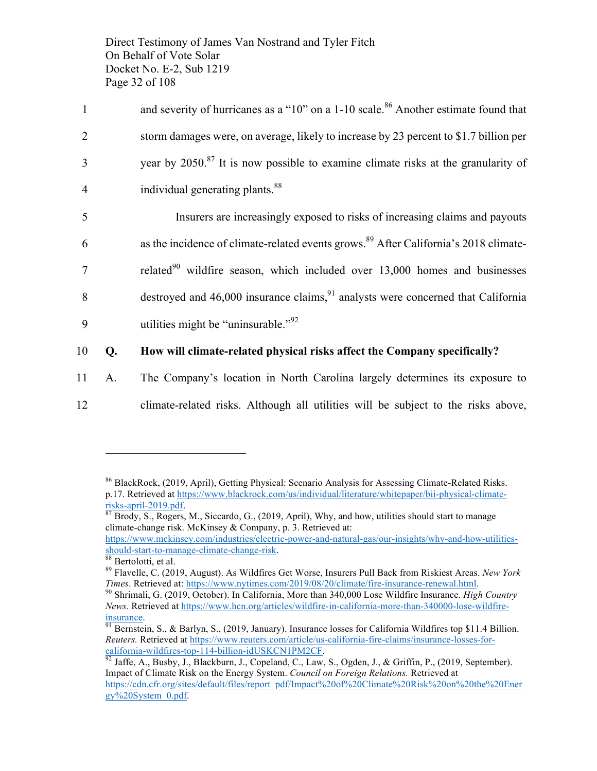Direct Testimony of James Van Nostrand and Tyler Fitch On Behalf of Vote Solar Docket No. E-2, Sub 1219 Page 32 of 108

| $\mathbf{1}$   |    | and severity of hurricanes as a "10" on a 1-10 scale. <sup>86</sup> Another estimate found that  |
|----------------|----|--------------------------------------------------------------------------------------------------|
| $\overline{2}$ |    | storm damages were, on average, likely to increase by 23 percent to \$1.7 billion per            |
| 3              |    | year by 2050. <sup>87</sup> It is now possible to examine climate risks at the granularity of    |
| $\overline{4}$ |    | individual generating plants. <sup>88</sup>                                                      |
| 5              |    | Insurers are increasingly exposed to risks of increasing claims and payouts                      |
| 6              |    | as the incidence of climate-related events grows. <sup>89</sup> After California's 2018 climate- |
| 7              |    | related $90$ wildfire season, which included over 13,000 homes and businesses                    |
| 8              |    | destroyed and $46,000$ insurance claims, $91$ analysts were concerned that California            |
| 9              |    | utilities might be "uninsurable." <sup>92</sup>                                                  |
| 10             | Q. | How will climate-related physical risks affect the Company specifically?                         |
| 11             | A. | The Company's location in North Carolina largely determines its exposure to                      |
|                |    |                                                                                                  |

12 climate-related risks. Although all utilities will be subject to the risks above,

<sup>86</sup> BlackRock, (2019, April), Getting Physical: Scenario Analysis for Assessing Climate-Related Risks. p.17. Retrieved at <u>https://www.blackrock.com/us/individual/literature/whitepaper/bii-physical-climate-<br>risks-april-2019.pdf.<br><sup>87</sup> Brody S. Rogers M. Siccardo G. (2019) Agrill When the community of the community of the com</u>

Brody, S., Rogers, M., Siccardo, G., (2019, April), Why, and how, utilities should start to manage climate-change risk. McKinsey & Company, p. 3. Retrieved at:

https://www.mckinsey.com/industries/electric-power-and-natural-gas/our-insights/why-and-how-utilities-<br>should-start-to-manage-climate-change-risk.

should-start-to-manage-risk. 88<br>
88 Bertolotti, et al.<br>
89 Flavelle, C. (2019, August). As Wildfires Get Worse, Insurers Pull Back from Riskiest Areas. *New York Times*. Retrieved at: https://www.nytimes.com/2019/08/20/climate/fire-insurance-renewal.html.<br><sup>90</sup> Shrimali, G. (2019, October). In California, More than 340,000 Lose Wildfire Insurance. *High Country* 

*News.* Retrieved at https://www.hcn.org/articles/wildfire-in-california-more-than-340000-lose-wildfire-

 $\frac{\text{insurance}}{91}$  Bernstein, S., & Barlyn, S., (2019, January). Insurance losses for California Wildfires top \$11.4 Billion. *Reuters.* Retrieved at https://www.reuters.com/article/us-california-fire-claims/insurance-losses-forcalifornia-wildfires-top-114-billion-idUSKCN1PM2CF.<br><sup>92</sup> Jaffe, A., Busby, J., Blackburn, J., Copeland, C., Law, S., Ogden, J., & Griffin, P., (2019, September).

Impact of Climate Risk on the Energy System. *Council on Foreign Relations.* Retrieved at https://cdn.cfr.org/sites/default/files/report\_pdf/Impact%20of%20Climate%20Risk%20on%20the%20Ener gy%20System\_0.pdf.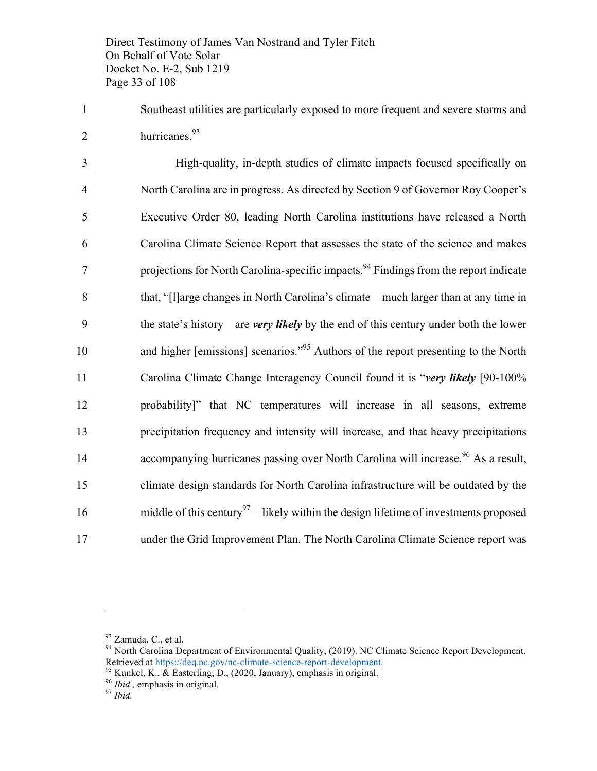Direct Testimony of James Van Nostrand and Tyler Fitch On Behalf of Vote Solar Docket No. E-2, Sub 1219 Page 33 of 108

1 Southeast utilities are particularly exposed to more frequent and severe storms and 2 hurricanes. $93$ 

 High-quality, in-depth studies of climate impacts focused specifically on North Carolina are in progress. As directed by Section 9 of Governor Roy Cooper's Executive Order 80, leading North Carolina institutions have released a North Carolina Climate Science Report that assesses the state of the science and makes projections for North Carolina-specific impacts.<sup>94</sup> Findings from the report indicate that, "[l]arge changes in North Carolina's climate—much larger than at any time in the state's history—are *very likely* by the end of this century under both the lower 10 and higher [emissions] scenarios.<sup>"95</sup> Authors of the report presenting to the North Carolina Climate Change Interagency Council found it is "*very likely* [90-100% probability]" that NC temperatures will increase in all seasons, extreme precipitation frequency and intensity will increase, and that heavy precipitations 14 accompanying hurricanes passing over North Carolina will increase.<sup>96</sup> As a result, climate design standards for North Carolina infrastructure will be outdated by the 16 middle of this century<sup>97</sup>—likely within the design lifetime of investments proposed under the Grid Improvement Plan. The North Carolina Climate Science report was

- 
- 

<sup>&</sup>lt;sup>93</sup> Zamuda, C., et al.<br><sup>94</sup> North Carolina Department of Environmental Quality, (2019). NC Climate Science Report Development. Retrieved at <u>https://deq.nc.gov/nc-climate-science-report-development</u>.<br><sup>95</sup> Kunkel, K., & Easterling, D., (2020, January), emphasis in original.<br><sup>96</sup> *Ibid.*, emphasis in original.<br><sup>97</sup> *Ibid.*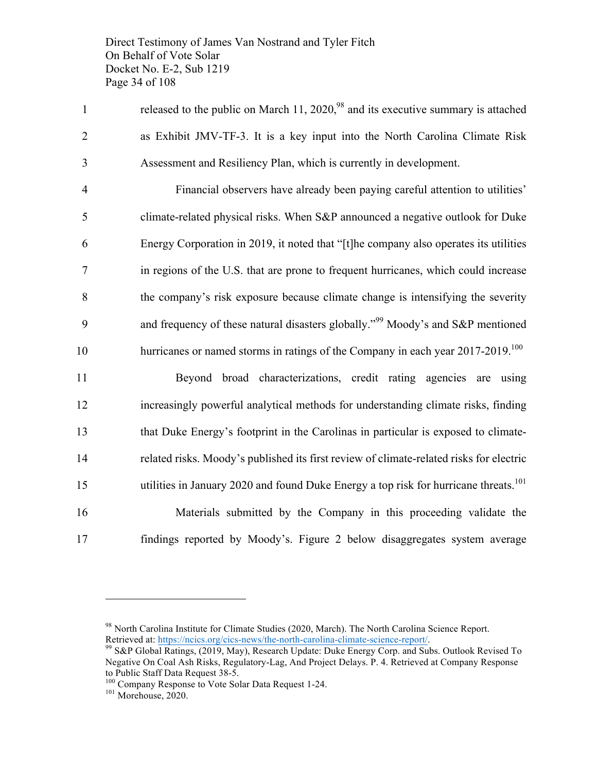Direct Testimony of James Van Nostrand and Tyler Fitch On Behalf of Vote Solar Docket No. E-2, Sub 1219 Page 34 of 108

1 released to the public on March 11, 2020,<sup>98</sup> and its executive summary is attached 2 as Exhibit JMV-TF-3. It is a key input into the North Carolina Climate Risk 3 Assessment and Resiliency Plan, which is currently in development.

 Financial observers have already been paying careful attention to utilities' climate-related physical risks. When S&P announced a negative outlook for Duke Energy Corporation in 2019, it noted that "[t]he company also operates its utilities in regions of the U.S. that are prone to frequent hurricanes, which could increase the company's risk exposure because climate change is intensifying the severity 9 and frequency of these natural disasters globally.<sup> $99$ </sup> Moody's and S&P mentioned hurricanes or named storms in ratings of the Company in each year 2017-2019.<sup>100</sup>

 Beyond broad characterizations, credit rating agencies are using increasingly powerful analytical methods for understanding climate risks, finding that Duke Energy's footprint in the Carolinas in particular is exposed to climate- related risks. Moody's published its first review of climate-related risks for electric 15 utilities in January 2020 and found Duke Energy a top risk for hurricane threats.<sup>101</sup> Materials submitted by the Company in this proceeding validate the findings reported by Moody's. Figure 2 below disaggregates system average

<sup>98</sup> North Carolina Institute for Climate Studies (2020, March). The North Carolina Science Report.

Retrieved at: https://ncics.org/cics-news/the-north-carolina-climate-science-report/.<br><sup>99</sup> S&P Global Ratings, (2019, May), Research Update: Duke Energy Corp. and Subs. Outlook Revised To Negative On Coal Ash Risks, Regulatory-Lag, And Project Delays. P. 4. Retrieved at Company Response

to Public Staff Data Request 38-5.<br><sup>100</sup> Company Response to Vote Solar Data Request 1-24.<br><sup>101</sup> Morehouse, 2020.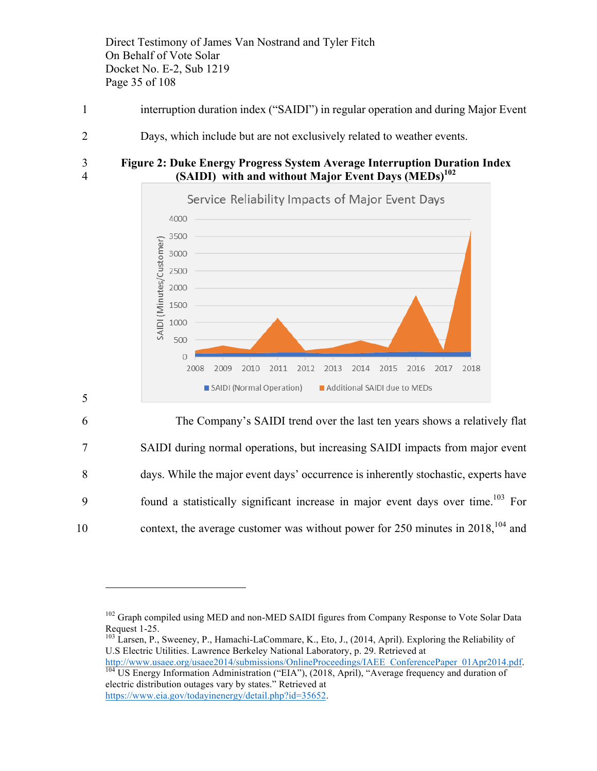Direct Testimony of James Van Nostrand and Tyler Fitch On Behalf of Vote Solar Docket No. E-2, Sub 1219 Page 35 of 108

- 1 interruption duration index ("SAIDI") in regular operation and during Major Event
- 2 Days, which include but are not exclusively related to weather events.

5

 $\overline{a}$ 

3 **Figure 2: Duke Energy Progress System Average Interruption Duration Index (SAIDI)** with and without Major Event Days (MEDs)<sup>102</sup>



6 The Company's SAIDI trend over the last ten years shows a relatively flat 7 SAIDI during normal operations, but increasing SAIDI impacts from major event 8 days. While the major event days' occurrence is inherently stochastic, experts have  $\frac{9}{2}$  found a statistically significant increase in major event days over time.<sup>103</sup> For 10 context, the average customer was without power for  $250$  minutes in  $2018$ ,  $104$  and

http://www.usaee.org/usaee2014/submissions/OnlineProceedings/IAEE\_ConferencePaper\_01Apr2014.pdf. <sup>104</sup> US Energy Information Administration ("EIA"), (2018, April), "Average frequency and duration of

<sup>&</sup>lt;sup>102</sup> Graph compiled using MED and non-MED SAIDI figures from Company Response to Vote Solar Data Request 1-25.<br><sup>103</sup> Larsen, P., Sweeney, P., Hamachi-LaCommare, K., Eto, J., (2014, April). Exploring the Reliability of

U.S Electric Utilities. Lawrence Berkeley National Laboratory, p. 29. Retrieved at

electric distribution outages vary by states." Retrieved at https://www.eia.gov/todayinenergy/detail.php?id=35652.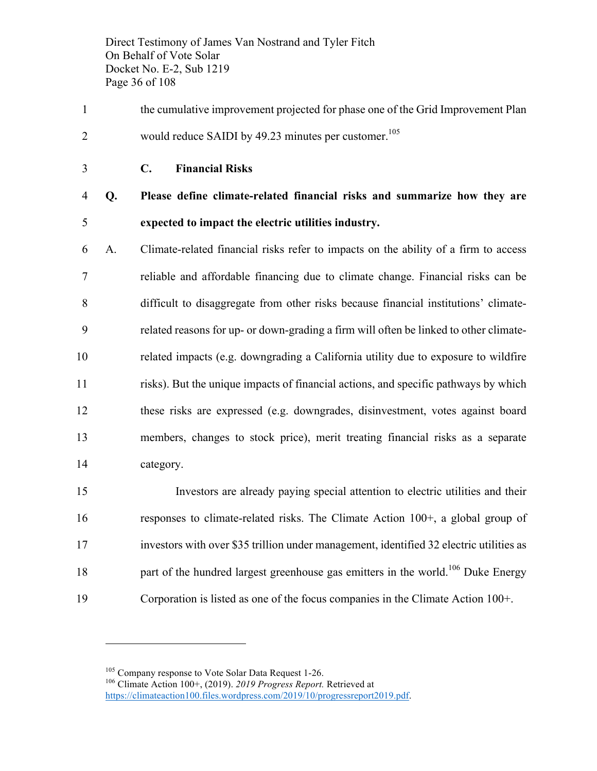Direct Testimony of James Van Nostrand and Tyler Fitch On Behalf of Vote Solar Docket No. E-2, Sub 1219 Page 36 of 108

- the cumulative improvement projected for phase one of the Grid Improvement Plan 2 would reduce SAIDI by  $49.23$  minutes per customer.<sup>105</sup>
- **C. Financial Risks**

 **Q. Please define climate-related financial risks and summarize how they are expected to impact the electric utilities industry.**

 A. Climate-related financial risks refer to impacts on the ability of a firm to access reliable and affordable financing due to climate change. Financial risks can be difficult to disaggregate from other risks because financial institutions' climate- related reasons for up- or down-grading a firm will often be linked to other climate- related impacts (e.g. downgrading a California utility due to exposure to wildfire risks). But the unique impacts of financial actions, and specific pathways by which these risks are expressed (e.g. downgrades, disinvestment, votes against board members, changes to stock price), merit treating financial risks as a separate category.

 Investors are already paying special attention to electric utilities and their responses to climate-related risks. The Climate Action 100+, a global group of investors with over \$35 trillion under management, identified 32 electric utilities as 18 heta part of the hundred largest greenhouse gas emitters in the world.<sup>106</sup> Duke Energy Corporation is listed as one of the focus companies in the Climate Action 100+.

<sup>&</sup>lt;sup>105</sup> Company response to Vote Solar Data Request 1-26.<br><sup>106</sup> Climate Action 100+, (2019). *2019 Progress Report*. Retrieved at https://climateaction100.files.wordpress.com/2019/10/progressreport2019.pdf.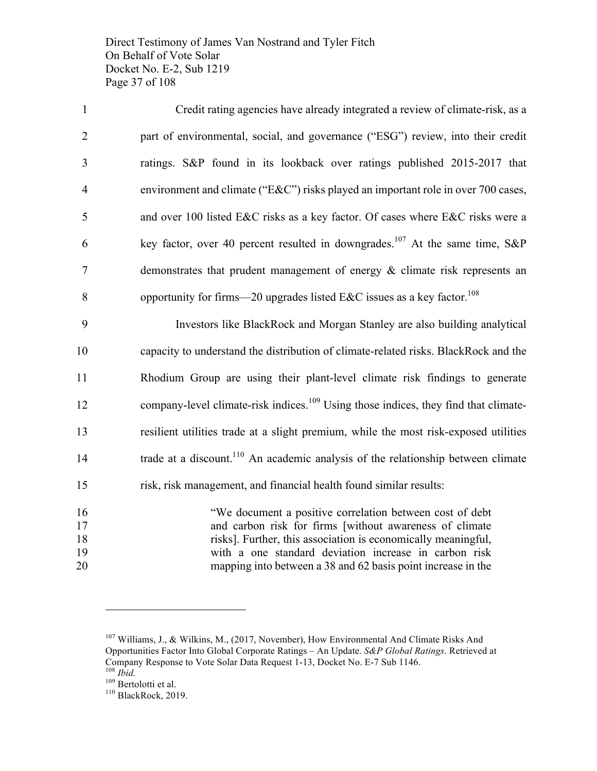Direct Testimony of James Van Nostrand and Tyler Fitch On Behalf of Vote Solar Docket No. E-2, Sub 1219 Page 37 of 108

| $\mathbf{1}$   | Credit rating agencies have already integrated a review of climate-risk, as a            |
|----------------|------------------------------------------------------------------------------------------|
| 2              | part of environmental, social, and governance ("ESG") review, into their credit          |
| 3              | ratings. S&P found in its lookback over ratings published 2015-2017 that                 |
| $\overline{4}$ | environment and climate (" $E&C$ ") risks played an important role in over 700 cases,    |
| 5              | and over 100 listed E&C risks as a key factor. Of cases where E&C risks were a           |
| 6              | key factor, over 40 percent resulted in downgrades. <sup>107</sup> At the same time, S&P |
| $\tau$         | demonstrates that prudent management of energy $\&$ climate risk represents an           |
| 8              | opportunity for firms—20 upgrades listed E&C issues as a key factor. <sup>108</sup>      |
|                |                                                                                          |

 Investors like BlackRock and Morgan Stanley are also building analytical capacity to understand the distribution of climate-related risks. BlackRock and the Rhodium Group are using their plant-level climate risk findings to generate 12 company-level climate-risk indices.<sup>109</sup> Using those indices, they find that climate- resilient utilities trade at a slight premium, while the most risk-exposed utilities  $\qquad$  trade at a discount.<sup>110</sup> An academic analysis of the relationship between climate risk, risk management, and financial health found similar results:

 "We document a positive correlation between cost of debt and carbon risk for firms [without awareness of climate risks]. Further, this association is economically meaningful, with a one standard deviation increase in carbon risk mapping into between a 38 and 62 basis point increase in the

 Williams, J., & Wilkins, M., (2017, November), How Environmental And Climate Risks And Opportunities Factor Into Global Corporate Ratings – An Update. *S&P Global Ratings*. Retrieved at Company Response to Vote Solar Data Request 1-13, Docket No. E-7 Sub 1146.<br>
<sup>108</sup> *Ibid.*<br>
<sup>109</sup> Bertolotti et al.<br>
<sup>110</sup> BlackRock, 2019.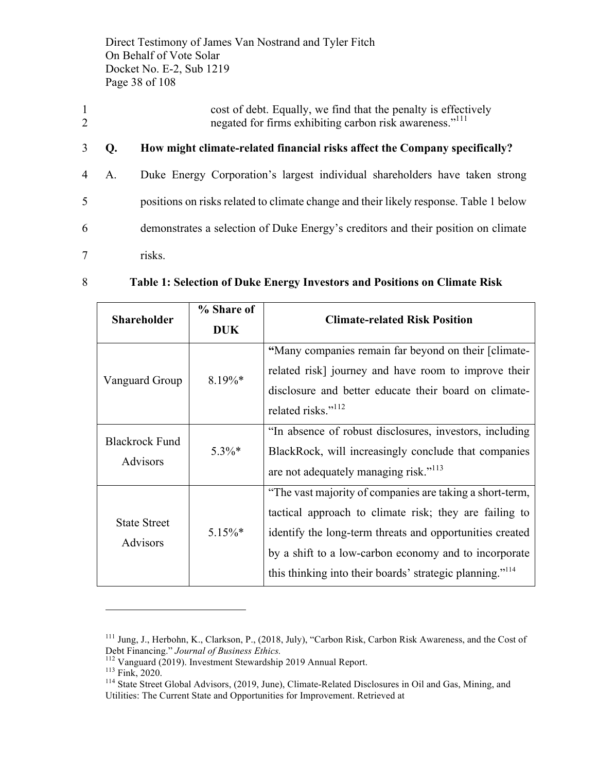Direct Testimony of James Van Nostrand and Tyler Fitch On Behalf of Vote Solar Docket No. E-2, Sub 1219 Page 38 of 108

- 1 cost of debt. Equally, we find that the penalty is effectively 2 negated for firms exhibiting carbon risk awareness.<sup>"111</sup>
- 3 **Q. How might climate-related financial risks affect the Company specifically?**
- 4 A. Duke Energy Corporation's largest individual shareholders have taken strong 5 positions on risks related to climate change and their likely response. Table 1 below 6 demonstrates a selection of Duke Energy's creditors and their position on climate 7 risks.
- 

#### 8 **Table 1: Selection of Duke Energy Investors and Positions on Climate Risk**

|                                                      | % Share of |                                                                                                                                                                                                                                                                                                                 |  |
|------------------------------------------------------|------------|-----------------------------------------------------------------------------------------------------------------------------------------------------------------------------------------------------------------------------------------------------------------------------------------------------------------|--|
| <b>Shareholder</b>                                   | <b>DUK</b> | <b>Climate-related Risk Position</b>                                                                                                                                                                                                                                                                            |  |
| Vanguard Group                                       | $8.19\%*$  | "Many companies remain far beyond on their [climate-<br>related risk] journey and have room to improve their<br>disclosure and better educate their board on climate-<br>related risks." <sup>112</sup>                                                                                                         |  |
| <b>Blackrock Fund</b><br><b>Advisors</b>             | $5.3\%*$   | "In absence of robust disclosures, investors, including<br>BlackRock, will increasingly conclude that companies<br>are not adequately managing risk." <sup>113</sup>                                                                                                                                            |  |
| <b>State Street</b><br>$5.15\%$ *<br><b>Advisors</b> |            | "The vast majority of companies are taking a short-term,<br>tactical approach to climate risk; they are failing to<br>identify the long-term threats and opportunities created<br>by a shift to a low-carbon economy and to incorporate<br>this thinking into their boards' strategic planning." <sup>114</sup> |  |

<sup>&</sup>lt;sup>111</sup> Jung, J., Herbohn, K., Clarkson, P., (2018, July), "Carbon Risk, Carbon Risk Awareness, and the Cost of Debt Financing." *Journal of Business Ethics*.

<sup>&</sup>lt;sup>112</sup> Vanguard (2019). Investment Stewardship 2019 Annual Report.<br><sup>113</sup> Fink, 2020.<br><sup>114</sup> State Street Global Advisors, (2019, June), Climate-Related Disclosures in Oil and Gas, Mining, and Utilities: The Current State and Opportunities for Improvement. Retrieved at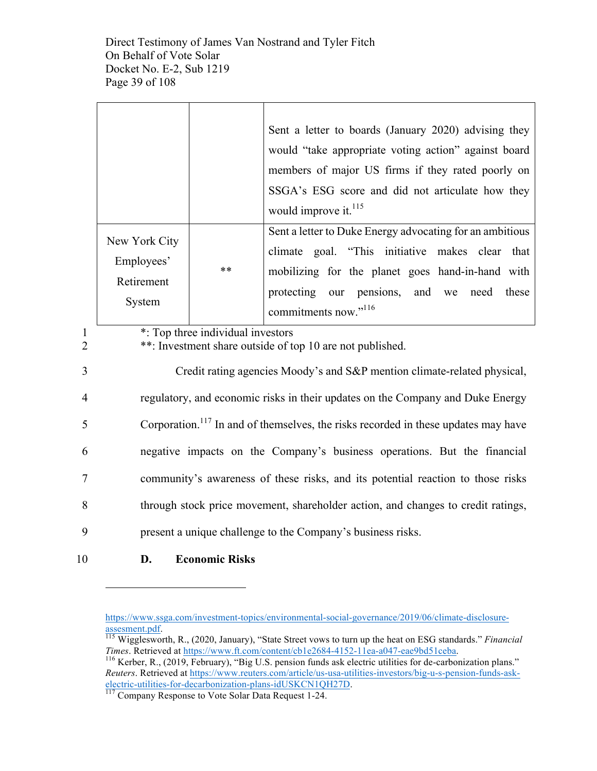Direct Testimony of James Van Nostrand and Tyler Fitch On Behalf of Vote Solar Docket No. E-2, Sub 1219 Page 39 of 108

|                     |                                                                                                |                                   | Sent a letter to boards (January 2020) advising they<br>would "take appropriate voting action" against board<br>members of major US firms if they rated poorly on<br>SSGA's ESG score and did not articulate how they<br>would improve it. <sup>115</sup>     |  |
|---------------------|------------------------------------------------------------------------------------------------|-----------------------------------|---------------------------------------------------------------------------------------------------------------------------------------------------------------------------------------------------------------------------------------------------------------|--|
|                     | New York City<br>Employees'<br>Retirement<br>System                                            | **                                | Sent a letter to Duke Energy advocating for an ambitious<br>climate goal. "This initiative makes clear that<br>mobilizing for the planet goes hand-in-hand with<br>protecting<br>our pensions,<br>and we<br>these<br>need<br>commitments now." <sup>116</sup> |  |
| 1<br>$\overline{c}$ |                                                                                                | *: Top three individual investors | **: Investment share outside of top 10 are not published.                                                                                                                                                                                                     |  |
| 3                   |                                                                                                |                                   | Credit rating agencies Moody's and S&P mention climate-related physical,                                                                                                                                                                                      |  |
| 4                   | regulatory, and economic risks in their updates on the Company and Duke Energy                 |                                   |                                                                                                                                                                                                                                                               |  |
| 5                   | Corporation. <sup>117</sup> In and of themselves, the risks recorded in these updates may have |                                   |                                                                                                                                                                                                                                                               |  |
| 6                   | negative impacts on the Company's business operations. But the financial                       |                                   |                                                                                                                                                                                                                                                               |  |
| 7                   |                                                                                                |                                   | community's awareness of these risks, and its potential reaction to those risks                                                                                                                                                                               |  |
| 8                   | through stock price movement, shareholder action, and changes to credit ratings,               |                                   |                                                                                                                                                                                                                                                               |  |
|                     |                                                                                                |                                   |                                                                                                                                                                                                                                                               |  |

9 present a unique challenge to the Company's business risks.

10 **D. Economic Risks**

https://www.ssga.com/investment-topics/environmental-social-governance/2019/06/climate-disclosure-

<sup>115</sup> Wigglesworth, R., (2020, January), "State Street vows to turn up the heat on ESG standards." *Financial Times*. Retrieved at https://www.ft.com/content/cb1e2684-4152-11ea-a047-eae9bd51ceba.<br><sup>116</sup> Kerber, R., (2019, February), "Big U.S. pension funds ask electric utilities for de-carbonization plans."

*Reuters*. Retrieved at https://www.reuters.com/article/us-usa-utilities-investors/big-u-s-pension-funds-askelectric-utilities-for-decarbonization-plans-idUSKCN1QH27D.<br><sup>117</sup> Company Response to Vote Solar Data Request 1-24.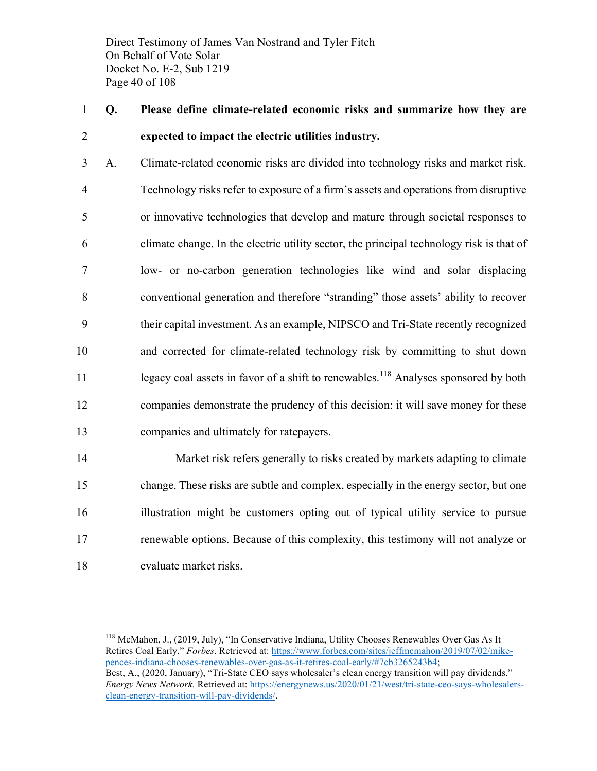Direct Testimony of James Van Nostrand and Tyler Fitch On Behalf of Vote Solar Docket No. E-2, Sub 1219 Page 40 of 108

1 **Q. Please define climate-related economic risks and summarize how they are**  2 **expected to impact the electric utilities industry.**

 A. Climate-related economic risks are divided into technology risks and market risk. Technology risks refer to exposure of a firm's assets and operations from disruptive or innovative technologies that develop and mature through societal responses to climate change. In the electric utility sector, the principal technology risk is that of low- or no-carbon generation technologies like wind and solar displacing conventional generation and therefore "stranding" those assets' ability to recover their capital investment. As an example, NIPSCO and Tri-State recently recognized and corrected for climate-related technology risk by committing to shut down 11 legacy coal assets in favor of a shift to renewables.<sup>118</sup> Analyses sponsored by both companies demonstrate the prudency of this decision: it will save money for these companies and ultimately for ratepayers.

 Market risk refers generally to risks created by markets adapting to climate change. These risks are subtle and complex, especially in the energy sector, but one illustration might be customers opting out of typical utility service to pursue renewable options. Because of this complexity, this testimony will not analyze or evaluate market risks.

<sup>&</sup>lt;sup>118</sup> McMahon, J., (2019, July), "In Conservative Indiana, Utility Chooses Renewables Over Gas As It Retires Coal Early." *Forbes*. Retrieved at: https://www.forbes.com/sites/jeffmcmahon/2019/07/02/mikepences-indiana-chooses-renewables-over-gas-as-it-retires-coal-early/#7cb3265243b4; Best, A., (2020, January), "Tri-State CEO says wholesaler's clean energy transition will pay dividends." *Energy News Network.* Retrieved at: https://energynews.us/2020/01/21/west/tri-state-ceo-says-wholesalersclean-energy-transition-will-pay-dividends/.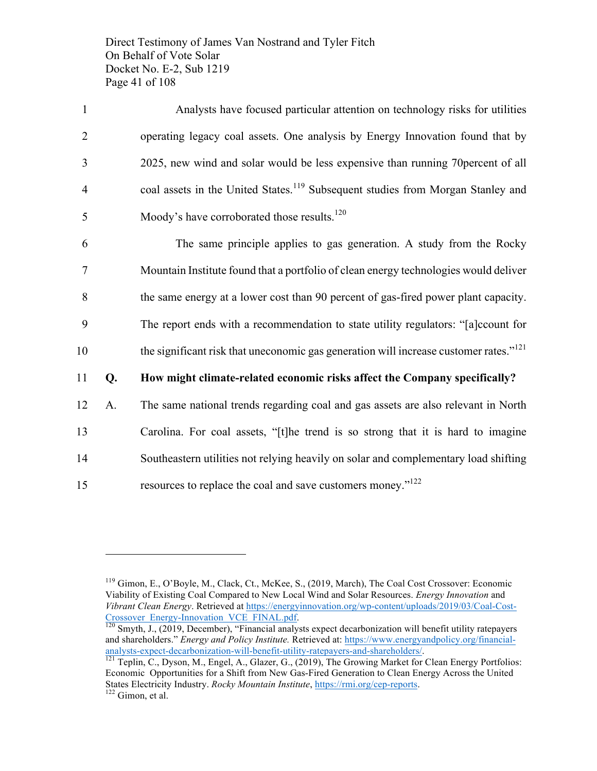Direct Testimony of James Van Nostrand and Tyler Fitch On Behalf of Vote Solar Docket No. E-2, Sub 1219 Page 41 of 108

| $\mathbf{1}$   | Analysts have focused particular attention on technology risks for utilities                      |
|----------------|---------------------------------------------------------------------------------------------------|
| $\overline{2}$ | operating legacy coal assets. One analysis by Energy Innovation found that by                     |
| 3              | 2025, new wind and solar would be less expensive than running 70 percent of all                   |
| $\overline{4}$ | coal assets in the United States. <sup>119</sup> Subsequent studies from Morgan Stanley and       |
| 5              | Moody's have corroborated those results. <sup>120</sup>                                           |
| 6              | The same principle applies to gas generation. A study from the Rocky                              |
| 7              | Mountain Institute found that a portfolio of clean energy technologies would deliver              |
| 8              | the same energy at a lower cost than 90 percent of gas-fired power plant capacity.                |
| 9              | The report ends with a recommendation to state utility regulators: "[a]ccount for                 |
| 10             | the significant risk that uneconomic gas generation will increase customer rates." <sup>121</sup> |
| 11<br>Q.       | How might climate-related economic risks affect the Company specifically?                         |
| 12<br>A.       | The same national trends regarding coal and gas assets are also relevant in North                 |
| 13             | Carolina. For coal assets, "[t]he trend is so strong that it is hard to imagine                   |
| 14             | Southeastern utilities not relying heavily on solar and complementary load shifting               |

15 resources to replace the coal and save customers money."<sup>122</sup>

<sup>119</sup> Gimon, E., O'Boyle, M., Clack, Ct., McKee, S., (2019, March), The Coal Cost Crossover: Economic Viability of Existing Coal Compared to New Local Wind and Solar Resources. *Energy Innovation* and *Vibrant Clean Energy*. Retrieved at https://energyinnovation.org/wp-content/uploads/2019/03/Coal-Cost-Crossover\_Energy-Innovation\_VCE\_FINAL.pdf. 120 Smyth, J., (2019, December), "Financial analysts expect decarbonization will benefit utility ratepayers

and shareholders." *Energy and Policy Institute.* Retrieved at: https://www.energyandpolicy.org/financialanalysts-expect-decarbonization-will-benefit-utility-ratepayers-and-shareholders/.<br><sup>121</sup> Teplin, C., Dyson, M., Engel, A., Glazer, G., (2019), The Growing Market for Clean Energy Portfolios:

Economic Opportunities for a Shift from New Gas-Fired Generation to Clean Energy Across the United States Electricity Industry. *Rocky Mountain Institute*, https://rmi.org/cep-reports. <sup>122</sup> Gimon, et al.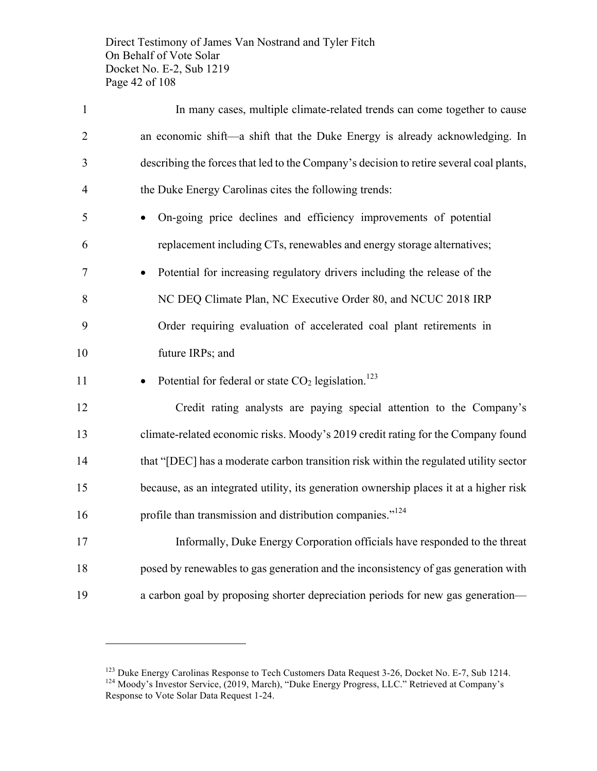Direct Testimony of James Van Nostrand and Tyler Fitch On Behalf of Vote Solar Docket No. E-2, Sub 1219 Page 42 of 108

| $\mathbf{1}$   | In many cases, multiple climate-related trends can come together to cause               |
|----------------|-----------------------------------------------------------------------------------------|
| $\overline{2}$ | an economic shift—a shift that the Duke Energy is already acknowledging. In             |
| 3              | describing the forces that led to the Company's decision to retire several coal plants, |
| $\overline{4}$ | the Duke Energy Carolinas cites the following trends:                                   |
| 5              | On-going price declines and efficiency improvements of potential                        |
| 6              | replacement including CTs, renewables and energy storage alternatives;                  |
| 7              | Potential for increasing regulatory drivers including the release of the                |
| 8              | NC DEQ Climate Plan, NC Executive Order 80, and NCUC 2018 IRP                           |
| 9              | Order requiring evaluation of accelerated coal plant retirements in                     |
| 10             | future IRPs; and                                                                        |
| 11             | Potential for federal or state $CO2$ legislation. <sup>123</sup>                        |
| 12             | Credit rating analysts are paying special attention to the Company's                    |
| 13             | climate-related economic risks. Moody's 2019 credit rating for the Company found        |
| 14             | that "[DEC] has a moderate carbon transition risk within the regulated utility sector   |
| 15             | because, as an integrated utility, its generation ownership places it at a higher risk  |
| 16             | profile than transmission and distribution companies." <sup>124</sup>                   |
| 17             | Informally, Duke Energy Corporation officials have responded to the threat              |
| 18             | posed by renewables to gas generation and the inconsistency of gas generation with      |
| 19             | a carbon goal by proposing shorter depreciation periods for new gas generation—         |

<sup>&</sup>lt;sup>123</sup> Duke Energy Carolinas Response to Tech Customers Data Request 3-26, Docket No. E-7, Sub 1214.<br><sup>124</sup> Moody's Investor Service, (2019, March), "Duke Energy Progress, LLC." Retrieved at Company's Response to Vote Solar Data Request 1-24.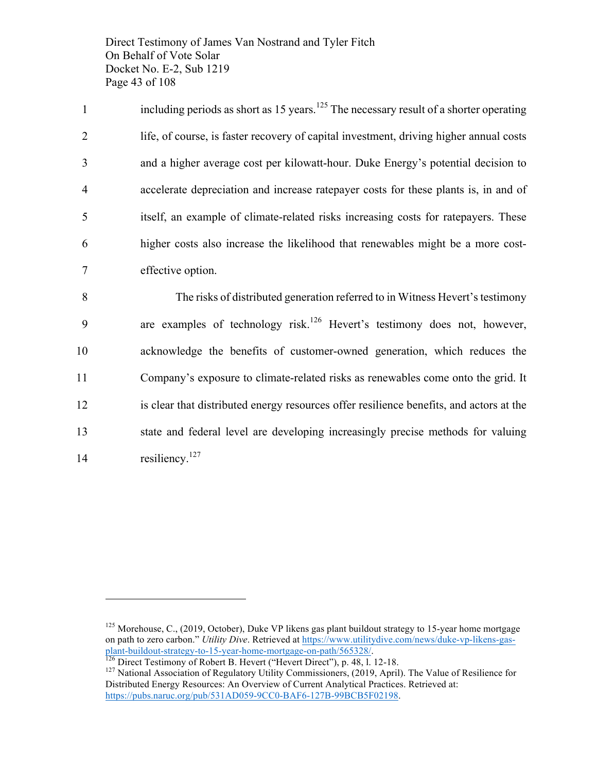Direct Testimony of James Van Nostrand and Tyler Fitch On Behalf of Vote Solar Docket No. E-2, Sub 1219 Page 43 of 108

including periods as short as  $15$  years.<sup>125</sup> The necessary result of a shorter operating life, of course, is faster recovery of capital investment, driving higher annual costs and a higher average cost per kilowatt-hour. Duke Energy's potential decision to accelerate depreciation and increase ratepayer costs for these plants is, in and of itself, an example of climate-related risks increasing costs for ratepayers. These higher costs also increase the likelihood that renewables might be a more cost-effective option.

 The risks of distributed generation referred to in Witness Hevert's testimony 9 are examples of technology risk.<sup>126</sup> Hevert's testimony does not, however, acknowledge the benefits of customer-owned generation, which reduces the Company's exposure to climate-related risks as renewables come onto the grid. It is clear that distributed energy resources offer resilience benefits, and actors at the state and federal level are developing increasingly precise methods for valuing 14 resiliency. $^{127}$ 

<sup>&</sup>lt;sup>125</sup> Morehouse, C., (2019, October), Duke VP likens gas plant buildout strategy to 15-year home mortgage on path to zero carbon." *Utility Dive*. Retrieved at https://www.utilitydive.com/news/duke-vp-likens-gasplant-buildout-strategy-to-15-year-home-mortgage-on-path/565328/.<br><sup>126</sup> Direct Testimony of Robert B. Hevert ("Hevert Direct"), p. 48, 1. 12-18.<br><sup>127</sup> National Association of Regulatory Utility Commissioners, (2019, April)

Distributed Energy Resources: An Overview of Current Analytical Practices. Retrieved at: https://pubs.naruc.org/pub/531AD059-9CC0-BAF6-127B-99BCB5F02198.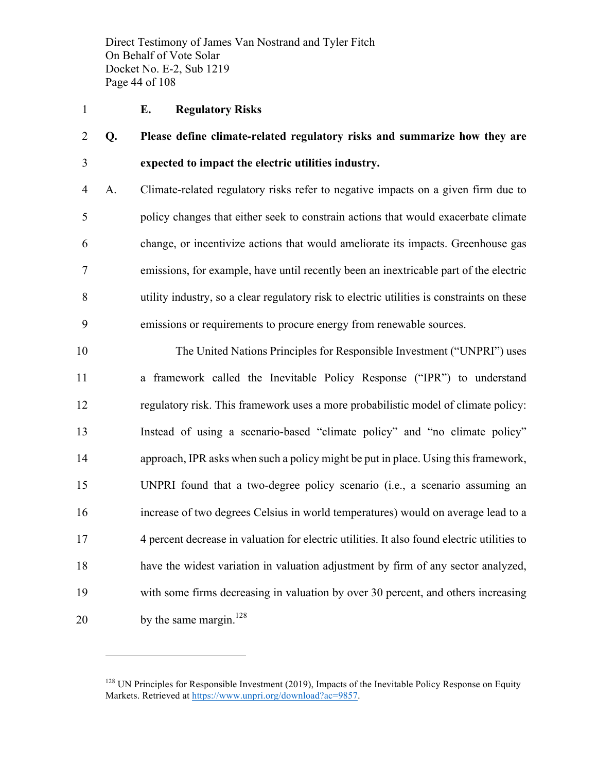Direct Testimony of James Van Nostrand and Tyler Fitch On Behalf of Vote Solar Docket No. E-2, Sub 1219 Page 44 of 108

#### **E. Regulatory Risks**

 $\overline{a}$ 

 **Q. Please define climate-related regulatory risks and summarize how they are expected to impact the electric utilities industry.**

 A. Climate-related regulatory risks refer to negative impacts on a given firm due to policy changes that either seek to constrain actions that would exacerbate climate change, or incentivize actions that would ameliorate its impacts. Greenhouse gas emissions, for example, have until recently been an inextricable part of the electric utility industry, so a clear regulatory risk to electric utilities is constraints on these emissions or requirements to procure energy from renewable sources.

 The United Nations Principles for Responsible Investment ("UNPRI") uses a framework called the Inevitable Policy Response ("IPR") to understand regulatory risk. This framework uses a more probabilistic model of climate policy: Instead of using a scenario-based "climate policy" and "no climate policy" approach, IPR asks when such a policy might be put in place. Using this framework, UNPRI found that a two-degree policy scenario (i.e., a scenario assuming an increase of two degrees Celsius in world temperatures) would on average lead to a 4 percent decrease in valuation for electric utilities. It also found electric utilities to have the widest variation in valuation adjustment by firm of any sector analyzed, with some firms decreasing in valuation by over 30 percent, and others increasing 20 by the same margin.<sup>128</sup>

 UN Principles for Responsible Investment (2019), Impacts of the Inevitable Policy Response on Equity Markets. Retrieved at https://www.unpri.org/download?ac=9857.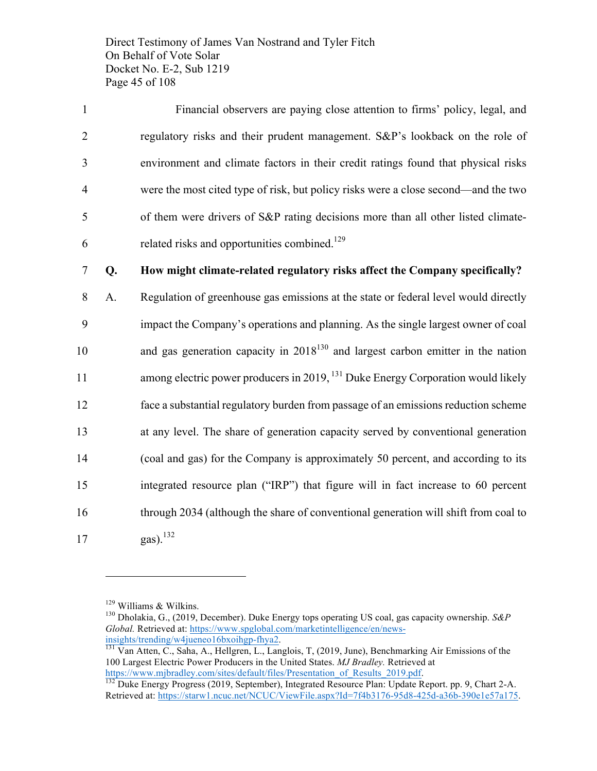Direct Testimony of James Van Nostrand and Tyler Fitch On Behalf of Vote Solar Docket No. E-2, Sub 1219 Page 45 of 108

 Financial observers are paying close attention to firms' policy, legal, and regulatory risks and their prudent management. S&P's lookback on the role of environment and climate factors in their credit ratings found that physical risks were the most cited type of risk, but policy risks were a close second—and the two of them were drivers of S&P rating decisions more than all other listed climate-6 related risks and opportunities combined.<sup>129</sup>

### 7 **Q. How might climate-related regulatory risks affect the Company specifically?**

 A. Regulation of greenhouse gas emissions at the state or federal level would directly impact the Company's operations and planning. As the single largest owner of coal 10 and gas generation capacity in  $2018^{130}$  and largest carbon emitter in the nation 11 among electric power producers in 2019, <sup>131</sup> Duke Energy Corporation would likely face a substantial regulatory burden from passage of an emissions reduction scheme at any level. The share of generation capacity served by conventional generation (coal and gas) for the Company is approximately 50 percent, and according to its integrated resource plan ("IRP") that figure will in fact increase to 60 percent through 2034 (although the share of conventional generation will shift from coal to 17 gas).<sup>132</sup>

<sup>&</sup>lt;sup>129</sup> Williams & Wilkins.<br><sup>130</sup> Dholakia, G., (2019, December). Duke Energy tops operating US coal, gas capacity ownership. *S&P Global.* Retrieved at: https://www.spglobal.com/marketintelligence/en/news-

insights/trending/w4jueneo16bxoihgp-fhya2.<br><sup>131</sup> Van Atten, C., Saha, A., Hellgren, L., Langlois, T, (2019, June), Benchmarking Air Emissions of the 100 Largest Electric Power Producers in the United States. *MJ Bradley.* Retrieved at

https://www.mjbradley.com/sites/default/files/Presentation\_of\_Results\_2019.pdf. 132 Duke Energy Progress (2019, September), Integrated Resource Plan: Update Report. pp. 9, Chart 2-A. Retrieved at: https://starw1.ncuc.net/NCUC/ViewFile.aspx?Id=7f4b3176-95d8-425d-a36b-390e1e57a175.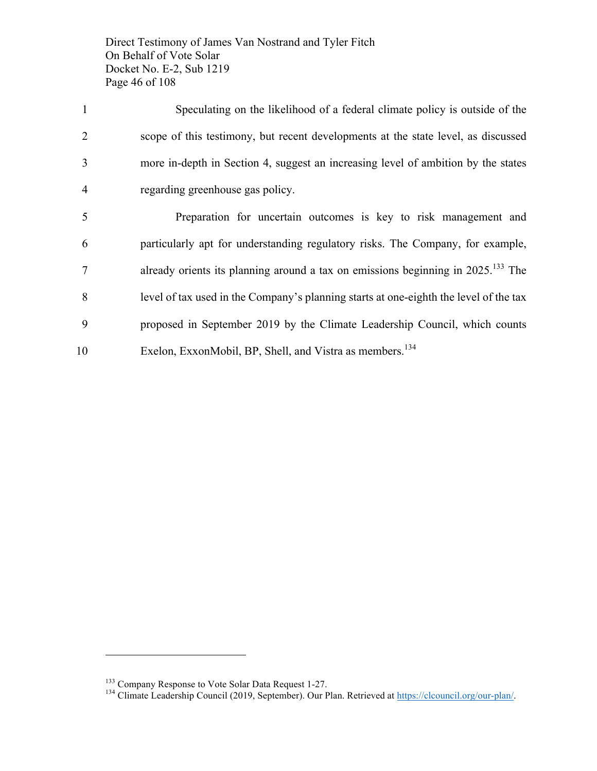Direct Testimony of James Van Nostrand and Tyler Fitch On Behalf of Vote Solar Docket No. E-2, Sub 1219 Page 46 of 108

| $\overline{1}$ | Speculating on the likelihood of a federal climate policy is outside of the                     |
|----------------|-------------------------------------------------------------------------------------------------|
| 2              | scope of this testimony, but recent developments at the state level, as discussed               |
| 3              | more in-depth in Section 4, suggest an increasing level of ambition by the states               |
| $\overline{4}$ | regarding greenhouse gas policy.                                                                |
| 5              | Preparation for uncertain outcomes is key to risk management and                                |
| 6              | particularly apt for understanding regulatory risks. The Company, for example,                  |
| 7              | already orients its planning around a tax on emissions beginning in $2025$ . <sup>133</sup> The |

8 level of tax used in the Company's planning starts at one-eighth the level of the tax

- 9 proposed in September 2019 by the Climate Leadership Council, which counts
- 10 Exelon, ExxonMobil, BP, Shell, and Vistra as members.<sup>134</sup>

<sup>&</sup>lt;sup>133</sup> Company Response to Vote Solar Data Request 1-27.<br><sup>134</sup> Climate Leadership Council (2019, September). Our Plan. Retrieved at https://clcouncil.org/our-plan/.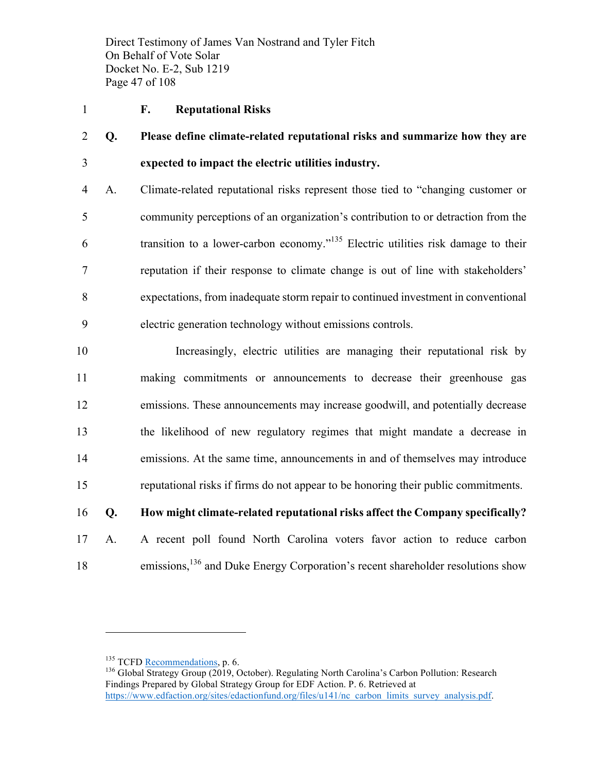Direct Testimony of James Van Nostrand and Tyler Fitch On Behalf of Vote Solar Docket No. E-2, Sub 1219 Page 47 of 108

#### **F. Reputational Risks**

 **Q. Please define climate-related reputational risks and summarize how they are expected to impact the electric utilities industry.**

 A. Climate-related reputational risks represent those tied to "changing customer or community perceptions of an organization's contribution to or detraction from the transition to a lower-carbon economy.<sup> $135$ </sup> Electric utilities risk damage to their reputation if their response to climate change is out of line with stakeholders' expectations, from inadequate storm repair to continued investment in conventional electric generation technology without emissions controls.

 Increasingly, electric utilities are managing their reputational risk by making commitments or announcements to decrease their greenhouse gas emissions. These announcements may increase goodwill, and potentially decrease the likelihood of new regulatory regimes that might mandate a decrease in emissions. At the same time, announcements in and of themselves may introduce reputational risks if firms do not appear to be honoring their public commitments.

### **Q. How might climate-related reputational risks affect the Company specifically?**

 A. A recent poll found North Carolina voters favor action to reduce carbon 18 emissions,<sup>136</sup> and Duke Energy Corporation's recent shareholder resolutions show

<sup>&</sup>lt;sup>135</sup> TCFD Recommendations, p. 6.<br><sup>136</sup> Global Strategy Group (2019, October). Regulating North Carolina's Carbon Pollution: Research Findings Prepared by Global Strategy Group for EDF Action. P. 6. Retrieved at https://www.edfaction.org/sites/edactionfund.org/files/u141/nc\_carbon\_limits\_survey\_analysis.pdf.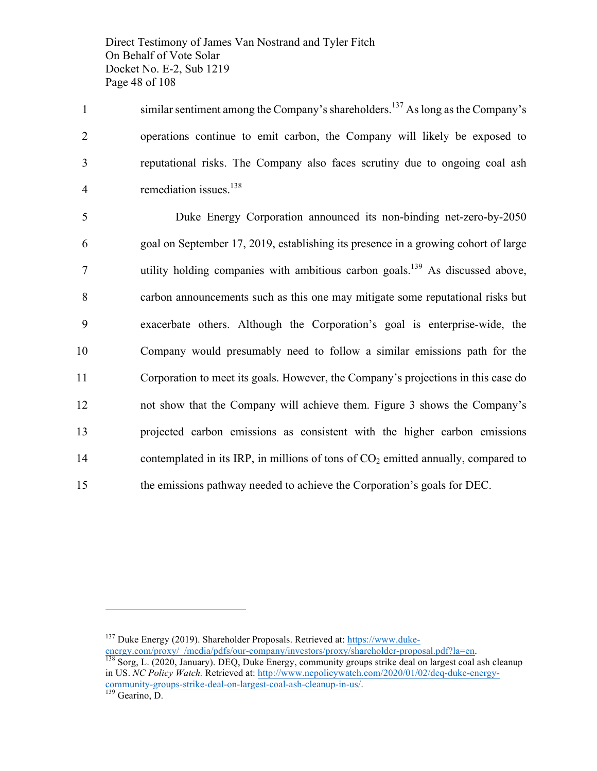Direct Testimony of James Van Nostrand and Tyler Fitch On Behalf of Vote Solar Docket No. E-2, Sub 1219 Page 48 of 108

1 similar sentiment among the Company's shareholders.<sup>137</sup> As long as the Company's 2 operations continue to emit carbon, the Company will likely be exposed to 3 reputational risks. The Company also faces scrutiny due to ongoing coal ash 4 remediation issues. $138$ 

 Duke Energy Corporation announced its non-binding net-zero-by-2050 goal on September 17, 2019, establishing its presence in a growing cohort of large 7 utility holding companies with ambitious carbon goals.<sup>139</sup> As discussed above, carbon announcements such as this one may mitigate some reputational risks but exacerbate others. Although the Corporation's goal is enterprise-wide, the Company would presumably need to follow a similar emissions path for the Corporation to meet its goals. However, the Company's projections in this case do not show that the Company will achieve them. Figure 3 shows the Company's projected carbon emissions as consistent with the higher carbon emissions 14 contemplated in its IRP, in millions of tons of  $CO<sub>2</sub>$  emitted annually, compared to the emissions pathway needed to achieve the Corporation's goals for DEC.

 $137$  Duke Energy (2019). Shareholder Proposals. Retrieved at: https://www.duke-

energy.com/proxy/\_/media/pdfs/our-company/investors/proxy/shareholder-proposal.pdf?la=en. 138 Sorg, L. (2020, January). DEQ, Duke Energy, community groups strike deal on largest coal ash cleanup in US. *NC Policy Watch.* Retrieved at: http://www.ncpolicywatch.com/2020/01/02/deq-duke-energycommunity-groups-strike-deal-on-largest-coal-ash-cleanup-in-us/.<br><sup>139</sup> Gearino, D.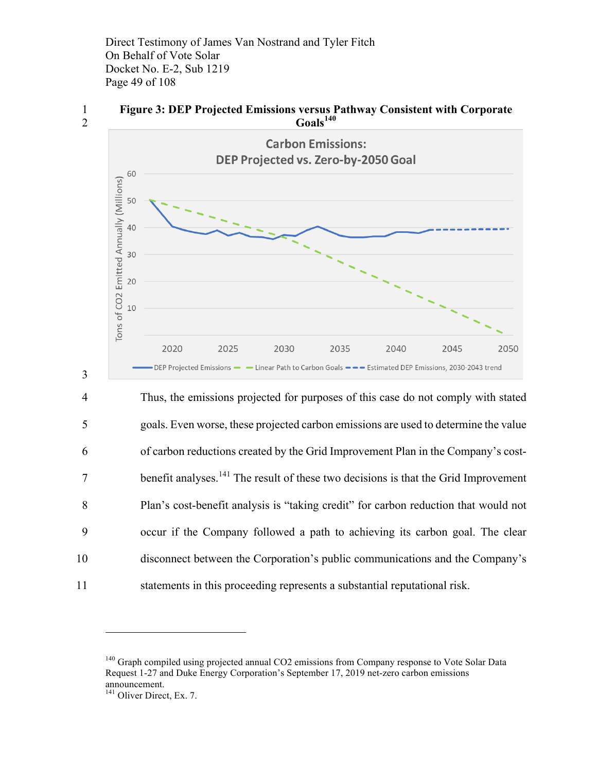Direct Testimony of James Van Nostrand and Tyler Fitch On Behalf of Vote Solar Docket No. E-2, Sub 1219 Page 49 of 108



3

1 **Figure 3: DEP Projected Emissions versus Pathway Consistent with Corporate Goals<sup>140</sup>** 2



 Thus, the emissions projected for purposes of this case do not comply with stated goals. Even worse, these projected carbon emissions are used to determine the value of carbon reductions created by the Grid Improvement Plan in the Company's cost-7 benefit analyses.<sup>141</sup> The result of these two decisions is that the Grid Improvement Plan's cost-benefit analysis is "taking credit" for carbon reduction that would not occur if the Company followed a path to achieving its carbon goal. The clear disconnect between the Corporation's public communications and the Company's statements in this proceeding represents a substantial reputational risk.

<sup>&</sup>lt;sup>140</sup> Graph compiled using projected annual CO2 emissions from Company response to Vote Solar Data Request 1-27 and Duke Energy Corporation's September 17, 2019 net-zero carbon emissions announcement.

<sup>&</sup>lt;sup>141</sup> Oliver Direct, Ex. 7.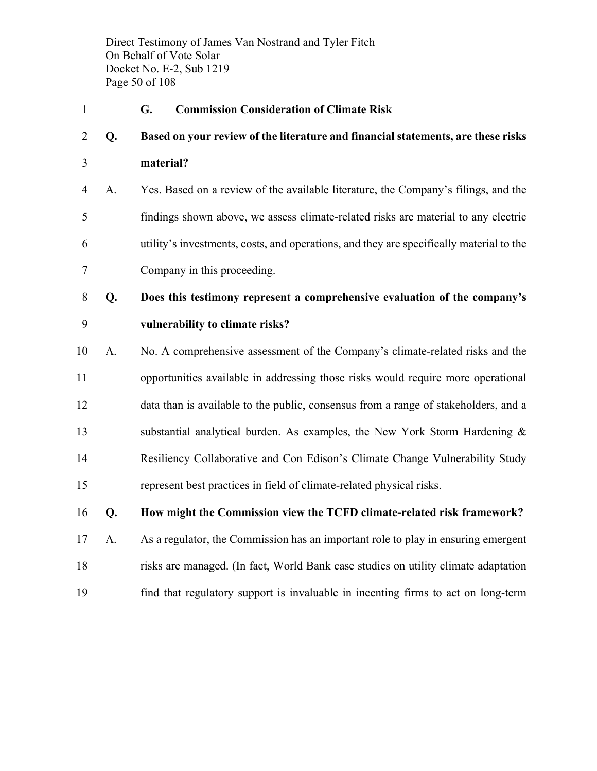Direct Testimony of James Van Nostrand and Tyler Fitch On Behalf of Vote Solar Docket No. E-2, Sub 1219 Page 50 of 108

**G. Commission Consideration of Climate Risk**

# **Q. Based on your review of the literature and financial statements, are these risks**

**material?**

 A. Yes. Based on a review of the available literature, the Company's filings, and the findings shown above, we assess climate-related risks are material to any electric utility's investments, costs, and operations, and they are specifically material to the Company in this proceeding.

- **Q. Does this testimony represent a comprehensive evaluation of the company's vulnerability to climate risks?**
- A. No. A comprehensive assessment of the Company's climate-related risks and the opportunities available in addressing those risks would require more operational data than is available to the public, consensus from a range of stakeholders, and a substantial analytical burden. As examples, the New York Storm Hardening & Resiliency Collaborative and Con Edison's Climate Change Vulnerability Study represent best practices in field of climate-related physical risks.

### **Q. How might the Commission view the TCFD climate-related risk framework?**

 A. As a regulator, the Commission has an important role to play in ensuring emergent risks are managed. (In fact, World Bank case studies on utility climate adaptation find that regulatory support is invaluable in incenting firms to act on long-term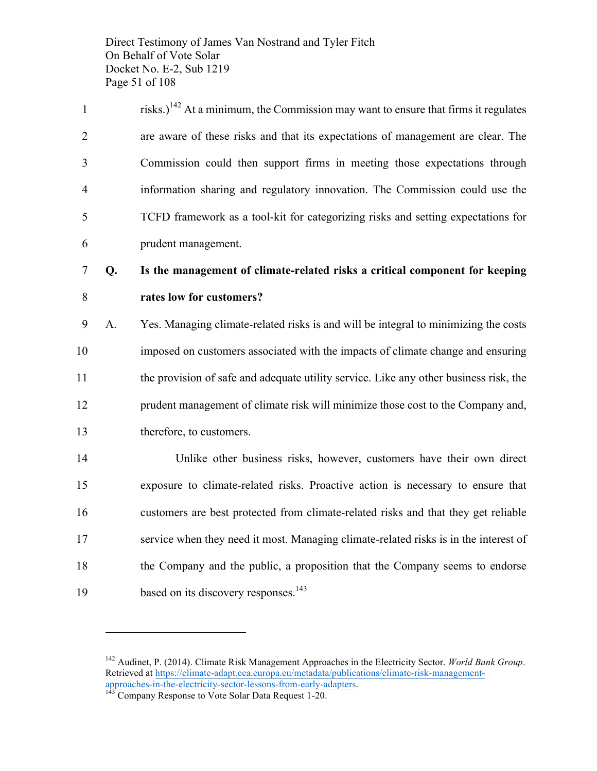Direct Testimony of James Van Nostrand and Tyler Fitch On Behalf of Vote Solar Docket No. E-2, Sub 1219 Page 51 of 108

| $\mathbf{1}$   | risks.) <sup>142</sup> At a minimum, the Commission may want to ensure that firms it regulates |
|----------------|------------------------------------------------------------------------------------------------|
| $\overline{2}$ | are aware of these risks and that its expectations of management are clear. The                |
| 3              | Commission could then support firms in meeting those expectations through                      |
| $\overline{4}$ | information sharing and regulatory innovation. The Commission could use the                    |
| 5              | TCFD framework as a tool-kit for categorizing risks and setting expectations for               |
| 6              | prudent management.                                                                            |

# **Q. Is the management of climate-related risks a critical component for keeping rates low for customers?**

 A. Yes. Managing climate-related risks is and will be integral to minimizing the costs imposed on customers associated with the impacts of climate change and ensuring the provision of safe and adequate utility service. Like any other business risk, the prudent management of climate risk will minimize those cost to the Company and, therefore, to customers.

 Unlike other business risks, however, customers have their own direct exposure to climate-related risks. Proactive action is necessary to ensure that customers are best protected from climate-related risks and that they get reliable service when they need it most. Managing climate-related risks is in the interest of the Company and the public, a proposition that the Company seems to endorse 19 based on its discovery responses.<sup>143</sup>

 Audinet, P. (2014). Climate Risk Management Approaches in the Electricity Sector. *World Bank Group*. Retrieved at https://climate-adapt.eea.europa.eu/metadata/publications/climate-risk-managementapproaches-in-the-electricity-sector-lessons-from-early-adapters. <sup>143</sup> Company Response to Vote Solar Data Request 1-20.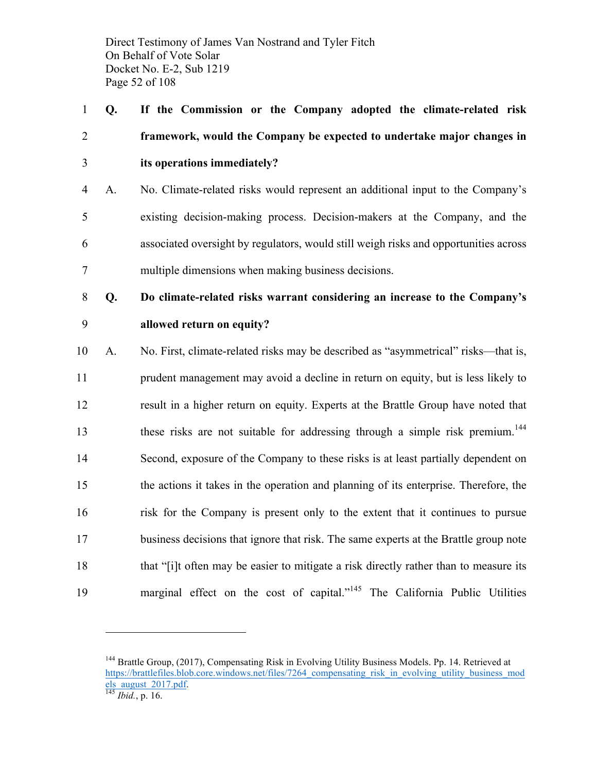Direct Testimony of James Van Nostrand and Tyler Fitch On Behalf of Vote Solar Docket No. E-2, Sub 1219 Page 52 of 108

 **Q. If the Commission or the Company adopted the climate-related risk framework, would the Company be expected to undertake major changes in its operations immediately?**

- A. No. Climate-related risks would represent an additional input to the Company's existing decision-making process. Decision-makers at the Company, and the associated oversight by regulators, would still weigh risks and opportunities across multiple dimensions when making business decisions.
- **Q. Do climate-related risks warrant considering an increase to the Company's allowed return on equity?**
- A. No. First, climate-related risks may be described as "asymmetrical" risks—that is, prudent management may avoid a decline in return on equity, but is less likely to result in a higher return on equity. Experts at the Brattle Group have noted that these risks are not suitable for addressing through a simple risk premium.<sup>144</sup> Second, exposure of the Company to these risks is at least partially dependent on the actions it takes in the operation and planning of its enterprise. Therefore, the risk for the Company is present only to the extent that it continues to pursue business decisions that ignore that risk. The same experts at the Brattle group note that "[i]t often may be easier to mitigate a risk directly rather than to measure its 19 marginal effect on the cost of capital."<sup>145</sup> The California Public Utilities

<sup>&</sup>lt;sup>144</sup> Brattle Group, (2017), Compensating Risk in Evolving Utility Business Models. Pp. 14. Retrieved at https://brattlefiles.blob.core.windows.net/files/7264 compensating risk in evolving utility business mod els\_august\_2017.pdf. <sup>145</sup> *Ibid.*, p. 16.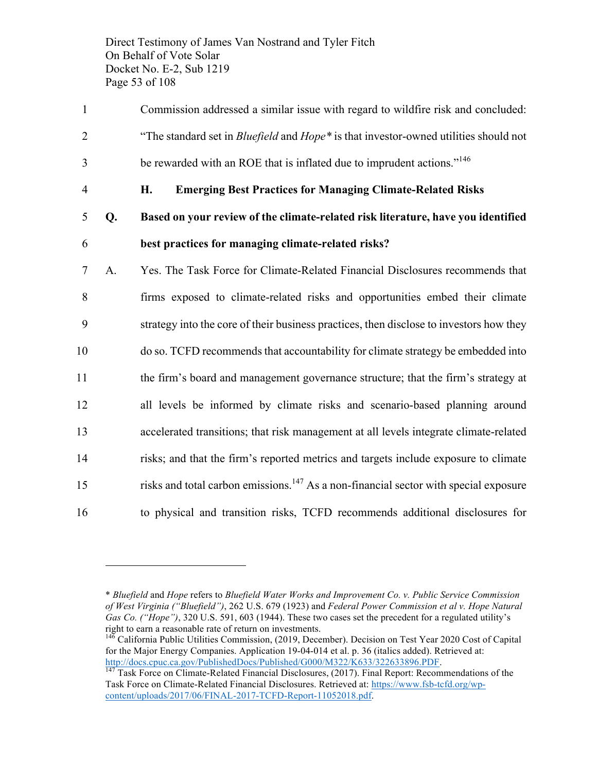Direct Testimony of James Van Nostrand and Tyler Fitch On Behalf of Vote Solar Docket No. E-2, Sub 1219 Page 53 of 108

- 1 Commission addressed a similar issue with regard to wildfire risk and concluded: 2 "The standard set in *Bluefield* and *Hope\** is that investor-owned utilities should not be rewarded with an ROE that is inflated due to imprudent actions."<sup>146</sup>
- 

- 4 **H. Emerging Best Practices for Managing Climate-Related Risks**
- 5 **Q. Based on your review of the climate-related risk literature, have you identified**  6 **best practices for managing climate-related risks?**
- 7 A. Yes. The Task Force for Climate-Related Financial Disclosures recommends that 8 firms exposed to climate-related risks and opportunities embed their climate 9 strategy into the core of their business practices, then disclose to investors how they 10 do so. TCFD recommends that accountability for climate strategy be embedded into 11 the firm's board and management governance structure; that the firm's strategy at 12 all levels be informed by climate risks and scenario-based planning around 13 accelerated transitions; that risk management at all levels integrate climate-related 14 risks; and that the firm's reported metrics and targets include exposure to climate 15 risks and total carbon emissions.<sup>147</sup> As a non-financial sector with special exposure 16 to physical and transition risks, TCFD recommends additional disclosures for

<sup>\*</sup> *Bluefield* and *Hope* refers to *Bluefield Water Works and Improvement Co. v. Public Service Commission of West Virginia ("Bluefield")*, 262 U.S. 679 (1923) and *Federal Power Commission et al v. Hope Natural Gas Co. ("Hope")*, 320 U.S. 591, 603 (1944). These two cases set the precedent for a regulated utility's right to earn a reasonable rate of return on investments.

<sup>&</sup>lt;sup>146</sup> California Public Utilities Commission, (2019, December). Decision on Test Year 2020 Cost of Capital for the Major Energy Companies. Application 19-04-014 et al. p. 36 (italics added). Retrieved at: http://docs.cpuc.ca.gov/PublishedDocs/Published/G000/M322/K633/322633896.PDF.<br><sup>147</sup> Task Force on Climate-Related Financial Disclosures, (2017). Final Report: Recommendations of the

Task Force on Climate-Related Financial Disclosures. Retrieved at: https://www.fsb-tcfd.org/wpcontent/uploads/2017/06/FINAL-2017-TCFD-Report-11052018.pdf.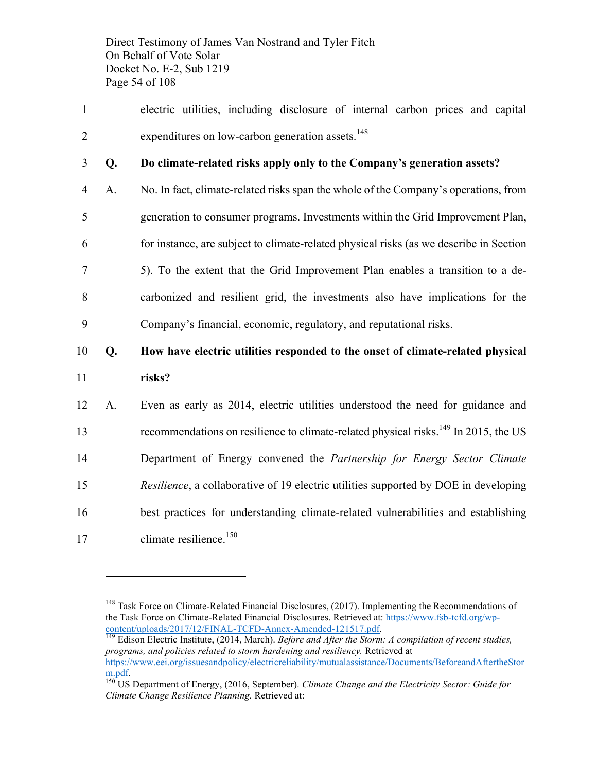Direct Testimony of James Van Nostrand and Tyler Fitch On Behalf of Vote Solar Docket No. E-2, Sub 1219 Page 54 of 108

- 1 electric utilities, including disclosure of internal carbon prices and capital 2 expenditures on low-carbon generation assets. $148$
- 

 $\overline{a}$ 

### 3 **Q. Do climate-related risks apply only to the Company's generation assets?**

 A. No. In fact, climate-related risks span the whole of the Company's operations, from generation to consumer programs. Investments within the Grid Improvement Plan, for instance, are subject to climate-related physical risks (as we describe in Section 5). To the extent that the Grid Improvement Plan enables a transition to a de- carbonized and resilient grid, the investments also have implications for the Company's financial, economic, regulatory, and reputational risks.

# 10 **Q. How have electric utilities responded to the onset of climate-related physical**  11 **risks?**

 A. Even as early as 2014, electric utilities understood the need for guidance and 13 recommendations on resilience to climate-related physical risks.<sup>149</sup> In 2015, the US Department of Energy convened the *Partnership for Energy Sector Climate Resilience*, a collaborative of 19 electric utilities supported by DOE in developing best practices for understanding climate-related vulnerabilities and establishing 17 climate resilience.<sup>150</sup>

<sup>&</sup>lt;sup>148</sup> Task Force on Climate-Related Financial Disclosures, (2017). Implementing the Recommendations of the Task Force on Climate-Related Financial Disclosures. Retrieved at: https://www.fsb-tcfd.org/wpcontent/uploads/2017/12/FINAL-TCFD-Annex-Amended-121517.pdf. <sup>149</sup> Edison Electric Institute, (2014, March). *Before and After the Storm: A compilation of recent studies,* 

*programs, and policies related to storm hardening and resiliency.* Retrieved at https://www.eei.org/issuesandpolicy/electricreliability/mutualassistance/Documents/BeforeandAftertheStor m.pdf. 150 US Department of Energy, (2016, September). *Climate Change and the Electricity Sector: Guide for* 

*Climate Change Resilience Planning.* Retrieved at: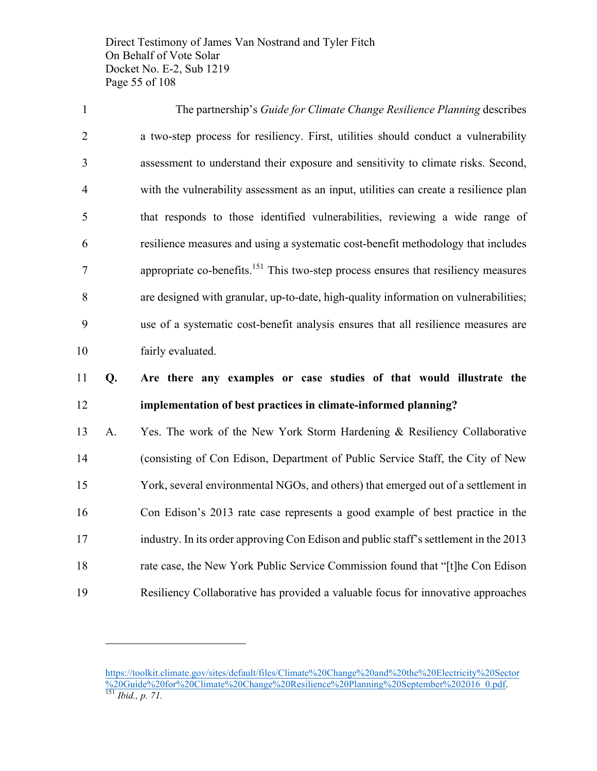Direct Testimony of James Van Nostrand and Tyler Fitch On Behalf of Vote Solar Docket No. E-2, Sub 1219 Page 55 of 108

 The partnership's *Guide for Climate Change Resilience Planning* describes a two-step process for resiliency. First, utilities should conduct a vulnerability assessment to understand their exposure and sensitivity to climate risks. Second, with the vulnerability assessment as an input, utilities can create a resilience plan that responds to those identified vulnerabilities, reviewing a wide range of resilience measures and using a systematic cost-benefit methodology that includes 2 appropriate co-benefits.<sup>151</sup> This two-step process ensures that resiliency measures are designed with granular, up-to-date, high-quality information on vulnerabilities; use of a systematic cost-benefit analysis ensures that all resilience measures are fairly evaluated.

# **Q. Are there any examples or case studies of that would illustrate the implementation of best practices in climate-informed planning?**

 A. Yes. The work of the New York Storm Hardening & Resiliency Collaborative (consisting of Con Edison, Department of Public Service Staff, the City of New York, several environmental NGOs, and others) that emerged out of a settlement in Con Edison's 2013 rate case represents a good example of best practice in the industry. In its order approving Con Edison and public staff's settlement in the 2013 rate case, the New York Public Service Commission found that "[t]he Con Edison Resiliency Collaborative has provided a valuable focus for innovative approaches

https://toolkit.climate.gov/sites/default/files/Climate%20Change%20and%20the%20Electricity%20Sector %20Guide%20for%20Climate%20Change%20Resilience%20Planning%20September%202016\_0.pdf. 151 *Ibid., p. 71.*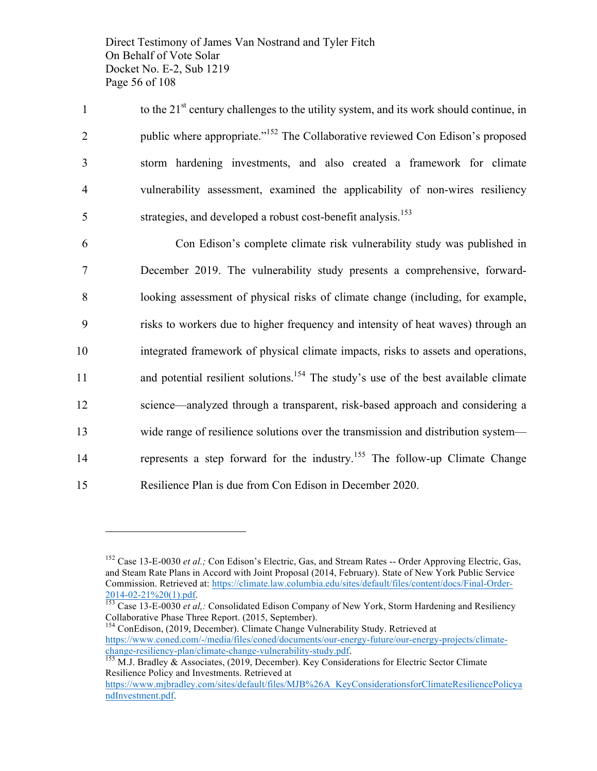Direct Testimony of James Van Nostrand and Tyler Fitch On Behalf of Vote Solar Docket No. E-2, Sub 1219 Page 56 of 108

to the  $21<sup>st</sup>$  century challenges to the utility system, and its work should continue, in public where appropriate."152 2 The Collaborative reviewed Con Edison's proposed 3 storm hardening investments, and also created a framework for climate 4 vulnerability assessment, examined the applicability of non-wires resiliency  $5$  strategies, and developed a robust cost-benefit analysis.<sup>153</sup>

 Con Edison's complete climate risk vulnerability study was published in December 2019. The vulnerability study presents a comprehensive, forward- looking assessment of physical risks of climate change (including, for example, risks to workers due to higher frequency and intensity of heat waves) through an integrated framework of physical climate impacts, risks to assets and operations, 11 and potential resilient solutions.<sup>154</sup> The study's use of the best available climate science—analyzed through a transparent, risk-based approach and considering a wide range of resilience solutions over the transmission and distribution system— 14 represents a step forward for the industry.<sup>155</sup> The follow-up Climate Change Resilience Plan is due from Con Edison in December 2020.

<sup>&</sup>lt;sup>152</sup> Case 13-E-0030 *et al.;* Con Edison's Electric, Gas, and Stream Rates -- Order Approving Electric, Gas, and Steam Rate Plans in Accord with Joint Proposal (2014, February). State of New York Public Service Commission. Retrieved at: https://climate.law.columbia.edu/sites/default/files/content/docs/Final-Order-

<sup>2014-02-21%20(1).</sup>pdf. <sup>153</sup> Case 13-E-0030 *et al,:* Consolidated Edison Company of New York, Storm Hardening and Resiliency Collaborative Phase Three Report. (2015, September).

<sup>&</sup>lt;sup>154</sup> ConEdison, (2019, December). Climate Change Vulnerability Study. Retrieved at https://www.coned.com/-/media/files/coned/documents/our-energy-future/our-energy-projects/climatechange-resiliency-plan/climate-change-vulnerability-study.pdf. <sup>155</sup> M.J. Bradley & Associates, (2019, December). Key Considerations for Electric Sector Climate

Resilience Policy and Investments. Retrieved at

https://www.mjbradley.com/sites/default/files/MJB%26A\_KeyConsiderationsforClimateResiliencePolicya ndInvestment.pdf.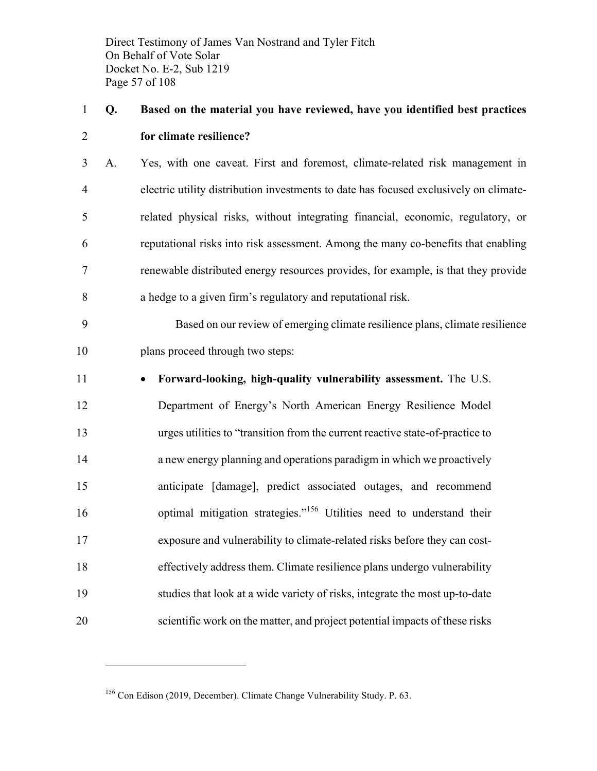Direct Testimony of James Van Nostrand and Tyler Fitch On Behalf of Vote Solar Docket No. E-2, Sub 1219 Page 57 of 108

# **Q. Based on the material you have reviewed, have you identified best practices for climate resilience?**

 A. Yes, with one caveat. First and foremost, climate-related risk management in electric utility distribution investments to date has focused exclusively on climate- related physical risks, without integrating financial, economic, regulatory, or reputational risks into risk assessment. Among the many co-benefits that enabling renewable distributed energy resources provides, for example, is that they provide a hedge to a given firm's regulatory and reputational risk.

 Based on our review of emerging climate resilience plans, climate resilience plans proceed through two steps:

 $\overline{a}$ 

### • **Forward-looking, high-quality vulnerability assessment.** The U.S.

 Department of Energy's North American Energy Resilience Model urges utilities to "transition from the current reactive state-of-practice to a new energy planning and operations paradigm in which we proactively anticipate [damage], predict associated outages, and recommend 16 optimal mitigation strategies."<sup>156</sup> Utilities need to understand their exposure and vulnerability to climate-related risks before they can cost- effectively address them. Climate resilience plans undergo vulnerability studies that look at a wide variety of risks, integrate the most up-to-date scientific work on the matter, and project potential impacts of these risks

Con Edison (2019, December). Climate Change Vulnerability Study. P. 63.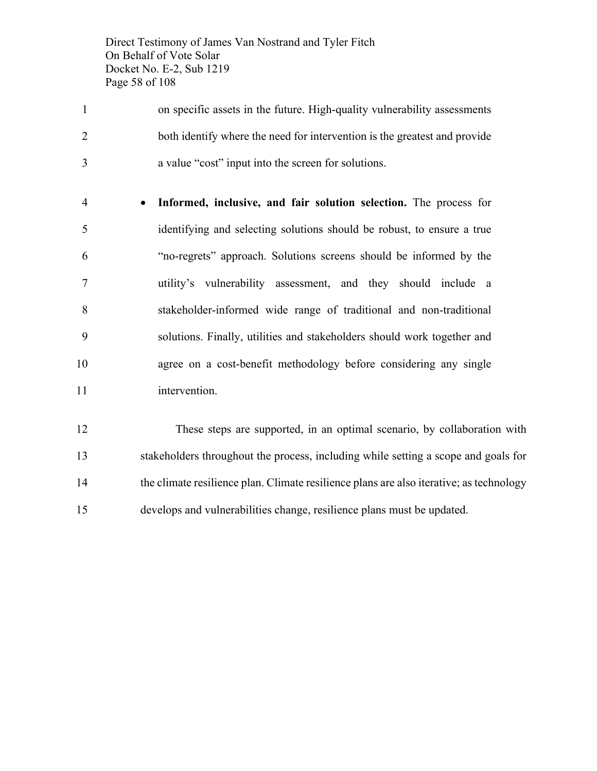Direct Testimony of James Van Nostrand and Tyler Fitch On Behalf of Vote Solar Docket No. E-2, Sub 1219 Page 58 of 108

- on specific assets in the future. High-quality vulnerability assessments both identify where the need for intervention is the greatest and provide a value "cost" input into the screen for solutions.
- **Informed, inclusive, and fair solution selection.** The process for identifying and selecting solutions should be robust, to ensure a true "no-regrets" approach. Solutions screens should be informed by the utility's vulnerability assessment, and they should include a stakeholder-informed wide range of traditional and non-traditional solutions. Finally, utilities and stakeholders should work together and agree on a cost-benefit methodology before considering any single 11 intervention.

 These steps are supported, in an optimal scenario, by collaboration with stakeholders throughout the process, including while setting a scope and goals for the climate resilience plan. Climate resilience plans are also iterative; as technology develops and vulnerabilities change, resilience plans must be updated.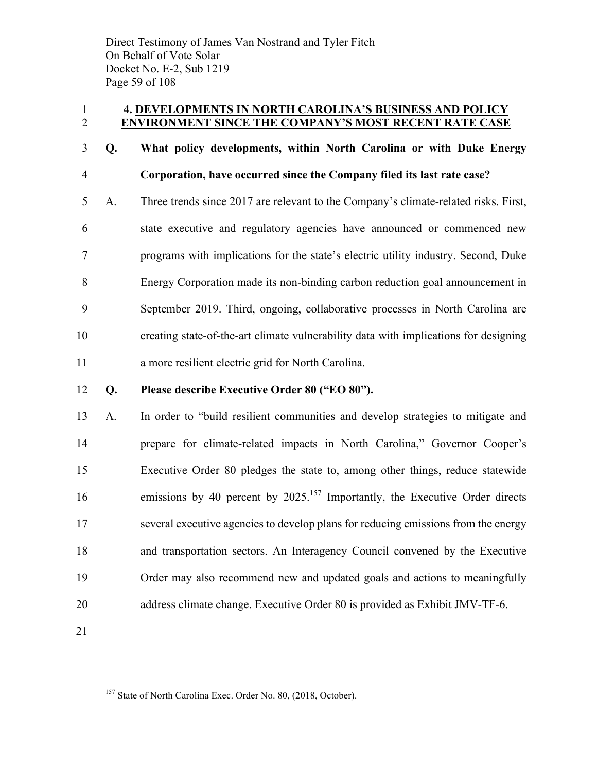Direct Testimony of James Van Nostrand and Tyler Fitch On Behalf of Vote Solar Docket No. E-2, Sub 1219 Page 59 of 108

### **4. DEVELOPMENTS IN NORTH CAROLINA'S BUSINESS AND POLICY ENVIRONMENT SINCE THE COMPANY'S MOST RECENT RATE CASE**

### **Q. What policy developments, within North Carolina or with Duke Energy Corporation, have occurred since the Company filed its last rate case?**

 A. Three trends since 2017 are relevant to the Company's climate-related risks. First, state executive and regulatory agencies have announced or commenced new programs with implications for the state's electric utility industry. Second, Duke Energy Corporation made its non-binding carbon reduction goal announcement in September 2019. Third, ongoing, collaborative processes in North Carolina are creating state-of-the-art climate vulnerability data with implications for designing a more resilient electric grid for North Carolina.

### **Q. Please describe Executive Order 80 ("EO 80").**

- A. In order to "build resilient communities and develop strategies to mitigate and prepare for climate-related impacts in North Carolina," Governor Cooper's Executive Order 80 pledges the state to, among other things, reduce statewide 16 emissions by 40 percent by 2025.<sup>157</sup> Importantly, the Executive Order directs several executive agencies to develop plans for reducing emissions from the energy and transportation sectors. An Interagency Council convened by the Executive Order may also recommend new and updated goals and actions to meaningfully address climate change. Executive Order 80 is provided as Exhibit JMV-TF-6.
- 

<sup>&</sup>lt;sup>157</sup> State of North Carolina Exec. Order No. 80, (2018, October).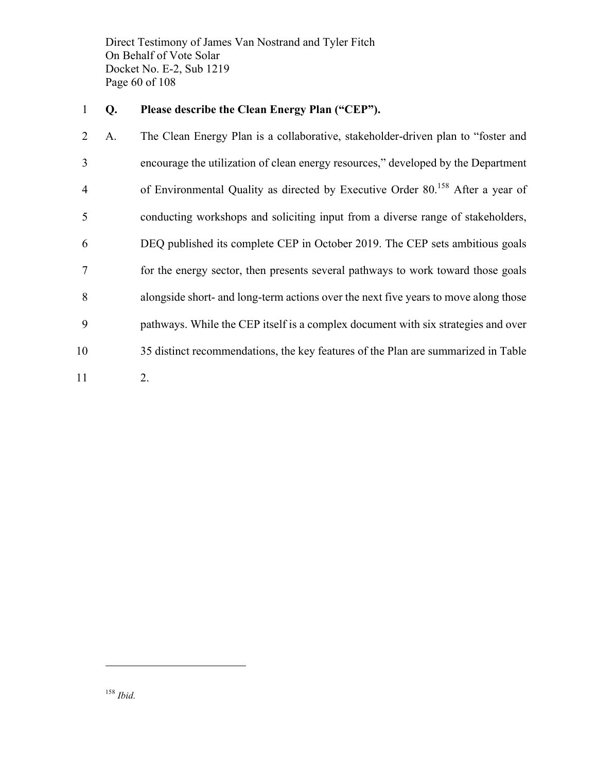Direct Testimony of James Van Nostrand and Tyler Fitch On Behalf of Vote Solar Docket No. E-2, Sub 1219 Page 60 of 108

### **Q. Please describe the Clean Energy Plan ("CEP").**

 A. The Clean Energy Plan is a collaborative, stakeholder-driven plan to "foster and encourage the utilization of clean energy resources," developed by the Department 4 of Environmental Quality as directed by Executive Order 80.<sup>158</sup> After a year of conducting workshops and soliciting input from a diverse range of stakeholders, DEQ published its complete CEP in October 2019. The CEP sets ambitious goals for the energy sector, then presents several pathways to work toward those goals alongside short- and long-term actions over the next five years to move along those pathways. While the CEP itself is a complex document with six strategies and over 35 distinct recommendations, the key features of the Plan are summarized in Table 2.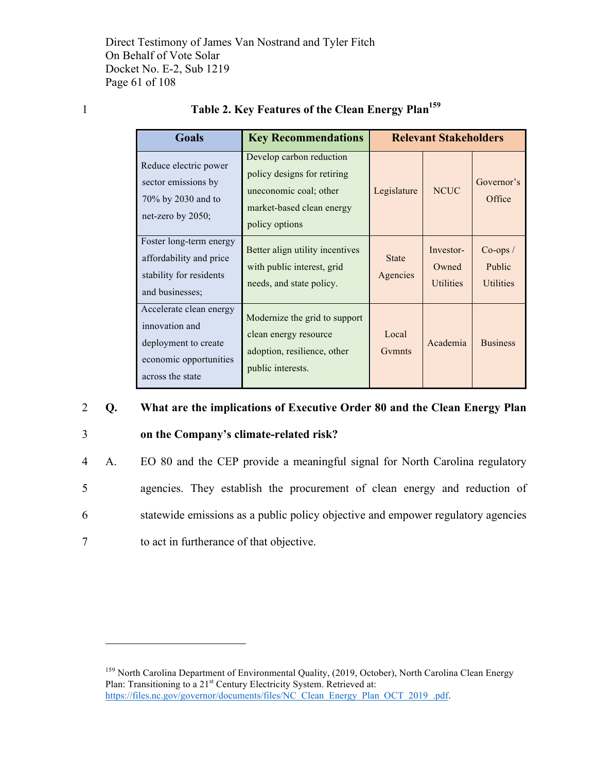Direct Testimony of James Van Nostrand and Tyler Fitch On Behalf of Vote Solar Docket No. E-2, Sub 1219 Page 61 of 108

 $\overline{a}$ 

|  | Table 2. Key Features of the Clean Energy Plan <sup>159</sup> |
|--|---------------------------------------------------------------|
|  |                                                               |

| <b>Goals</b>                                                                                                    | <b>Key Recommendations</b>                                                                                                       |                          | <b>Relevant Stakeholders</b>           |                                         |
|-----------------------------------------------------------------------------------------------------------------|----------------------------------------------------------------------------------------------------------------------------------|--------------------------|----------------------------------------|-----------------------------------------|
| Reduce electric power<br>sector emissions by<br>70% by 2030 and to<br>net-zero by $2050$ ;                      | Develop carbon reduction<br>policy designs for retiring<br>uneconomic coal; other<br>market-based clean energy<br>policy options | Legislature              | <b>NCUC</b>                            | Governor's<br>Office                    |
| Foster long-term energy<br>affordability and price<br>stability for residents<br>and businesses;                | Better align utility incentives<br>with public interest, grid<br>needs, and state policy.                                        | <b>State</b><br>Agencies | Investor-<br>Owned<br><b>Utilities</b> | $Co-ops/$<br>Public<br><b>Utilities</b> |
| Accelerate clean energy<br>innovation and<br>deployment to create<br>economic opportunities<br>across the state | Modernize the grid to support<br>clean energy resource<br>adoption, resilience, other<br>public interests.                       | Local<br>Gymnts          | Academia                               | <b>Business</b>                         |

### 2 **Q. What are the implications of Executive Order 80 and the Clean Energy Plan**

3 **on the Company's climate-related risk?**

 A. EO 80 and the CEP provide a meaningful signal for North Carolina regulatory agencies. They establish the procurement of clean energy and reduction of statewide emissions as a public policy objective and empower regulatory agencies to act in furtherance of that objective.

<sup>&</sup>lt;sup>159</sup> North Carolina Department of Environmental Quality, (2019, October), North Carolina Clean Energy Plan: Transitioning to a 21<sup>st</sup> Century Electricity System. Retrieved at: https://files.nc.gov/governor/documents/files/NC\_Clean\_Energy\_Plan\_OCT\_2019\_.pdf.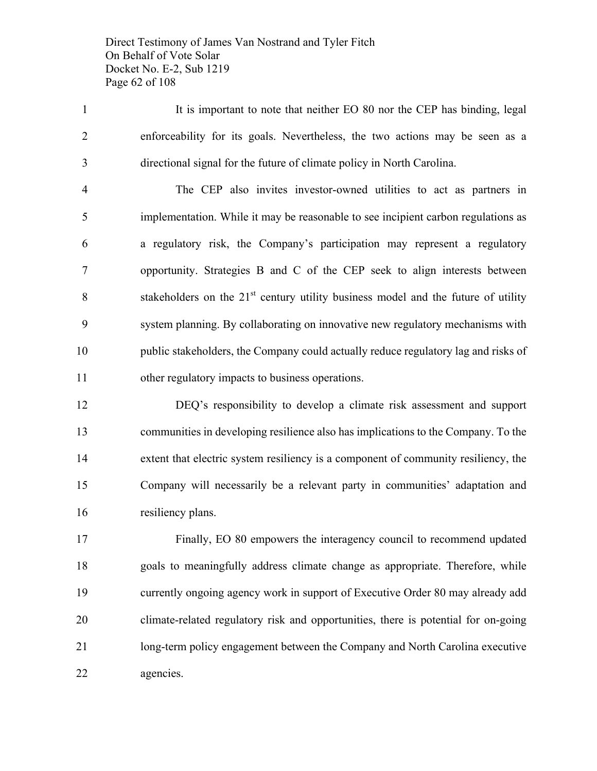Direct Testimony of James Van Nostrand and Tyler Fitch On Behalf of Vote Solar Docket No. E-2, Sub 1219 Page 62 of 108

1 It is important to note that neither EO 80 nor the CEP has binding, legal enforceability for its goals. Nevertheless, the two actions may be seen as a directional signal for the future of climate policy in North Carolina.

 The CEP also invites investor-owned utilities to act as partners in implementation. While it may be reasonable to see incipient carbon regulations as a regulatory risk, the Company's participation may represent a regulatory opportunity. Strategies B and C of the CEP seek to align interests between stakeholders on the  $21<sup>st</sup>$  century utility business model and the future of utility system planning. By collaborating on innovative new regulatory mechanisms with public stakeholders, the Company could actually reduce regulatory lag and risks of other regulatory impacts to business operations.

 DEQ's responsibility to develop a climate risk assessment and support communities in developing resilience also has implications to the Company. To the extent that electric system resiliency is a component of community resiliency, the Company will necessarily be a relevant party in communities' adaptation and resiliency plans.

 Finally, EO 80 empowers the interagency council to recommend updated goals to meaningfully address climate change as appropriate. Therefore, while currently ongoing agency work in support of Executive Order 80 may already add climate-related regulatory risk and opportunities, there is potential for on-going long-term policy engagement between the Company and North Carolina executive agencies.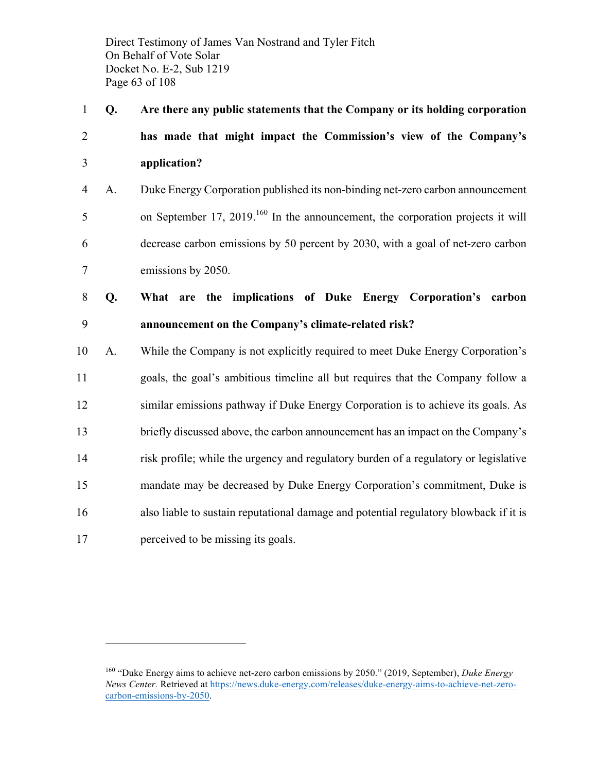Direct Testimony of James Van Nostrand and Tyler Fitch On Behalf of Vote Solar Docket No. E-2, Sub 1219 Page 63 of 108

 **Q. Are there any public statements that the Company or its holding corporation has made that might impact the Commission's view of the Company's application?**

 A. Duke Energy Corporation published its non-binding net-zero carbon announcement 5 on September 17, 2019.<sup>160</sup> In the announcement, the corporation projects it will decrease carbon emissions by 50 percent by 2030, with a goal of net-zero carbon emissions by 2050.

 **Q. What are the implications of Duke Energy Corporation's carbon announcement on the Company's climate-related risk?**

 A. While the Company is not explicitly required to meet Duke Energy Corporation's goals, the goal's ambitious timeline all but requires that the Company follow a similar emissions pathway if Duke Energy Corporation is to achieve its goals. As briefly discussed above, the carbon announcement has an impact on the Company's risk profile; while the urgency and regulatory burden of a regulatory or legislative mandate may be decreased by Duke Energy Corporation's commitment, Duke is also liable to sustain reputational damage and potential regulatory blowback if it is 17 perceived to be missing its goals.

 "Duke Energy aims to achieve net-zero carbon emissions by 2050." (2019, September), *Duke Energy News Center.* Retrieved at https://news.duke-energy.com/releases/duke-energy-aims-to-achieve-net-zerocarbon-emissions-by-2050.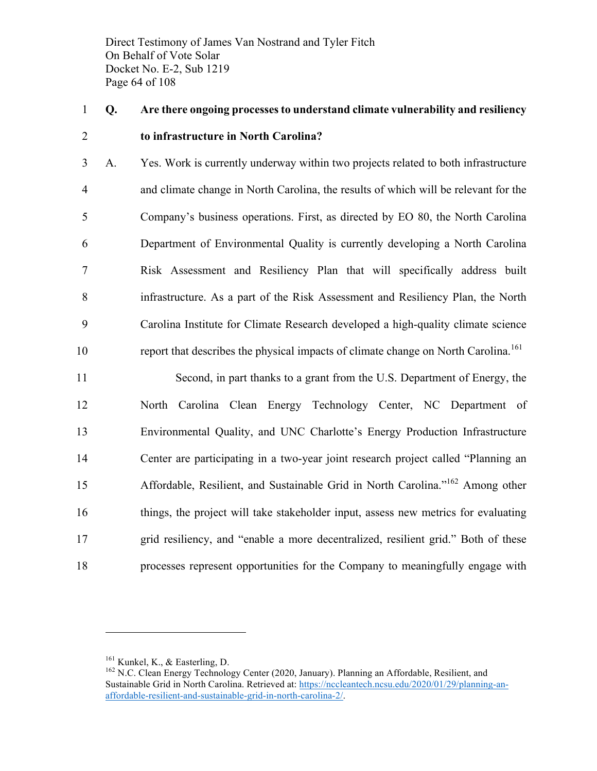Direct Testimony of James Van Nostrand and Tyler Fitch On Behalf of Vote Solar Docket No. E-2, Sub 1219 Page 64 of 108

# **Q. Are there ongoing processes to understand climate vulnerability and resiliency to infrastructure in North Carolina?**

 A. Yes. Work is currently underway within two projects related to both infrastructure and climate change in North Carolina, the results of which will be relevant for the Company's business operations. First, as directed by EO 80, the North Carolina Department of Environmental Quality is currently developing a North Carolina Risk Assessment and Resiliency Plan that will specifically address built infrastructure. As a part of the Risk Assessment and Resiliency Plan, the North Carolina Institute for Climate Research developed a high-quality climate science report that describes the physical impacts of climate change on North Carolina.<sup>161</sup>

 Second, in part thanks to a grant from the U.S. Department of Energy, the North Carolina Clean Energy Technology Center, NC Department of Environmental Quality, and UNC Charlotte's Energy Production Infrastructure Center are participating in a two-year joint research project called "Planning an 15 Affordable, Resilient, and Sustainable Grid in North Carolina.<sup>"162</sup> Among other things, the project will take stakeholder input, assess new metrics for evaluating grid resiliency, and "enable a more decentralized, resilient grid." Both of these processes represent opportunities for the Company to meaningfully engage with

<sup>&</sup>lt;sup>161</sup> Kunkel, K., & Easterling, D. 162 N.C. Clean Energy Technology Center (2020, January). Planning an Affordable, Resilient, and Sustainable Grid in North Carolina. Retrieved at: https://nccleantech.ncsu.edu/2020/01/29/planning-anaffordable-resilient-and-sustainable-grid-in-north-carolina-2/.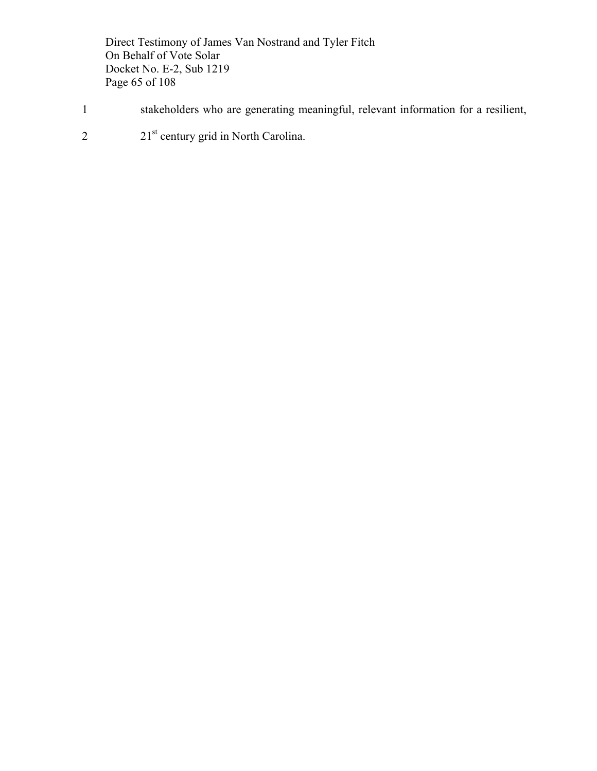Direct Testimony of James Van Nostrand and Tyler Fitch On Behalf of Vote Solar Docket No. E-2, Sub 1219 Page 65 of 108

- 1 stakeholders who are generating meaningful, relevant information for a resilient,
- 2 21st century grid in North Carolina.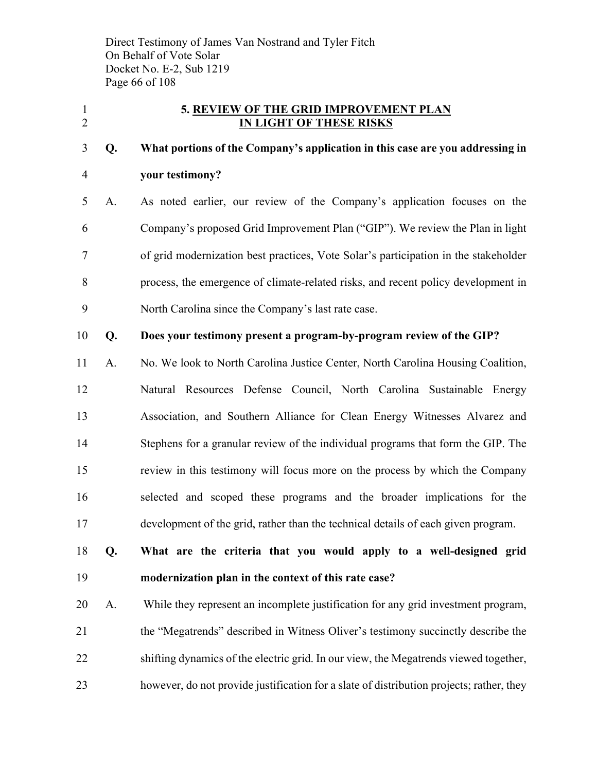Direct Testimony of James Van Nostrand and Tyler Fitch On Behalf of Vote Solar Docket No. E-2, Sub 1219 Page 66 of 108

### **5. REVIEW OF THE GRID IMPROVEMENT PLAN IN LIGHT OF THESE RISKS**

# **Q. What portions of the Company's application in this case are you addressing in your testimony?**

 A. As noted earlier, our review of the Company's application focuses on the Company's proposed Grid Improvement Plan ("GIP"). We review the Plan in light of grid modernization best practices, Vote Solar's participation in the stakeholder process, the emergence of climate-related risks, and recent policy development in North Carolina since the Company's last rate case.

### **Q. Does your testimony present a program-by-program review of the GIP?**

- A. No. We look to North Carolina Justice Center, North Carolina Housing Coalition, Natural Resources Defense Council, North Carolina Sustainable Energy Association, and Southern Alliance for Clean Energy Witnesses Alvarez and Stephens for a granular review of the individual programs that form the GIP. The review in this testimony will focus more on the process by which the Company selected and scoped these programs and the broader implications for the development of the grid, rather than the technical details of each given program.
- **Q. What are the criteria that you would apply to a well-designed grid modernization plan in the context of this rate case?**
- A. While they represent an incomplete justification for any grid investment program, the "Megatrends" described in Witness Oliver's testimony succinctly describe the shifting dynamics of the electric grid. In our view, the Megatrends viewed together, however, do not provide justification for a slate of distribution projects; rather, they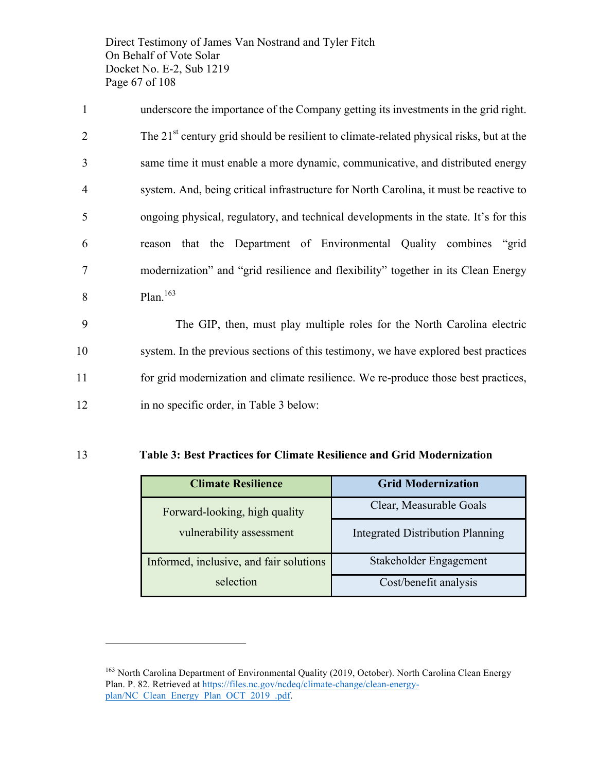Direct Testimony of James Van Nostrand and Tyler Fitch On Behalf of Vote Solar Docket No. E-2, Sub 1219 Page 67 of 108

 underscore the importance of the Company getting its investments in the grid right.  $2^{\text{th}}$  2 century grid should be resilient to climate-related physical risks, but at the same time it must enable a more dynamic, communicative, and distributed energy system. And, being critical infrastructure for North Carolina, it must be reactive to ongoing physical, regulatory, and technical developments in the state. It's for this reason that the Department of Environmental Quality combines "grid modernization" and "grid resilience and flexibility" together in its Clean Energy  $\beta$  Plan.<sup>163</sup>

 The GIP, then, must play multiple roles for the North Carolina electric system. In the previous sections of this testimony, we have explored best practices for grid modernization and climate resilience. We re-produce those best practices, in no specific order, in Table 3 below:

#### 13 **Table 3: Best Practices for Climate Resilience and Grid Modernization**

| <b>Climate Resilience</b>               | <b>Grid Modernization</b>               |
|-----------------------------------------|-----------------------------------------|
| Forward-looking, high quality           | Clear, Measurable Goals                 |
| vulnerability assessment                | <b>Integrated Distribution Planning</b> |
| Informed, inclusive, and fair solutions | Stakeholder Engagement                  |
| selection                               | Cost/benefit analysis                   |

<sup>&</sup>lt;sup>163</sup> North Carolina Department of Environmental Quality (2019, October). North Carolina Clean Energy Plan. P. 82. Retrieved at https://files.nc.gov/ncdeq/climate-change/clean-energyplan/NC\_Clean\_Energy\_Plan\_OCT\_2019\_.pdf.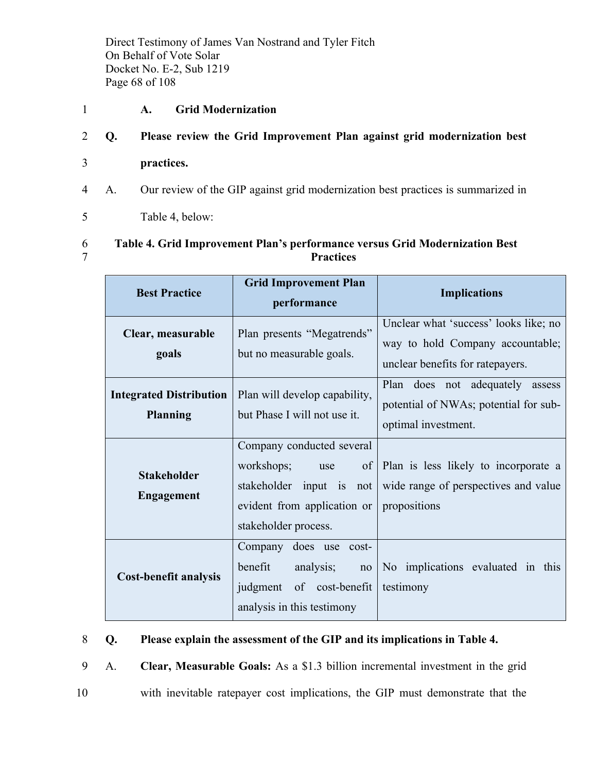Direct Testimony of James Van Nostrand and Tyler Fitch On Behalf of Vote Solar Docket No. E-2, Sub 1219 Page 68 of 108

### 1 **A. Grid Modernization**

### 2 **Q. Please review the Grid Improvement Plan against grid modernization best**

- 3 **practices.**
- 4 A. Our review of the GIP against grid modernization best practices is summarized in
- 5 Table 4, below:

### 6 **Table 4. Grid Improvement Plan's performance versus Grid Modernization Best**  7 **Practices**

| <b>Best Practice</b>                              | <b>Grid Improvement Plan</b><br>performance                                                                                                | <b>Implications</b>                                                                                           |  |
|---------------------------------------------------|--------------------------------------------------------------------------------------------------------------------------------------------|---------------------------------------------------------------------------------------------------------------|--|
| Clear, measurable<br>goals                        | Plan presents "Megatrends"<br>but no measurable goals.                                                                                     | Unclear what 'success' looks like; no<br>way to hold Company accountable;<br>unclear benefits for ratepayers. |  |
| <b>Integrated Distribution</b><br><b>Planning</b> | Plan will develop capability,<br>but Phase I will not use it.                                                                              | Plan does not adequately assess<br>potential of NWAs; potential for sub-<br>optimal investment.               |  |
| <b>Stakeholder</b><br><b>Engagement</b>           | Company conducted several<br>workshops;<br>of<br>use<br>stakeholder input is<br>not<br>evident from application or<br>stakeholder process. | Plan is less likely to incorporate a<br>wide range of perspectives and value<br>propositions                  |  |
| <b>Cost-benefit analysis</b>                      | Company does use cost-<br>analysis;<br>benefit<br>no<br>judgment of cost-benefit<br>analysis in this testimony                             | No implications evaluated in this<br>testimony                                                                |  |

### 8 **Q. Please explain the assessment of the GIP and its implications in Table 4.**

9 A. **Clear, Measurable Goals:** As a \$1.3 billion incremental investment in the grid

10 with inevitable ratepayer cost implications, the GIP must demonstrate that the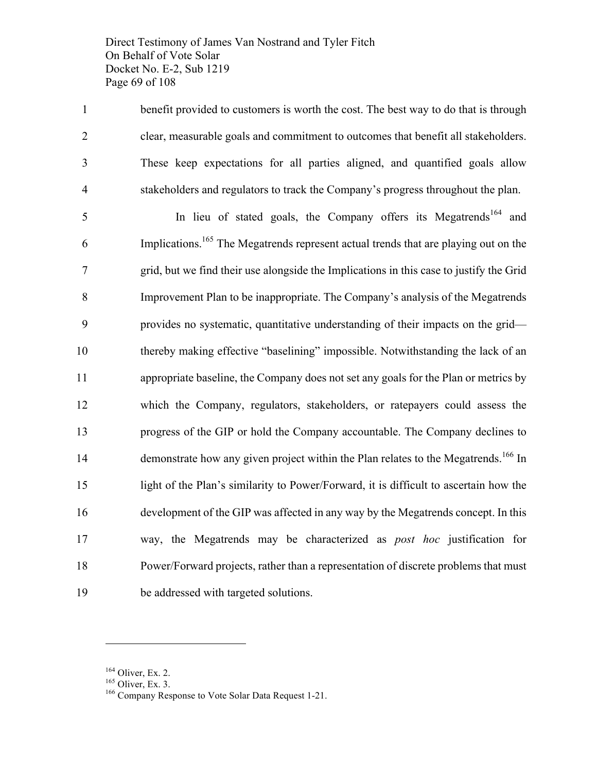Direct Testimony of James Van Nostrand and Tyler Fitch On Behalf of Vote Solar Docket No. E-2, Sub 1219 Page 69 of 108

 benefit provided to customers is worth the cost. The best way to do that is through clear, measurable goals and commitment to outcomes that benefit all stakeholders. These keep expectations for all parties aligned, and quantified goals allow stakeholders and regulators to track the Company's progress throughout the plan.

In lieu of stated goals, the Company offers its Megatrends<sup>164</sup> and 6 Implications.<sup>165</sup> The Megatrends represent actual trends that are playing out on the grid, but we find their use alongside the Implications in this case to justify the Grid Improvement Plan to be inappropriate. The Company's analysis of the Megatrends provides no systematic, quantitative understanding of their impacts on the grid— thereby making effective "baselining" impossible. Notwithstanding the lack of an appropriate baseline, the Company does not set any goals for the Plan or metrics by which the Company, regulators, stakeholders, or ratepayers could assess the progress of the GIP or hold the Company accountable. The Company declines to 14 demonstrate how any given project within the Plan relates to the Megatrends.<sup>166</sup> In light of the Plan's similarity to Power/Forward, it is difficult to ascertain how the development of the GIP was affected in any way by the Megatrends concept. In this way, the Megatrends may be characterized as *post hoc* justification for Power/Forward projects, rather than a representation of discrete problems that must be addressed with targeted solutions.

<sup>&</sup>lt;sup>164</sup> Oliver, Ex. 2.<br><sup>165</sup> Oliver, Ex. 3.<br><sup>166</sup> Company Response to Vote Solar Data Request 1-21.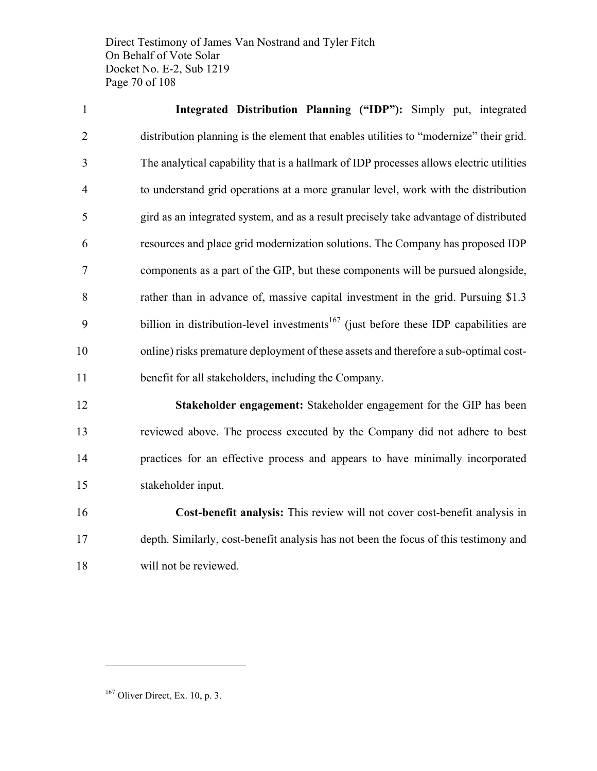Direct Testimony of James Van Nostrand and Tyler Fitch On Behalf of Vote Solar Docket No. E-2, Sub 1219 Page 70 of 108

 **Integrated Distribution Planning ("IDP"):** Simply put, integrated distribution planning is the element that enables utilities to "modernize" their grid. The analytical capability that is a hallmark of IDP processes allows electric utilities to understand grid operations at a more granular level, work with the distribution gird as an integrated system, and as a result precisely take advantage of distributed resources and place grid modernization solutions. The Company has proposed IDP components as a part of the GIP, but these components will be pursued alongside, rather than in advance of, massive capital investment in the grid. Pursuing \$1.3  $\mu$  billion in distribution-level investments<sup>167</sup> (just before these IDP capabilities are online) risks premature deployment of these assets and therefore a sub-optimal cost-benefit for all stakeholders, including the Company.

 **Stakeholder engagement:** Stakeholder engagement for the GIP has been reviewed above. The process executed by the Company did not adhere to best practices for an effective process and appears to have minimally incorporated stakeholder input.

 **Cost-benefit analysis:** This review will not cover cost-benefit analysis in depth. Similarly, cost-benefit analysis has not been the focus of this testimony and will not be reviewed.

Oliver Direct, Ex. 10, p. 3.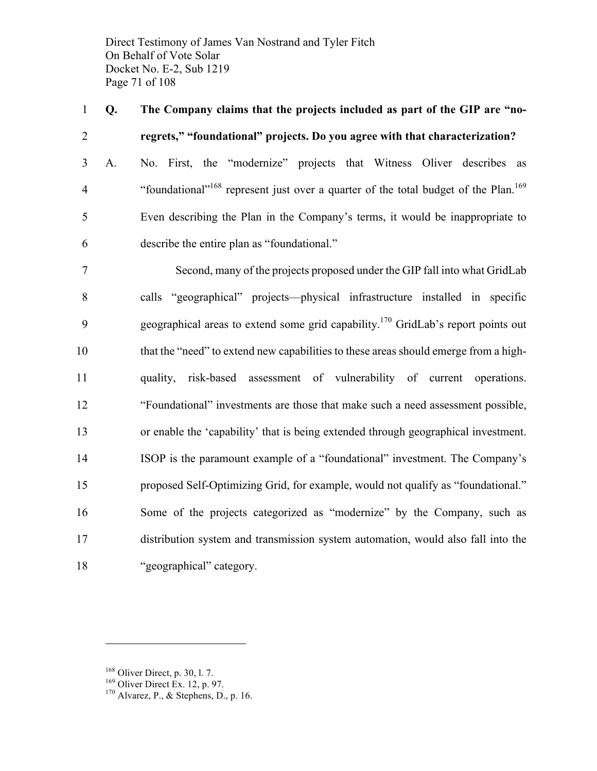Direct Testimony of James Van Nostrand and Tyler Fitch On Behalf of Vote Solar Docket No. E-2, Sub 1219 Page 71 of 108

 **Q. The Company claims that the projects included as part of the GIP are "no-regrets," "foundational" projects. Do you agree with that characterization?**

 A. No. First, the "modernize" projects that Witness Oliver describes as 4 ""foundational"<sup>168</sup> represent just over a quarter of the total budget of the Plan.<sup>169</sup> Even describing the Plan in the Company's terms, it would be inappropriate to describe the entire plan as "foundational."

 Second, many of the projects proposed under the GIP fall into what GridLab calls "geographical" projects—physical infrastructure installed in specific 9 geographical areas to extend some grid capability.<sup>170</sup> GridLab's report points out that the "need" to extend new capabilities to these areas should emerge from a high- quality, risk-based assessment of vulnerability of current operations. "Foundational" investments are those that make such a need assessment possible, or enable the 'capability' that is being extended through geographical investment. ISOP is the paramount example of a "foundational" investment. The Company's proposed Self-Optimizing Grid, for example, would not qualify as "foundational." Some of the projects categorized as "modernize" by the Company, such as distribution system and transmission system automation, would also fall into the "geographical" category.

<sup>&</sup>lt;sup>168</sup> Oliver Direct, p. 30, l. 7.<br><sup>169</sup> Oliver Direct Ex. 12, p. 97.<br><sup>170</sup> Alvarez, P., & Stephens, D., p. 16.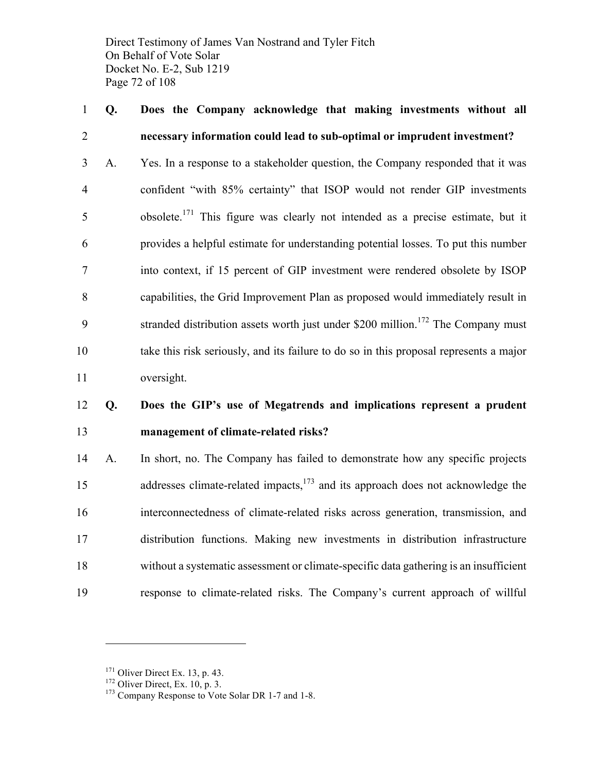Direct Testimony of James Van Nostrand and Tyler Fitch On Behalf of Vote Solar Docket No. E-2, Sub 1219 Page 72 of 108

### **Q. Does the Company acknowledge that making investments without all necessary information could lead to sub-optimal or imprudent investment?**

 A. Yes. In a response to a stakeholder question, the Company responded that it was confident "with 85% certainty" that ISOP would not render GIP investments obsolete.<sup>171</sup> This figure was clearly not intended as a precise estimate, but it provides a helpful estimate for understanding potential losses. To put this number into context, if 15 percent of GIP investment were rendered obsolete by ISOP capabilities, the Grid Improvement Plan as proposed would immediately result in 9 stranded distribution assets worth just under \$200 million.<sup>172</sup> The Company must take this risk seriously, and its failure to do so in this proposal represents a major oversight.

### **Q. Does the GIP's use of Megatrends and implications represent a prudent management of climate-related risks?**

 A. In short, no. The Company has failed to demonstrate how any specific projects 15 addresses climate-related impacts,<sup>173</sup> and its approach does not acknowledge the interconnectedness of climate-related risks across generation, transmission, and distribution functions. Making new investments in distribution infrastructure without a systematic assessment or climate-specific data gathering is an insufficient response to climate-related risks. The Company's current approach of willful

<sup>&</sup>lt;sup>171</sup> Oliver Direct Ex. 13, p. 43.<br><sup>172</sup> Oliver Direct, Ex. 10, p. 3.<br><sup>173</sup> Company Response to Vote Solar DR 1-7 and 1-8.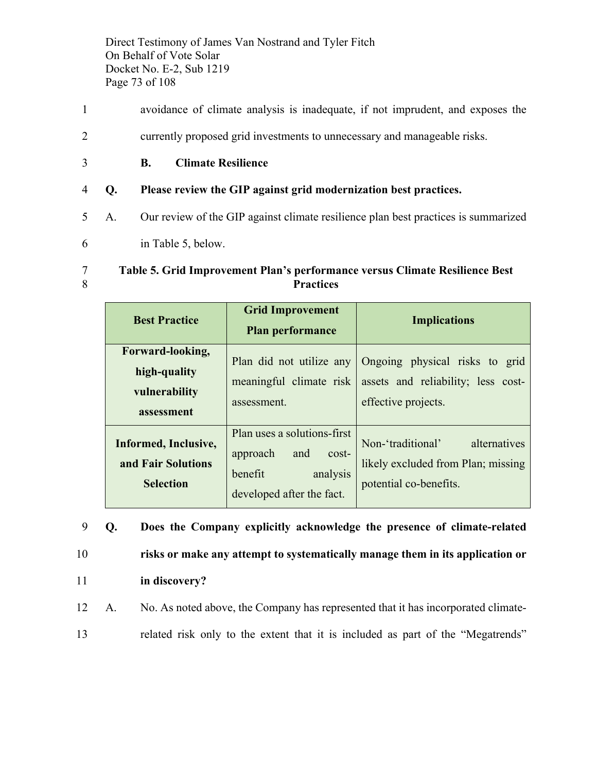Direct Testimony of James Van Nostrand and Tyler Fitch On Behalf of Vote Solar Docket No. E-2, Sub 1219 Page 73 of 108

- 1 avoidance of climate analysis is inadequate, if not imprudent, and exposes the
- 2 currently proposed grid investments to unnecessary and manageable risks.
- 3 **B. Climate Resilience**
- 4 **Q. Please review the GIP against grid modernization best practices.**
- 5 A. Our review of the GIP against climate resilience plan best practices is summarized
- 6 in Table 5, below.

#### 7 **Table 5. Grid Improvement Plan's performance versus Climate Resilience Best**  8 **Practices**

| <b>Best Practice</b>                                            | <b>Grid Improvement</b><br>Plan performance                                                                 | <b>Implications</b>                                                                               |
|-----------------------------------------------------------------|-------------------------------------------------------------------------------------------------------------|---------------------------------------------------------------------------------------------------|
| Forward-looking,<br>high-quality<br>vulnerability<br>assessment | Plan did not utilize any<br>meaningful climate risk<br>assessment.                                          | Ongoing physical risks to grid<br>assets and reliability; less cost-<br>effective projects.       |
| Informed, Inclusive,<br>and Fair Solutions<br><b>Selection</b>  | Plan uses a solutions-first<br>approach<br>and<br>cost-<br>benefit<br>analysis<br>developed after the fact. | alternatives<br>Non-'traditional'<br>likely excluded from Plan; missing<br>potential co-benefits. |

 **Q. Does the Company explicitly acknowledge the presence of climate-related risks or make any attempt to systematically manage them in its application or in discovery?** A. No. As noted above, the Company has represented that it has incorporated climate-

13 related risk only to the extent that it is included as part of the "Megatrends"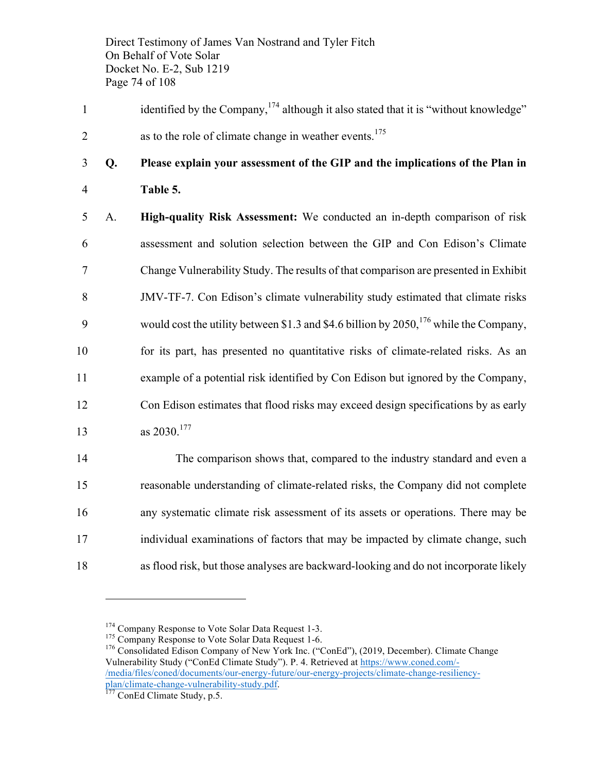Direct Testimony of James Van Nostrand and Tyler Fitch On Behalf of Vote Solar Docket No. E-2, Sub 1219 Page 74 of 108

identified by the Company,  $174$  although it also stated that it is "without knowledge" 2 as to the role of climate change in weather events.<sup>175</sup>

### 3 **Q. Please explain your assessment of the GIP and the implications of the Plan in**  4 **Table 5.**

 A. **High-quality Risk Assessment:** We conducted an in-depth comparison of risk assessment and solution selection between the GIP and Con Edison's Climate Change Vulnerability Study. The results of that comparison are presented in Exhibit JMV-TF-7. Con Edison's climate vulnerability study estimated that climate risks 9 would cost the utility between \$1.3 and \$4.6 billion by  $2050$ , <sup>176</sup> while the Company, for its part, has presented no quantitative risks of climate-related risks. As an example of a potential risk identified by Con Edison but ignored by the Company, Con Edison estimates that flood risks may exceed design specifications by as early  $\qquad \qquad \text{as } 2030.177$ 

 The comparison shows that, compared to the industry standard and even a reasonable understanding of climate-related risks, the Company did not complete any systematic climate risk assessment of its assets or operations. There may be individual examinations of factors that may be impacted by climate change, such as flood risk, but those analyses are backward-looking and do not incorporate likely

<sup>&</sup>lt;sup>174</sup> Company Response to Vote Solar Data Request 1-3.<br><sup>175</sup> Company Response to Vote Solar Data Request 1-6.<br><sup>176</sup> Consolidated Edison Company of New York Inc. ("ConEd"), (2019, December). Climate Change Vulnerability Study ("ConEd Climate Study"). P. 4. Retrieved at https://www.coned.com/- /media/files/coned/documents/our-energy-future/our-energy-projects/climate-change-resiliencyplan/climate-change-vulnerability-study.pdf. <sup>177</sup> ConEd Climate Study, p.5.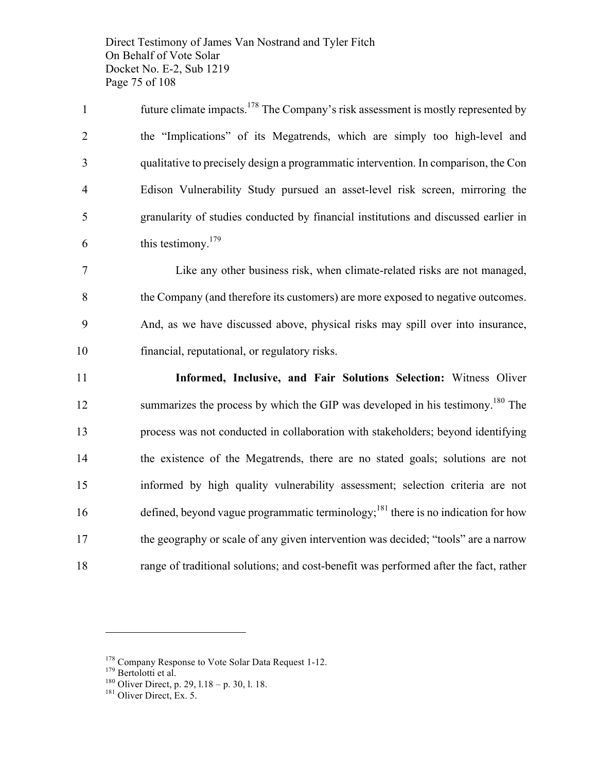Direct Testimony of James Van Nostrand and Tyler Fitch On Behalf of Vote Solar Docket No. E-2, Sub 1219 Page 75 of 108

future climate impacts.<sup>178</sup> The Company's risk assessment is mostly represented by the "Implications" of its Megatrends, which are simply too high-level and qualitative to precisely design a programmatic intervention. In comparison, the Con Edison Vulnerability Study pursued an asset-level risk screen, mirroring the granularity of studies conducted by financial institutions and discussed earlier in this testimony. <sup>179</sup>

 Like any other business risk, when climate-related risks are not managed, the Company (and therefore its customers) are more exposed to negative outcomes. And, as we have discussed above, physical risks may spill over into insurance, financial, reputational, or regulatory risks.

 **Informed, Inclusive, and Fair Solutions Selection:** Witness Oliver 12 summarizes the process by which the GIP was developed in his testimony.<sup>180</sup> The process was not conducted in collaboration with stakeholders; beyond identifying the existence of the Megatrends, there are no stated goals; solutions are not informed by high quality vulnerability assessment; selection criteria are not 16 defined, beyond vague programmatic terminology;<sup>181</sup> there is no indication for how the geography or scale of any given intervention was decided; "tools" are a narrow range of traditional solutions; and cost-benefit was performed after the fact, rather

<sup>&</sup>lt;sup>178</sup> Company Response to Vote Solar Data Request 1-12.<br><sup>179</sup> Bertolotti et al.<br><sup>180</sup> Oliver Direct, p. 29, l.18 – p. 30, l. 18.<br><sup>181</sup> Oliver Direct, Ex. 5.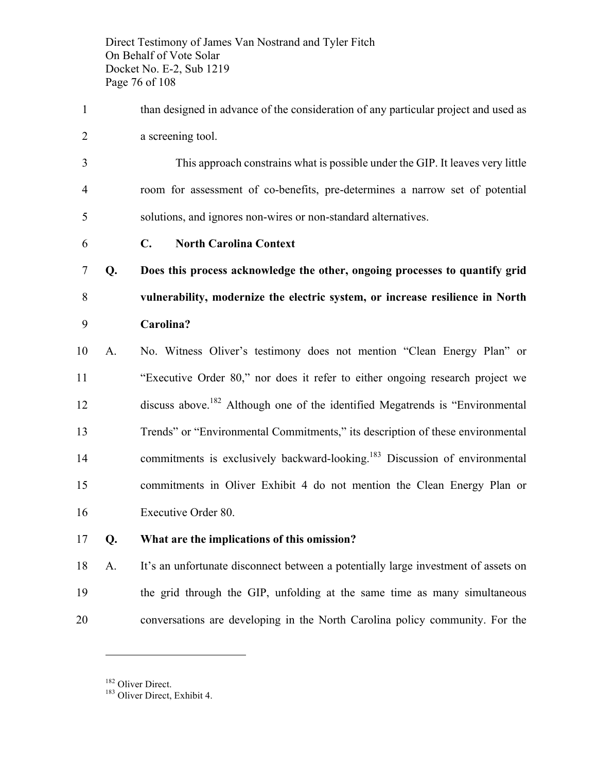Direct Testimony of James Van Nostrand and Tyler Fitch On Behalf of Vote Solar Docket No. E-2, Sub 1219 Page 76 of 108

- than designed in advance of the consideration of any particular project and used as a screening tool.
- This approach constrains what is possible under the GIP. It leaves very little room for assessment of co-benefits, pre-determines a narrow set of potential solutions, and ignores non-wires or non-standard alternatives.
- **C. North Carolina Context**
- **Q. Does this process acknowledge the other, ongoing processes to quantify grid vulnerability, modernize the electric system, or increase resilience in North Carolina?**
- A. No. Witness Oliver's testimony does not mention "Clean Energy Plan" or "Executive Order 80," nor does it refer to either ongoing research project we 12 discuss above.<sup>182</sup> Although one of the identified Megatrends is "Environmental" Trends" or "Environmental Commitments," its description of these environmental 14 commitments is exclusively backward-looking.<sup>183</sup> Discussion of environmental commitments in Oliver Exhibit 4 do not mention the Clean Energy Plan or Executive Order 80.
- **Q. What are the implications of this omission?**
- A. It's an unfortunate disconnect between a potentially large investment of assets on the grid through the GIP, unfolding at the same time as many simultaneous conversations are developing in the North Carolina policy community. For the

Oliver Direct.<br> $183$  Oliver Direct, Exhibit 4.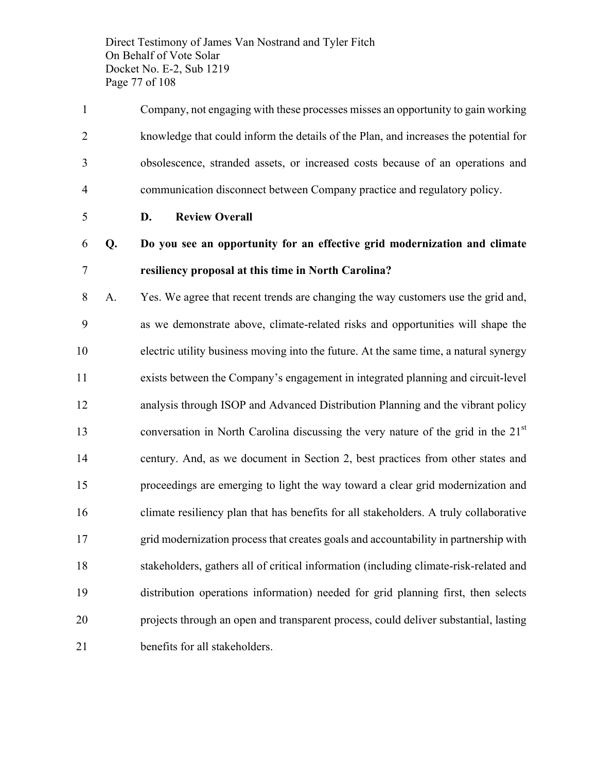Direct Testimony of James Van Nostrand and Tyler Fitch On Behalf of Vote Solar Docket No. E-2, Sub 1219 Page 77 of 108

- Company, not engaging with these processes misses an opportunity to gain working knowledge that could inform the details of the Plan, and increases the potential for obsolescence, stranded assets, or increased costs because of an operations and communication disconnect between Company practice and regulatory policy.
- 

**D. Review Overall**

### **Q. Do you see an opportunity for an effective grid modernization and climate resiliency proposal at this time in North Carolina?**

 A. Yes. We agree that recent trends are changing the way customers use the grid and, as we demonstrate above, climate-related risks and opportunities will shape the electric utility business moving into the future. At the same time, a natural synergy exists between the Company's engagement in integrated planning and circuit-level analysis through ISOP and Advanced Distribution Planning and the vibrant policy conversation in North Carolina discussing the very nature of the grid in the  $21<sup>st</sup>$  century. And, as we document in Section 2, best practices from other states and proceedings are emerging to light the way toward a clear grid modernization and climate resiliency plan that has benefits for all stakeholders. A truly collaborative grid modernization process that creates goals and accountability in partnership with stakeholders, gathers all of critical information (including climate-risk-related and distribution operations information) needed for grid planning first, then selects projects through an open and transparent process, could deliver substantial, lasting benefits for all stakeholders.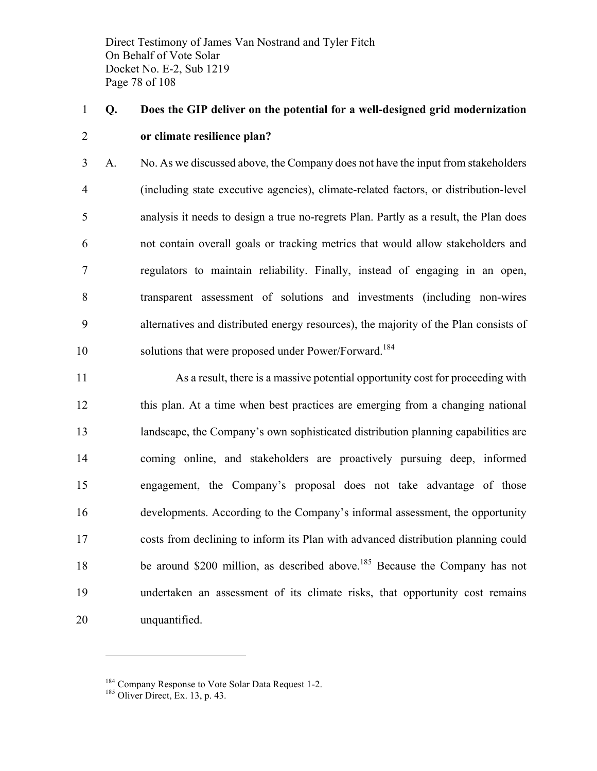Direct Testimony of James Van Nostrand and Tyler Fitch On Behalf of Vote Solar Docket No. E-2, Sub 1219 Page 78 of 108

### **Q. Does the GIP deliver on the potential for a well-designed grid modernization or climate resilience plan?**

 A. No. As we discussed above, the Company does not have the input from stakeholders (including state executive agencies), climate-related factors, or distribution-level analysis it needs to design a true no-regrets Plan. Partly as a result, the Plan does not contain overall goals or tracking metrics that would allow stakeholders and regulators to maintain reliability. Finally, instead of engaging in an open, transparent assessment of solutions and investments (including non-wires alternatives and distributed energy resources), the majority of the Plan consists of 10 solutions that were proposed under Power/Forward.<sup>184</sup>

 As a result, there is a massive potential opportunity cost for proceeding with this plan. At a time when best practices are emerging from a changing national landscape, the Company's own sophisticated distribution planning capabilities are coming online, and stakeholders are proactively pursuing deep, informed engagement, the Company's proposal does not take advantage of those developments. According to the Company's informal assessment, the opportunity costs from declining to inform its Plan with advanced distribution planning could 18 be around \$200 million, as described above.<sup>185</sup> Because the Company has not undertaken an assessment of its climate risks, that opportunity cost remains unquantified.

<sup>&</sup>lt;sup>184</sup> Company Response to Vote Solar Data Request 1-2.<br><sup>185</sup> Oliver Direct, Ex. 13, p. 43.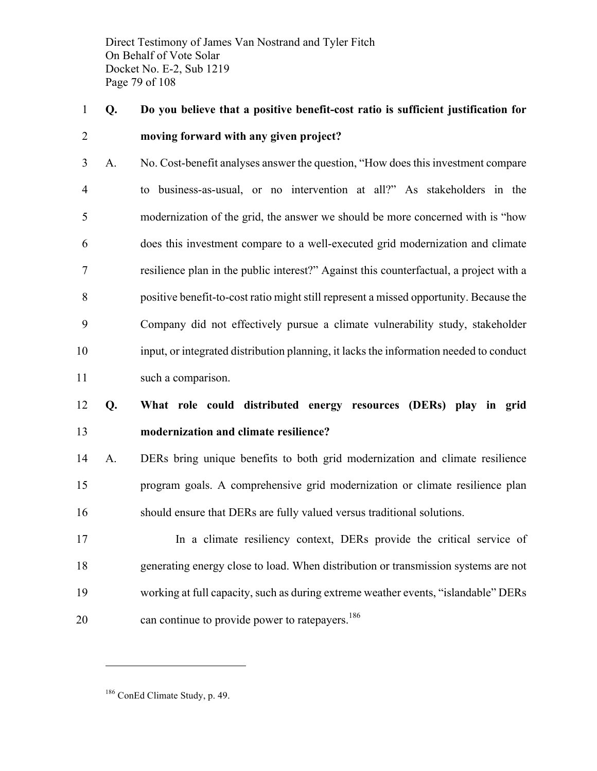Direct Testimony of James Van Nostrand and Tyler Fitch On Behalf of Vote Solar Docket No. E-2, Sub 1219 Page 79 of 108

### **Q. Do you believe that a positive benefit-cost ratio is sufficient justification for moving forward with any given project?**

 A. No. Cost-benefit analyses answer the question, "How does this investment compare to business-as-usual, or no intervention at all?" As stakeholders in the modernization of the grid, the answer we should be more concerned with is "how does this investment compare to a well-executed grid modernization and climate resilience plan in the public interest?" Against this counterfactual, a project with a positive benefit-to-cost ratio might still represent a missed opportunity. Because the Company did not effectively pursue a climate vulnerability study, stakeholder input, or integrated distribution planning, it lacks the information needed to conduct such a comparison.

### **Q. What role could distributed energy resources (DERs) play in grid modernization and climate resilience?**

 A. DERs bring unique benefits to both grid modernization and climate resilience program goals. A comprehensive grid modernization or climate resilience plan should ensure that DERs are fully valued versus traditional solutions.

 In a climate resiliency context, DERs provide the critical service of generating energy close to load. When distribution or transmission systems are not working at full capacity, such as during extreme weather events, "islandable" DERs 20 can continue to provide power to rate payers.<sup>186</sup>

ConEd Climate Study, p. 49.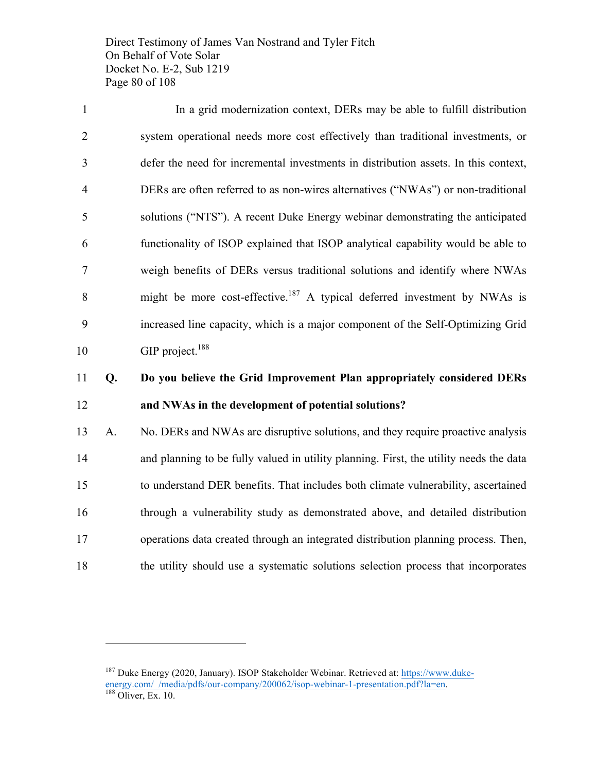Direct Testimony of James Van Nostrand and Tyler Fitch On Behalf of Vote Solar Docket No. E-2, Sub 1219 Page 80 of 108

 In a grid modernization context, DERs may be able to fulfill distribution system operational needs more cost effectively than traditional investments, or defer the need for incremental investments in distribution assets. In this context, DERs are often referred to as non-wires alternatives ("NWAs") or non-traditional solutions ("NTS"). A recent Duke Energy webinar demonstrating the anticipated functionality of ISOP explained that ISOP analytical capability would be able to weigh benefits of DERs versus traditional solutions and identify where NWAs 8 might be more cost-effective.<sup>187</sup> A typical deferred investment by NWAs is increased line capacity, which is a major component of the Self-Optimizing Grid 10 GIP project.<sup>188</sup>

### **Q. Do you believe the Grid Improvement Plan appropriately considered DERs and NWAs in the development of potential solutions?**

 A. No. DERs and NWAs are disruptive solutions, and they require proactive analysis and planning to be fully valued in utility planning. First, the utility needs the data to understand DER benefits. That includes both climate vulnerability, ascertained through a vulnerability study as demonstrated above, and detailed distribution operations data created through an integrated distribution planning process. Then, the utility should use a systematic solutions selection process that incorporates

<sup>&</sup>lt;sup>187</sup> Duke Energy (2020, January). ISOP Stakeholder Webinar. Retrieved at: https://www.dukeenergy.com/\_/media/pdfs/our-company/200062/isop-webinar-1-presentation.pdf?la=en.<br><sup>188</sup> Oliver, Ex. 10.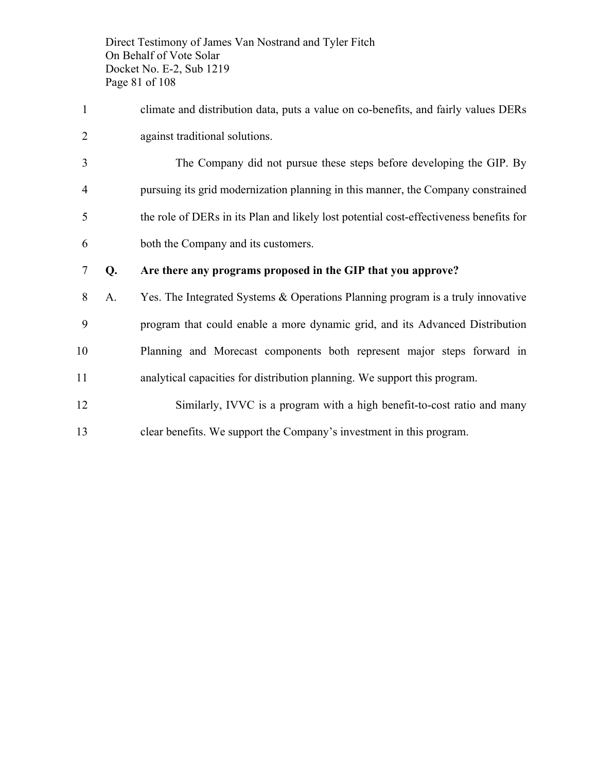Direct Testimony of James Van Nostrand and Tyler Fitch On Behalf of Vote Solar Docket No. E-2, Sub 1219 Page 81 of 108

- climate and distribution data, puts a value on co-benefits, and fairly values DERs against traditional solutions.
- The Company did not pursue these steps before developing the GIP. By pursuing its grid modernization planning in this manner, the Company constrained the role of DERs in its Plan and likely lost potential cost-effectiveness benefits for both the Company and its customers.
- **Q. Are there any programs proposed in the GIP that you approve?**
- A. Yes. The Integrated Systems & Operations Planning program is a truly innovative program that could enable a more dynamic grid, and its Advanced Distribution Planning and Morecast components both represent major steps forward in analytical capacities for distribution planning. We support this program.
- Similarly, IVVC is a program with a high benefit-to-cost ratio and many clear benefits. We support the Company's investment in this program.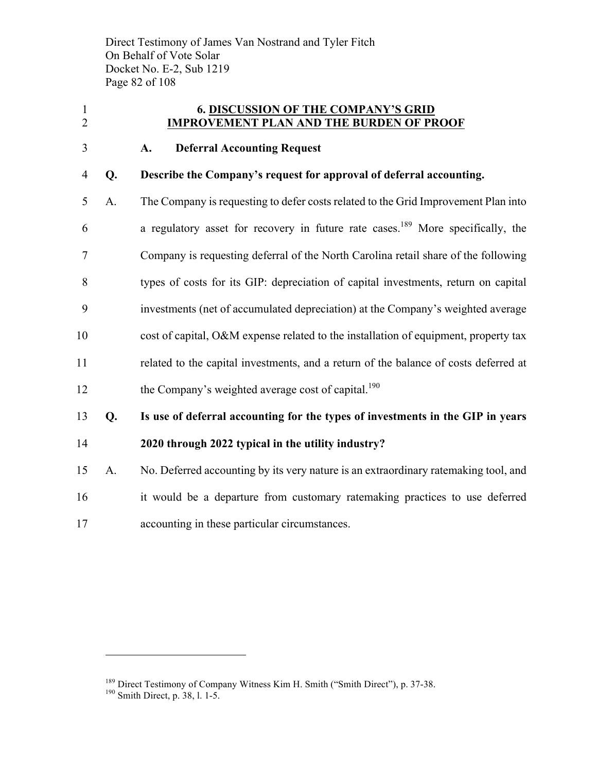Direct Testimony of James Van Nostrand and Tyler Fitch On Behalf of Vote Solar Docket No. E-2, Sub 1219 Page 82 of 108

#### **6. DISCUSSION OF THE COMPANY'S GRID IMPROVEMENT PLAN AND THE BURDEN OF PROOF**

#### **A. Deferral Accounting Request**

#### **Q. Describe the Company's request for approval of deferral accounting.**

 A. The Company is requesting to defer costs related to the Grid Improvement Plan into 6 a regulatory asset for recovery in future rate cases.<sup>189</sup> More specifically, the Company is requesting deferral of the North Carolina retail share of the following types of costs for its GIP: depreciation of capital investments, return on capital investments (net of accumulated depreciation) at the Company's weighted average cost of capital, O&M expense related to the installation of equipment, property tax related to the capital investments, and a return of the balance of costs deferred at 12 the Company's weighted average cost of capital.<sup>190</sup>

 **Q. Is use of deferral accounting for the types of investments in the GIP in years 2020 through 2022 typical in the utility industry?**

- A. No. Deferred accounting by its very nature is an extraordinary ratemaking tool, and it would be a departure from customary ratemaking practices to use deferred
- accounting in these particular circumstances.

<sup>&</sup>lt;sup>189</sup> Direct Testimony of Company Witness Kim H. Smith ("Smith Direct"), p. 37-38. <sup>190</sup> Smith Direct, p. 38, l. 1-5.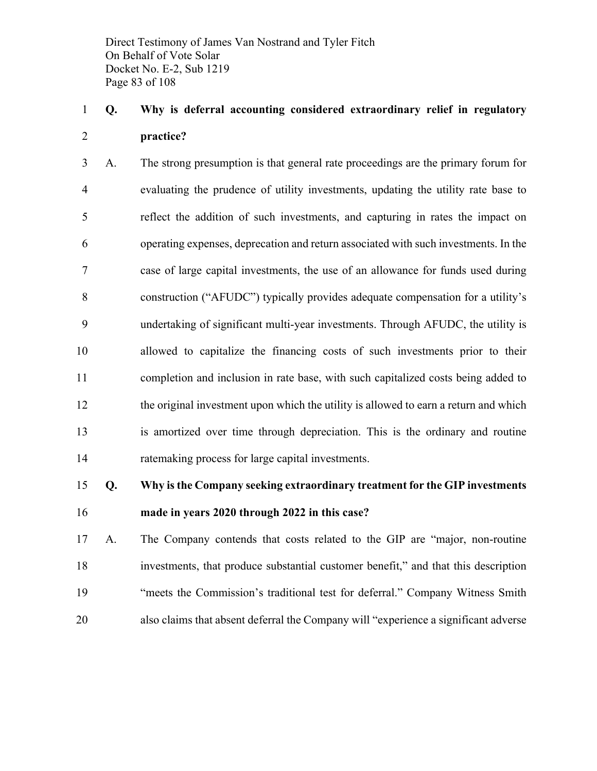Direct Testimony of James Van Nostrand and Tyler Fitch On Behalf of Vote Solar Docket No. E-2, Sub 1219 Page 83 of 108

### **Q. Why is deferral accounting considered extraordinary relief in regulatory practice?**

 A. The strong presumption is that general rate proceedings are the primary forum for evaluating the prudence of utility investments, updating the utility rate base to reflect the addition of such investments, and capturing in rates the impact on operating expenses, deprecation and return associated with such investments. In the case of large capital investments, the use of an allowance for funds used during construction ("AFUDC") typically provides adequate compensation for a utility's undertaking of significant multi-year investments. Through AFUDC, the utility is allowed to capitalize the financing costs of such investments prior to their completion and inclusion in rate base, with such capitalized costs being added to the original investment upon which the utility is allowed to earn a return and which is amortized over time through depreciation. This is the ordinary and routine ratemaking process for large capital investments.

### **Q. Why is the Company seeking extraordinary treatment for the GIP investments made in years 2020 through 2022 in this case?**

 A. The Company contends that costs related to the GIP are "major, non-routine investments, that produce substantial customer benefit," and that this description "meets the Commission's traditional test for deferral." Company Witness Smith also claims that absent deferral the Company will "experience a significant adverse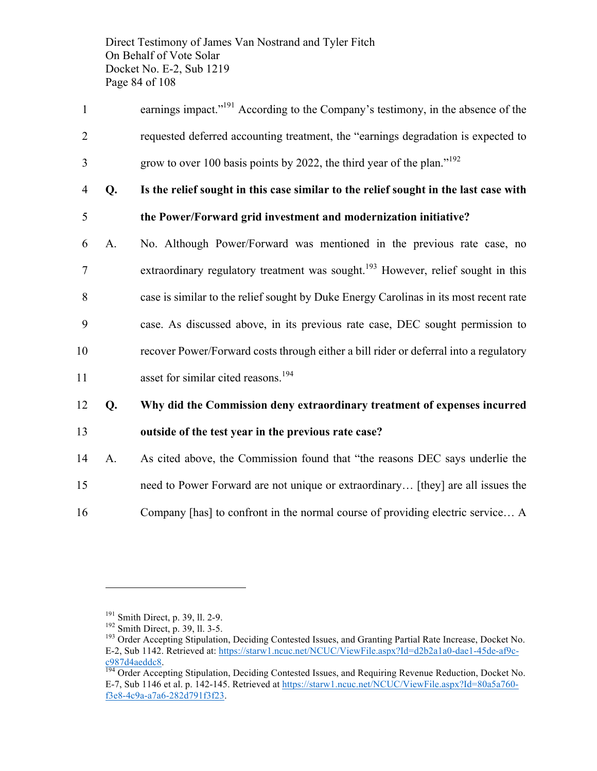Direct Testimony of James Van Nostrand and Tyler Fitch On Behalf of Vote Solar Docket No. E-2, Sub 1219 Page 84 of 108

- 1 earnings impact."<sup>191</sup> According to the Company's testimony, in the absence of the 2 requested deferred accounting treatment, the "earnings degradation is expected to grow to over 100 basis points by 2022, the third year of the plan."<sup>192</sup>
- 4 **Q. Is the relief sought in this case similar to the relief sought in the last case with**
- 5 **the Power/Forward grid investment and modernization initiative?**
- 6 A. No. Although Power/Forward was mentioned in the previous rate case, no 7 extraordinary regulatory treatment was sought.<sup>193</sup> However, relief sought in this 8 case is similar to the relief sought by Duke Energy Carolinas in its most recent rate 9 case. As discussed above, in its previous rate case, DEC sought permission to 10 recover Power/Forward costs through either a bill rider or deferral into a regulatory 11 asset for similar cited reasons.<sup>194</sup>
- 12 **Q. Why did the Commission deny extraordinary treatment of expenses incurred**  13 **outside of the test year in the previous rate case?**
- 14 A. As cited above, the Commission found that "the reasons DEC says underlie the 15 need to Power Forward are not unique or extraordinary… [they] are all issues the 16 Company [has] to confront in the normal course of providing electric service… A

<sup>&</sup>lt;sup>191</sup> Smith Direct, p. 39, ll. 2-9.<br><sup>192</sup> Smith Direct, p. 39, ll. 3-5. 193 Order Accepting Stipulation, Deciding Contested Issues, and Granting Partial Rate Increase, Docket No. E-2, Sub 1142. Retrieved at: https://starw1.ncuc.net/NCUC/ViewFile.aspx?Id=d2b2a1a0-dae1-45de-af9cc987d4aeddc8.<br><sup>194</sup> Order Accepting Stipulation, Deciding Contested Issues, and Requiring Revenue Reduction, Docket No.

E-7, Sub 1146 et al. p. 142-145. Retrieved at https://starw1.ncuc.net/NCUC/ViewFile.aspx?Id=80a5a760 f3e8-4c9a-a7a6-282d791f3f23.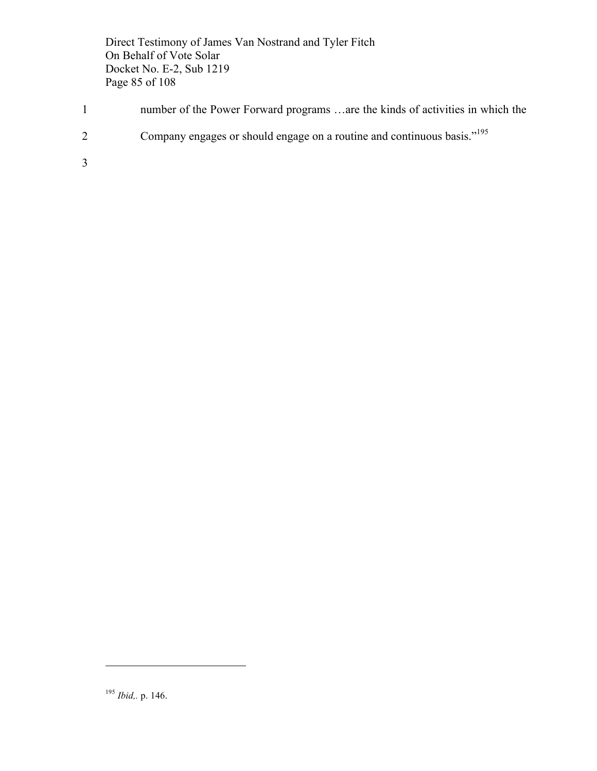Direct Testimony of James Van Nostrand and Tyler Fitch On Behalf of Vote Solar Docket No. E-2, Sub 1219 Page 85 of 108

- 1 number of the Power Forward programs …are the kinds of activities in which the
- 2 Company engages or should engage on a routine and continuous basis."<sup>195</sup>

3

<sup>195</sup> *Ibid,.* p. 146.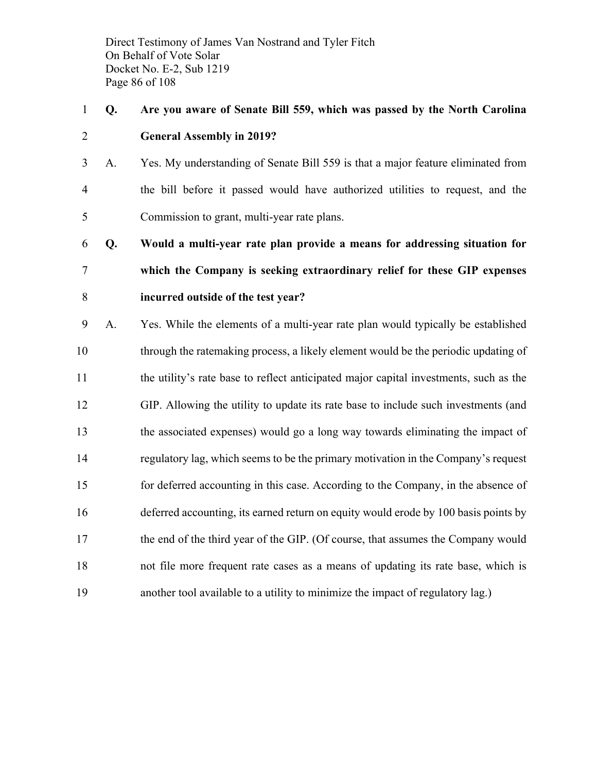Direct Testimony of James Van Nostrand and Tyler Fitch On Behalf of Vote Solar Docket No. E-2, Sub 1219 Page 86 of 108

### **Q. Are you aware of Senate Bill 559, which was passed by the North Carolina General Assembly in 2019?**

 A. Yes. My understanding of Senate Bill 559 is that a major feature eliminated from the bill before it passed would have authorized utilities to request, and the Commission to grant, multi-year rate plans.

 **Q. Would a multi-year rate plan provide a means for addressing situation for which the Company is seeking extraordinary relief for these GIP expenses incurred outside of the test year?**

 A. Yes. While the elements of a multi-year rate plan would typically be established through the ratemaking process, a likely element would be the periodic updating of the utility's rate base to reflect anticipated major capital investments, such as the GIP. Allowing the utility to update its rate base to include such investments (and the associated expenses) would go a long way towards eliminating the impact of regulatory lag, which seems to be the primary motivation in the Company's request for deferred accounting in this case. According to the Company, in the absence of deferred accounting, its earned return on equity would erode by 100 basis points by the end of the third year of the GIP. (Of course, that assumes the Company would not file more frequent rate cases as a means of updating its rate base, which is another tool available to a utility to minimize the impact of regulatory lag.)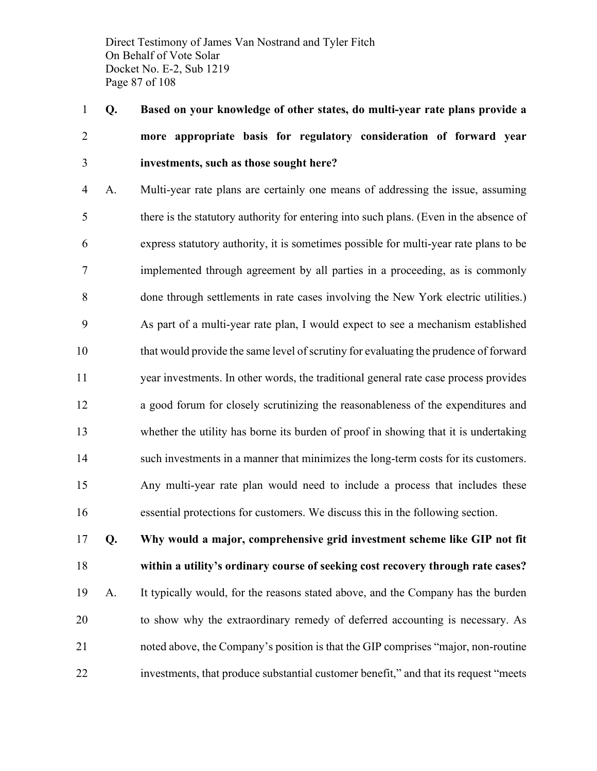Direct Testimony of James Van Nostrand and Tyler Fitch On Behalf of Vote Solar Docket No. E-2, Sub 1219 Page 87 of 108

 **Q. Based on your knowledge of other states, do multi-year rate plans provide a more appropriate basis for regulatory consideration of forward year investments, such as those sought here?**

 A. Multi-year rate plans are certainly one means of addressing the issue, assuming there is the statutory authority for entering into such plans. (Even in the absence of express statutory authority, it is sometimes possible for multi-year rate plans to be implemented through agreement by all parties in a proceeding, as is commonly done through settlements in rate cases involving the New York electric utilities.) As part of a multi-year rate plan, I would expect to see a mechanism established that would provide the same level of scrutiny for evaluating the prudence of forward year investments. In other words, the traditional general rate case process provides a good forum for closely scrutinizing the reasonableness of the expenditures and whether the utility has borne its burden of proof in showing that it is undertaking such investments in a manner that minimizes the long-term costs for its customers. Any multi-year rate plan would need to include a process that includes these essential protections for customers. We discuss this in the following section.

 **Q. Why would a major, comprehensive grid investment scheme like GIP not fit within a utility's ordinary course of seeking cost recovery through rate cases?** A. It typically would, for the reasons stated above, and the Company has the burden to show why the extraordinary remedy of deferred accounting is necessary. As noted above, the Company's position is that the GIP comprises "major, non-routine investments, that produce substantial customer benefit," and that its request "meets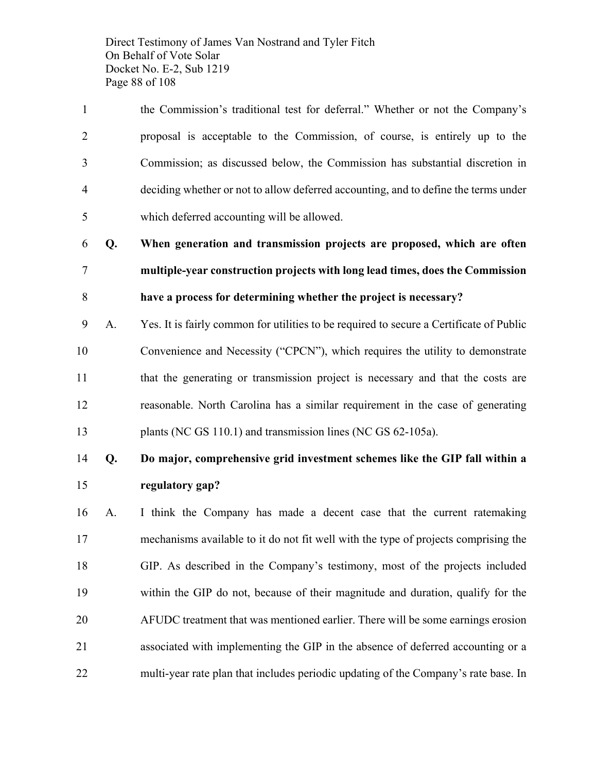Direct Testimony of James Van Nostrand and Tyler Fitch On Behalf of Vote Solar Docket No. E-2, Sub 1219 Page 88 of 108

 the Commission's traditional test for deferral." Whether or not the Company's proposal is acceptable to the Commission, of course, is entirely up to the Commission; as discussed below, the Commission has substantial discretion in deciding whether or not to allow deferred accounting, and to define the terms under which deferred accounting will be allowed.

 **Q. When generation and transmission projects are proposed, which are often multiple-year construction projects with long lead times, does the Commission have a process for determining whether the project is necessary?**

 A. Yes. It is fairly common for utilities to be required to secure a Certificate of Public Convenience and Necessity ("CPCN"), which requires the utility to demonstrate that the generating or transmission project is necessary and that the costs are reasonable. North Carolina has a similar requirement in the case of generating 13 plants (NC GS 110.1) and transmission lines (NC GS 62-105a).

### **Q. Do major, comprehensive grid investment schemes like the GIP fall within a regulatory gap?**

 A. I think the Company has made a decent case that the current ratemaking mechanisms available to it do not fit well with the type of projects comprising the GIP. As described in the Company's testimony, most of the projects included within the GIP do not, because of their magnitude and duration, qualify for the AFUDC treatment that was mentioned earlier. There will be some earnings erosion associated with implementing the GIP in the absence of deferred accounting or a multi-year rate plan that includes periodic updating of the Company's rate base. In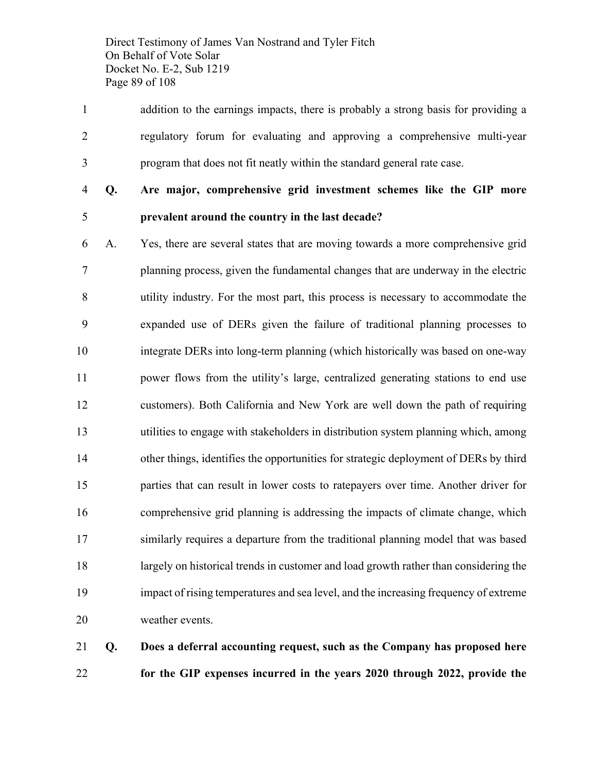Direct Testimony of James Van Nostrand and Tyler Fitch On Behalf of Vote Solar Docket No. E-2, Sub 1219 Page 89 of 108

 addition to the earnings impacts, there is probably a strong basis for providing a regulatory forum for evaluating and approving a comprehensive multi-year program that does not fit neatly within the standard general rate case.

**Q. Are major, comprehensive grid investment schemes like the GIP more** 

## **prevalent around the country in the last decade?**

 A. Yes, there are several states that are moving towards a more comprehensive grid planning process, given the fundamental changes that are underway in the electric utility industry. For the most part, this process is necessary to accommodate the expanded use of DERs given the failure of traditional planning processes to integrate DERs into long-term planning (which historically was based on one-way power flows from the utility's large, centralized generating stations to end use customers). Both California and New York are well down the path of requiring utilities to engage with stakeholders in distribution system planning which, among other things, identifies the opportunities for strategic deployment of DERs by third parties that can result in lower costs to ratepayers over time. Another driver for comprehensive grid planning is addressing the impacts of climate change, which similarly requires a departure from the traditional planning model that was based largely on historical trends in customer and load growth rather than considering the impact of rising temperatures and sea level, and the increasing frequency of extreme weather events.

 **Q. Does a deferral accounting request, such as the Company has proposed here for the GIP expenses incurred in the years 2020 through 2022, provide the**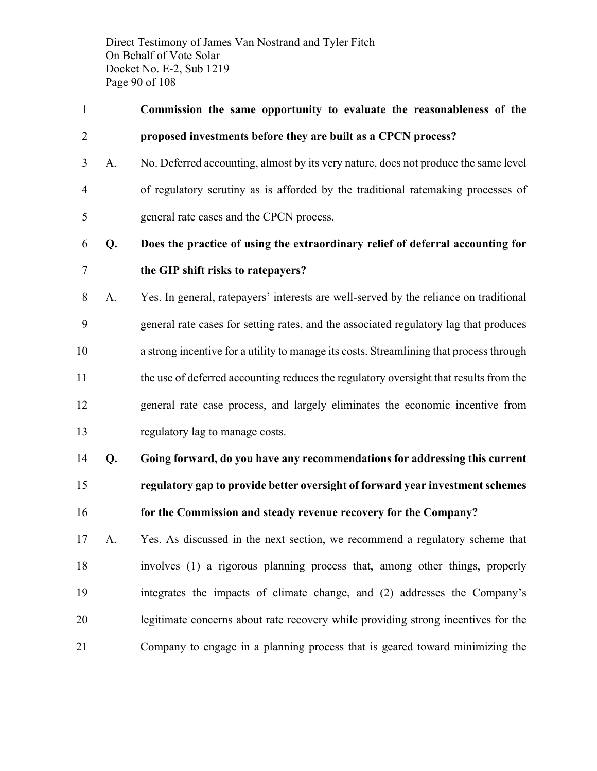Direct Testimony of James Van Nostrand and Tyler Fitch On Behalf of Vote Solar Docket No. E-2, Sub 1219 Page 90 of 108

- **Commission the same opportunity to evaluate the reasonableness of the proposed investments before they are built as a CPCN process?**
- A. No. Deferred accounting, almost by its very nature, does not produce the same level of regulatory scrutiny as is afforded by the traditional ratemaking processes of general rate cases and the CPCN process.
- **Q. Does the practice of using the extraordinary relief of deferral accounting for**

#### **the GIP shift risks to ratepayers?**

 A. Yes. In general, ratepayers' interests are well-served by the reliance on traditional general rate cases for setting rates, and the associated regulatory lag that produces a strong incentive for a utility to manage its costs. Streamlining that process through the use of deferred accounting reduces the regulatory oversight that results from the general rate case process, and largely eliminates the economic incentive from regulatory lag to manage costs.

 **Q. Going forward, do you have any recommendations for addressing this current regulatory gap to provide better oversight of forward year investment schemes** 

**for the Commission and steady revenue recovery for the Company?**

 A. Yes. As discussed in the next section, we recommend a regulatory scheme that involves (1) a rigorous planning process that, among other things, properly integrates the impacts of climate change, and (2) addresses the Company's legitimate concerns about rate recovery while providing strong incentives for the Company to engage in a planning process that is geared toward minimizing the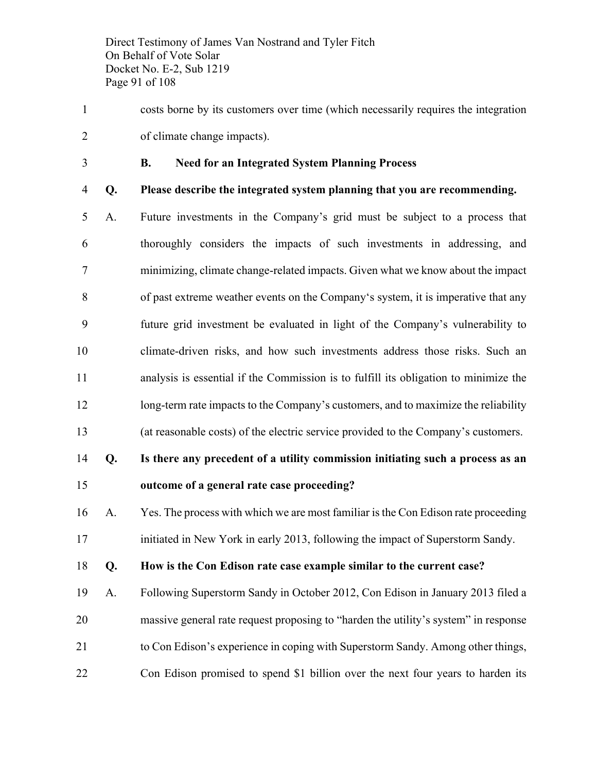Direct Testimony of James Van Nostrand and Tyler Fitch On Behalf of Vote Solar Docket No. E-2, Sub 1219 Page 91 of 108

- costs borne by its customers over time (which necessarily requires the integration of climate change impacts).
- 

#### **B. Need for an Integrated System Planning Process**

- 
- **Q. Please describe the integrated system planning that you are recommending.**
- A. Future investments in the Company's grid must be subject to a process that thoroughly considers the impacts of such investments in addressing, and minimizing, climate change-related impacts. Given what we know about the impact of past extreme weather events on the Company's system, it is imperative that any future grid investment be evaluated in light of the Company's vulnerability to climate-driven risks, and how such investments address those risks. Such an analysis is essential if the Commission is to fulfill its obligation to minimize the 12 long-term rate impacts to the Company's customers, and to maximize the reliability (at reasonable costs) of the electric service provided to the Company's customers.

### **Q. Is there any precedent of a utility commission initiating such a process as an outcome of a general rate case proceeding?**

 A. Yes. The process with which we are most familiar is the Con Edison rate proceeding initiated in New York in early 2013, following the impact of Superstorm Sandy.

**Q. How is the Con Edison rate case example similar to the current case?**

 A. Following Superstorm Sandy in October 2012, Con Edison in January 2013 filed a massive general rate request proposing to "harden the utility's system" in response to Con Edison's experience in coping with Superstorm Sandy. Among other things, Con Edison promised to spend \$1 billion over the next four years to harden its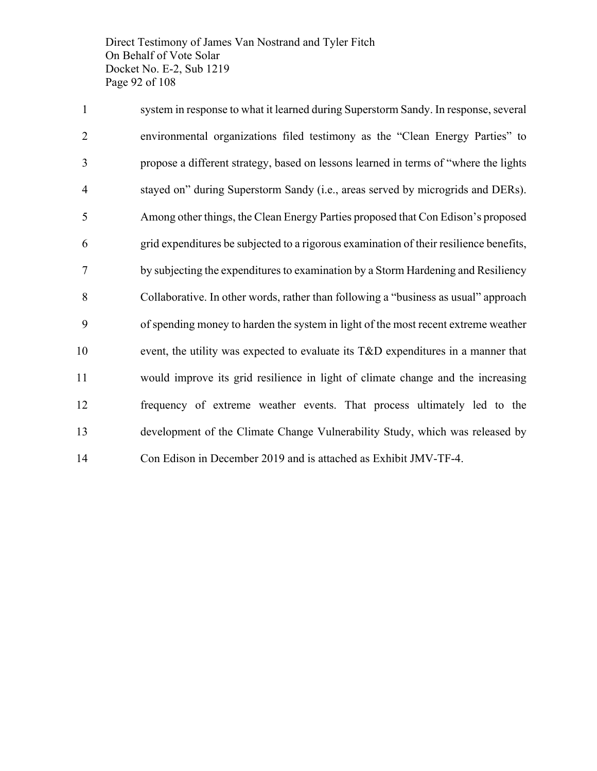Direct Testimony of James Van Nostrand and Tyler Fitch On Behalf of Vote Solar Docket No. E-2, Sub 1219 Page 92 of 108

 system in response to what it learned during Superstorm Sandy. In response, several environmental organizations filed testimony as the "Clean Energy Parties" to propose a different strategy, based on lessons learned in terms of "where the lights stayed on" during Superstorm Sandy (i.e., areas served by microgrids and DERs). Among other things, the Clean Energy Parties proposed that Con Edison's proposed grid expenditures be subjected to a rigorous examination of their resilience benefits, by subjecting the expenditures to examination by a Storm Hardening and Resiliency Collaborative. In other words, rather than following a "business as usual" approach of spending money to harden the system in light of the most recent extreme weather event, the utility was expected to evaluate its T&D expenditures in a manner that would improve its grid resilience in light of climate change and the increasing frequency of extreme weather events. That process ultimately led to the development of the Climate Change Vulnerability Study, which was released by Con Edison in December 2019 and is attached as Exhibit JMV-TF-4.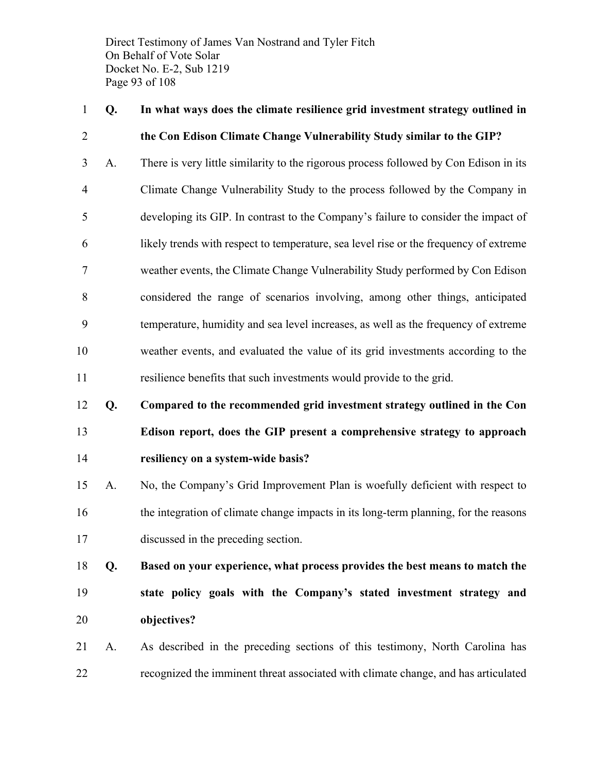Direct Testimony of James Van Nostrand and Tyler Fitch On Behalf of Vote Solar Docket No. E-2, Sub 1219 Page 93 of 108

### **Q. In what ways does the climate resilience grid investment strategy outlined in the Con Edison Climate Change Vulnerability Study similar to the GIP?**

 A. There is very little similarity to the rigorous process followed by Con Edison in its Climate Change Vulnerability Study to the process followed by the Company in developing its GIP. In contrast to the Company's failure to consider the impact of likely trends with respect to temperature, sea level rise or the frequency of extreme weather events, the Climate Change Vulnerability Study performed by Con Edison considered the range of scenarios involving, among other things, anticipated temperature, humidity and sea level increases, as well as the frequency of extreme weather events, and evaluated the value of its grid investments according to the resilience benefits that such investments would provide to the grid.

### **Q. Compared to the recommended grid investment strategy outlined in the Con Edison report, does the GIP present a comprehensive strategy to approach resiliency on a system-wide basis?**

- A. No, the Company's Grid Improvement Plan is woefully deficient with respect to the integration of climate change impacts in its long-term planning, for the reasons discussed in the preceding section.
- **Q. Based on your experience, what process provides the best means to match the state policy goals with the Company's stated investment strategy and objectives?**
- A. As described in the preceding sections of this testimony, North Carolina has recognized the imminent threat associated with climate change, and has articulated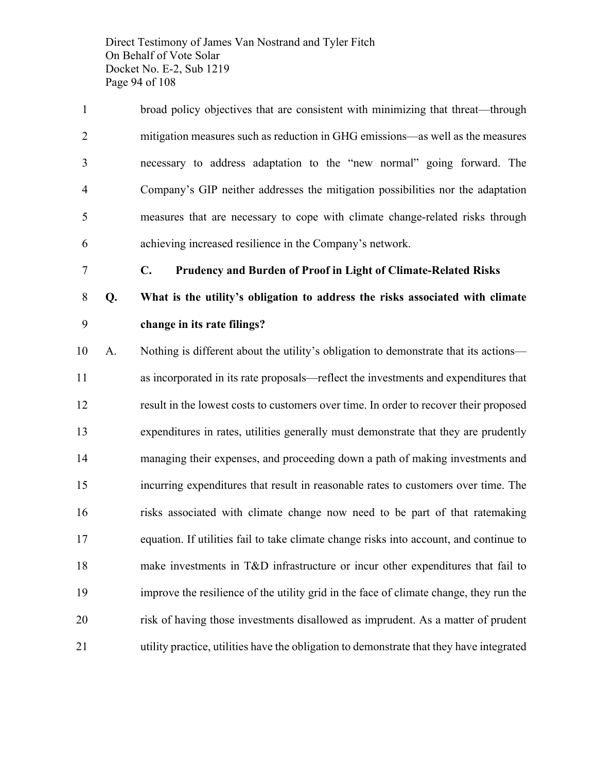Direct Testimony of James Van Nostrand and Tyler Fitch On Behalf of Vote Solar Docket No. E-2, Sub 1219 Page 94 of 108

 broad policy objectives that are consistent with minimizing that threat—through mitigation measures such as reduction in GHG emissions—as well as the measures necessary to address adaptation to the "new normal" going forward. The Company's GIP neither addresses the mitigation possibilities nor the adaptation measures that are necessary to cope with climate change-related risks through achieving increased resilience in the Company's network.

**C. Prudency and Burden of Proof in Light of Climate-Related Risks**

 **Q. What is the utility's obligation to address the risks associated with climate change in its rate filings?**

 A. Nothing is different about the utility's obligation to demonstrate that its actions— as incorporated in its rate proposals—reflect the investments and expenditures that result in the lowest costs to customers over time. In order to recover their proposed expenditures in rates, utilities generally must demonstrate that they are prudently managing their expenses, and proceeding down a path of making investments and incurring expenditures that result in reasonable rates to customers over time. The risks associated with climate change now need to be part of that ratemaking equation. If utilities fail to take climate change risks into account, and continue to make investments in T&D infrastructure or incur other expenditures that fail to improve the resilience of the utility grid in the face of climate change, they run the risk of having those investments disallowed as imprudent. As a matter of prudent utility practice, utilities have the obligation to demonstrate that they have integrated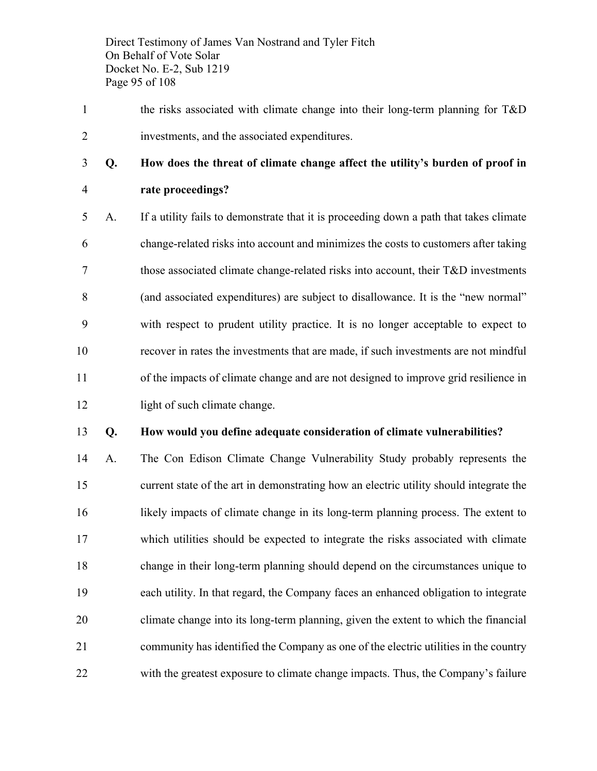Direct Testimony of James Van Nostrand and Tyler Fitch On Behalf of Vote Solar Docket No. E-2, Sub 1219 Page 95 of 108

1 the risks associated with climate change into their long-term planning for T&D investments, and the associated expenditures.

### **Q. How does the threat of climate change affect the utility's burden of proof in**

#### **rate proceedings?**

 A. If a utility fails to demonstrate that it is proceeding down a path that takes climate change-related risks into account and minimizes the costs to customers after taking those associated climate change-related risks into account, their T&D investments (and associated expenditures) are subject to disallowance. It is the "new normal" with respect to prudent utility practice. It is no longer acceptable to expect to recover in rates the investments that are made, if such investments are not mindful of the impacts of climate change and are not designed to improve grid resilience in 12 light of such climate change.

#### **Q. How would you define adequate consideration of climate vulnerabilities?**

 A. The Con Edison Climate Change Vulnerability Study probably represents the current state of the art in demonstrating how an electric utility should integrate the likely impacts of climate change in its long-term planning process. The extent to which utilities should be expected to integrate the risks associated with climate change in their long-term planning should depend on the circumstances unique to each utility. In that regard, the Company faces an enhanced obligation to integrate climate change into its long-term planning, given the extent to which the financial community has identified the Company as one of the electric utilities in the country with the greatest exposure to climate change impacts. Thus, the Company's failure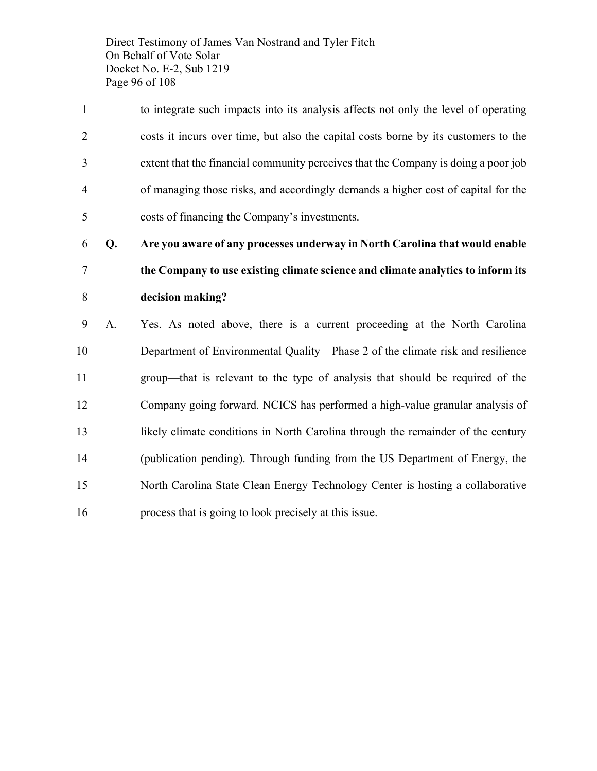Direct Testimony of James Van Nostrand and Tyler Fitch On Behalf of Vote Solar Docket No. E-2, Sub 1219 Page 96 of 108

 to integrate such impacts into its analysis affects not only the level of operating costs it incurs over time, but also the capital costs borne by its customers to the extent that the financial community perceives that the Company is doing a poor job of managing those risks, and accordingly demands a higher cost of capital for the costs of financing the Company's investments.

 **Q. Are you aware of any processes underway in North Carolina that would enable the Company to use existing climate science and climate analytics to inform its** 

#### **decision making?**

 A. Yes. As noted above, there is a current proceeding at the North Carolina Department of Environmental Quality—Phase 2 of the climate risk and resilience group—that is relevant to the type of analysis that should be required of the Company going forward. NCICS has performed a high-value granular analysis of 13 likely climate conditions in North Carolina through the remainder of the century (publication pending). Through funding from the US Department of Energy, the North Carolina State Clean Energy Technology Center is hosting a collaborative process that is going to look precisely at this issue.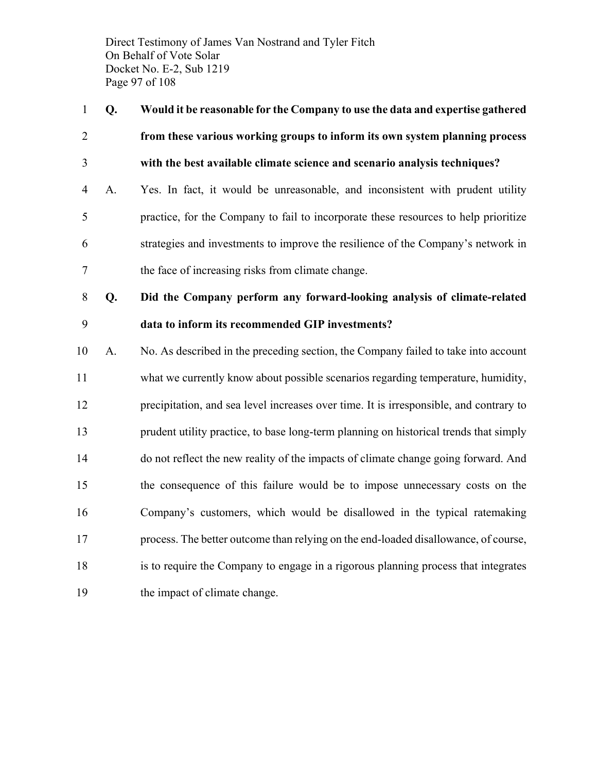Direct Testimony of James Van Nostrand and Tyler Fitch On Behalf of Vote Solar Docket No. E-2, Sub 1219 Page 97 of 108

 **Q. Would it be reasonable for the Company to use the data and expertise gathered from these various working groups to inform its own system planning process with the best available climate science and scenario analysis techniques?** A. Yes. In fact, it would be unreasonable, and inconsistent with prudent utility practice, for the Company to fail to incorporate these resources to help prioritize strategies and investments to improve the resilience of the Company's network in the face of increasing risks from climate change.

 **Q. Did the Company perform any forward-looking analysis of climate-related data to inform its recommended GIP investments?**

 A. No. As described in the preceding section, the Company failed to take into account what we currently know about possible scenarios regarding temperature, humidity, precipitation, and sea level increases over time. It is irresponsible, and contrary to prudent utility practice, to base long-term planning on historical trends that simply do not reflect the new reality of the impacts of climate change going forward. And the consequence of this failure would be to impose unnecessary costs on the Company's customers, which would be disallowed in the typical ratemaking process. The better outcome than relying on the end-loaded disallowance, of course, is to require the Company to engage in a rigorous planning process that integrates the impact of climate change.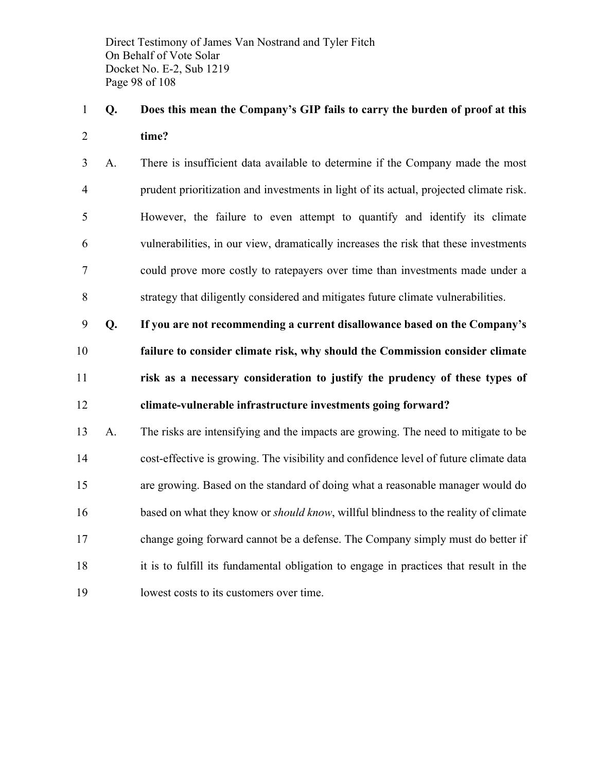Direct Testimony of James Van Nostrand and Tyler Fitch On Behalf of Vote Solar Docket No. E-2, Sub 1219 Page 98 of 108

### **Q. Does this mean the Company's GIP fails to carry the burden of proof at this time?**

 A. There is insufficient data available to determine if the Company made the most prudent prioritization and investments in light of its actual, projected climate risk. However, the failure to even attempt to quantify and identify its climate vulnerabilities, in our view, dramatically increases the risk that these investments could prove more costly to ratepayers over time than investments made under a strategy that diligently considered and mitigates future climate vulnerabilities.

 **Q. If you are not recommending a current disallowance based on the Company's failure to consider climate risk, why should the Commission consider climate risk as a necessary consideration to justify the prudency of these types of climate-vulnerable infrastructure investments going forward?**

 A. The risks are intensifying and the impacts are growing. The need to mitigate to be cost-effective is growing. The visibility and confidence level of future climate data are growing. Based on the standard of doing what a reasonable manager would do based on what they know or *should know*, willful blindness to the reality of climate change going forward cannot be a defense. The Company simply must do better if it is to fulfill its fundamental obligation to engage in practices that result in the lowest costs to its customers over time.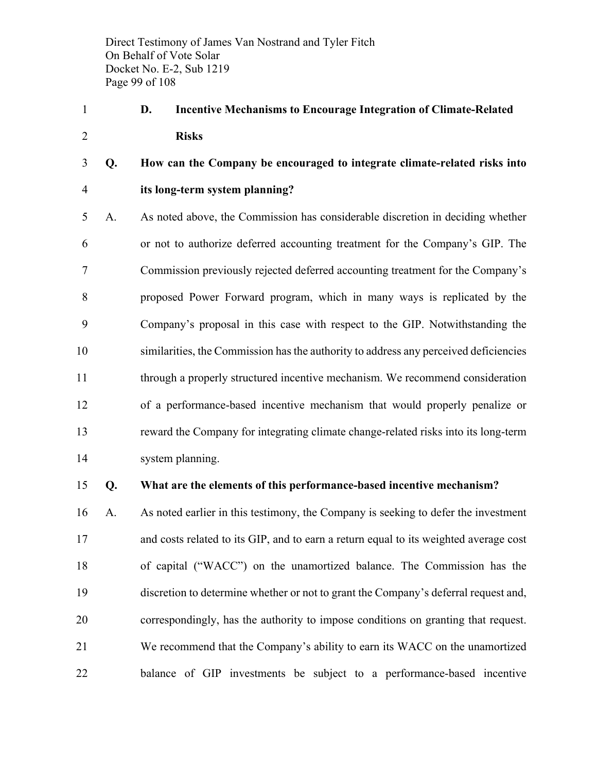Direct Testimony of James Van Nostrand and Tyler Fitch On Behalf of Vote Solar Docket No. E-2, Sub 1219 Page 99 of 108

 **D. Incentive Mechanisms to Encourage Integration of Climate-Related Risks**

### **Q. How can the Company be encouraged to integrate climate-related risks into its long-term system planning?**

 A. As noted above, the Commission has considerable discretion in deciding whether or not to authorize deferred accounting treatment for the Company's GIP. The Commission previously rejected deferred accounting treatment for the Company's proposed Power Forward program, which in many ways is replicated by the Company's proposal in this case with respect to the GIP. Notwithstanding the similarities, the Commission has the authority to address any perceived deficiencies through a properly structured incentive mechanism. We recommend consideration of a performance-based incentive mechanism that would properly penalize or reward the Company for integrating climate change-related risks into its long-term system planning.

#### **Q. What are the elements of this performance-based incentive mechanism?**

 A. As noted earlier in this testimony, the Company is seeking to defer the investment and costs related to its GIP, and to earn a return equal to its weighted average cost of capital ("WACC") on the unamortized balance. The Commission has the discretion to determine whether or not to grant the Company's deferral request and, correspondingly, has the authority to impose conditions on granting that request. We recommend that the Company's ability to earn its WACC on the unamortized balance of GIP investments be subject to a performance-based incentive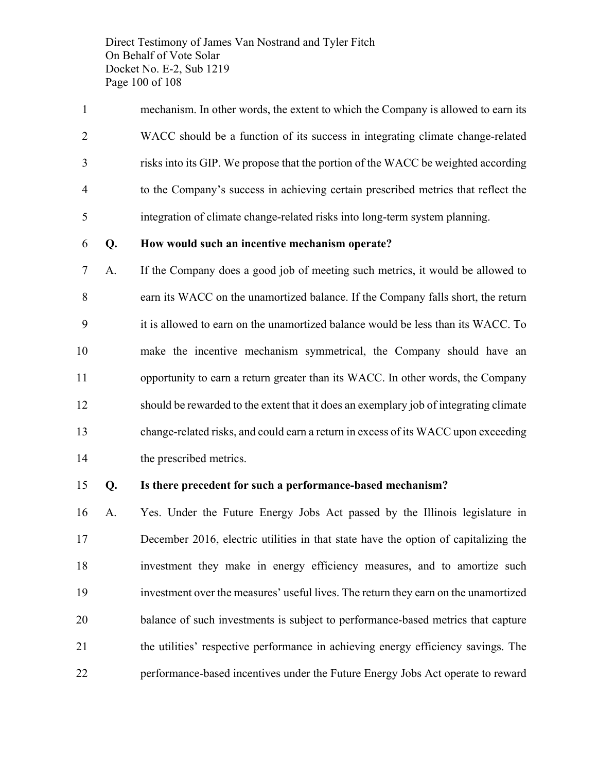Direct Testimony of James Van Nostrand and Tyler Fitch On Behalf of Vote Solar Docket No. E-2, Sub 1219 Page 100 of 108

 mechanism. In other words, the extent to which the Company is allowed to earn its WACC should be a function of its success in integrating climate change-related risks into its GIP. We propose that the portion of the WACC be weighted according to the Company's success in achieving certain prescribed metrics that reflect the integration of climate change-related risks into long-term system planning.

#### **Q. How would such an incentive mechanism operate?**

 A. If the Company does a good job of meeting such metrics, it would be allowed to earn its WACC on the unamortized balance. If the Company falls short, the return it is allowed to earn on the unamortized balance would be less than its WACC. To make the incentive mechanism symmetrical, the Company should have an opportunity to earn a return greater than its WACC. In other words, the Company should be rewarded to the extent that it does an exemplary job of integrating climate change-related risks, and could earn a return in excess of its WACC upon exceeding the prescribed metrics.

#### **Q. Is there precedent for such a performance-based mechanism?**

 A. Yes. Under the Future Energy Jobs Act passed by the Illinois legislature in December 2016, electric utilities in that state have the option of capitalizing the investment they make in energy efficiency measures, and to amortize such investment over the measures' useful lives. The return they earn on the unamortized balance of such investments is subject to performance-based metrics that capture the utilities' respective performance in achieving energy efficiency savings. The performance-based incentives under the Future Energy Jobs Act operate to reward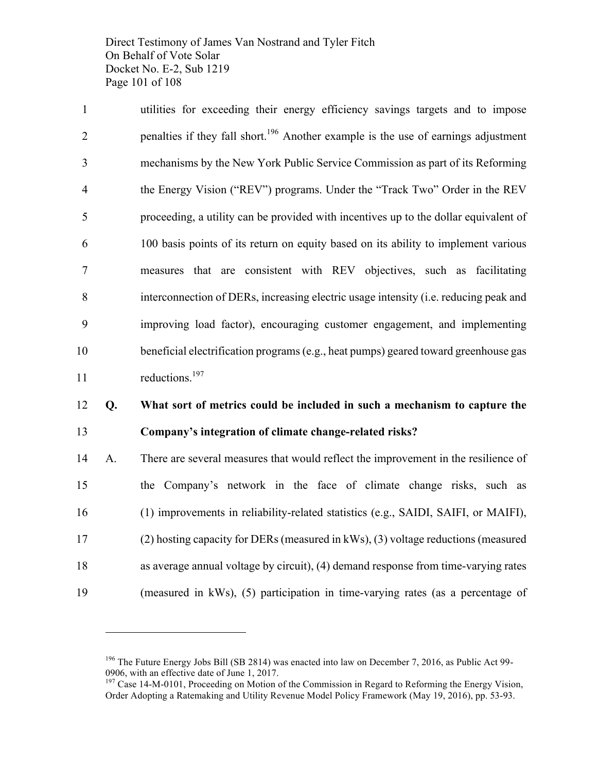Direct Testimony of James Van Nostrand and Tyler Fitch On Behalf of Vote Solar Docket No. E-2, Sub 1219 Page 101 of 108

 utilities for exceeding their energy efficiency savings targets and to impose 2 benalties if they fall short.<sup>196</sup> Another example is the use of earnings adjustment mechanisms by the New York Public Service Commission as part of its Reforming the Energy Vision ("REV") programs. Under the "Track Two" Order in the REV proceeding, a utility can be provided with incentives up to the dollar equivalent of 100 basis points of its return on equity based on its ability to implement various measures that are consistent with REV objectives, such as facilitating interconnection of DERs, increasing electric usage intensity (i.e. reducing peak and improving load factor), encouraging customer engagement, and implementing beneficial electrification programs (e.g., heat pumps) geared toward greenhouse gas 11 reductions.<sup>197</sup>

#### **Q. What sort of metrics could be included in such a mechanism to capture the Company's integration of climate change-related risks?**

 A. There are several measures that would reflect the improvement in the resilience of the Company's network in the face of climate change risks, such as (1) improvements in reliability-related statistics (e.g., SAIDI, SAIFI, or MAIFI), (2) hosting capacity for DERs (measured in kWs), (3) voltage reductions (measured as average annual voltage by circuit), (4) demand response from time-varying rates (measured in kWs), (5) participation in time-varying rates (as a percentage of

<sup>&</sup>lt;sup>196</sup> The Future Energy Jobs Bill (SB 2814) was enacted into law on December 7, 2016, as Public Act 99-<br>0906, with an effective date of June 1, 2017.

 $^{197}$  Case 14-M-0101, Proceeding on Motion of the Commission in Regard to Reforming the Energy Vision, Order Adopting a Ratemaking and Utility Revenue Model Policy Framework (May 19, 2016), pp. 53-93.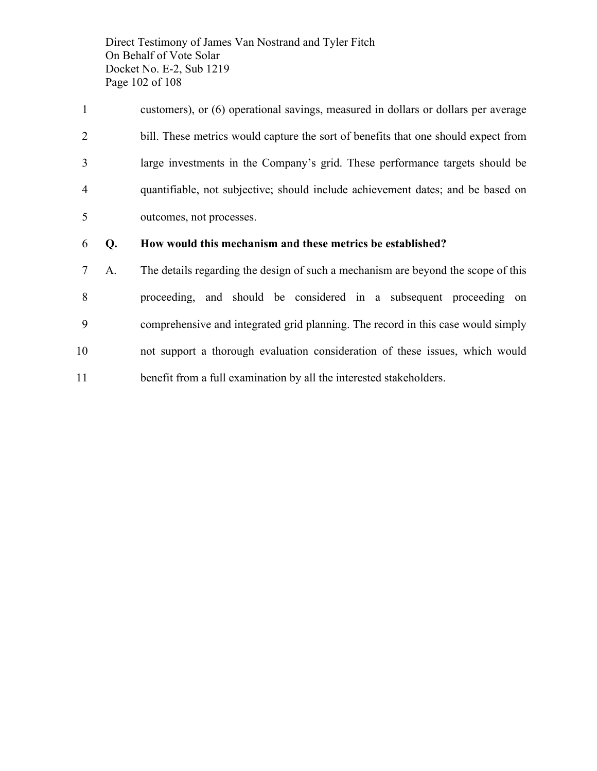Direct Testimony of James Van Nostrand and Tyler Fitch On Behalf of Vote Solar Docket No. E-2, Sub 1219 Page 102 of 108

 customers), or (6) operational savings, measured in dollars or dollars per average bill. These metrics would capture the sort of benefits that one should expect from large investments in the Company's grid. These performance targets should be quantifiable, not subjective; should include achievement dates; and be based on outcomes, not processes.

#### **Q. How would this mechanism and these metrics be established?**

 A. The details regarding the design of such a mechanism are beyond the scope of this proceeding, and should be considered in a subsequent proceeding on comprehensive and integrated grid planning. The record in this case would simply not support a thorough evaluation consideration of these issues, which would benefit from a full examination by all the interested stakeholders.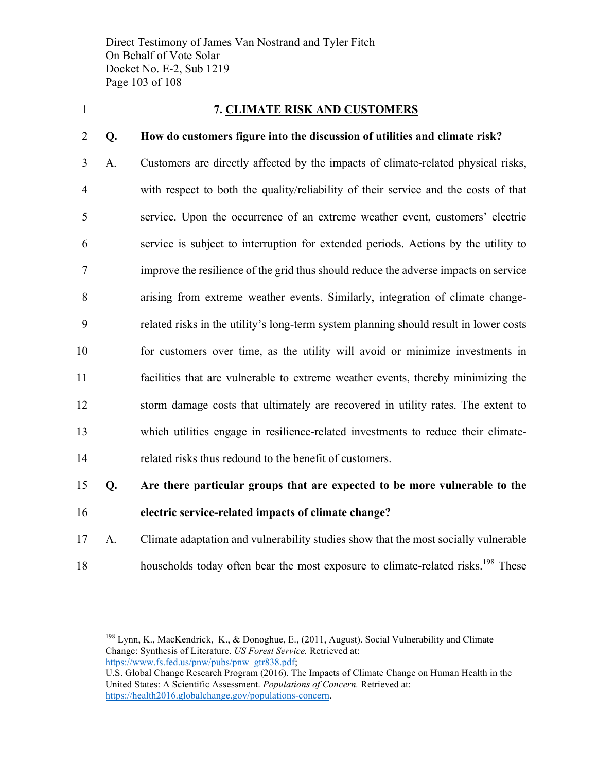Direct Testimony of James Van Nostrand and Tyler Fitch On Behalf of Vote Solar Docket No. E-2, Sub 1219 Page 103 of 108

 $\overline{a}$ 

#### 1 **7. CLIMATE RISK AND CUSTOMERS**

#### 2 **Q. How do customers figure into the discussion of utilities and climate risk?**

 A. Customers are directly affected by the impacts of climate-related physical risks, with respect to both the quality/reliability of their service and the costs of that service. Upon the occurrence of an extreme weather event, customers' electric service is subject to interruption for extended periods. Actions by the utility to improve the resilience of the grid thus should reduce the adverse impacts on service arising from extreme weather events. Similarly, integration of climate change- related risks in the utility's long-term system planning should result in lower costs for customers over time, as the utility will avoid or minimize investments in facilities that are vulnerable to extreme weather events, thereby minimizing the storm damage costs that ultimately are recovered in utility rates. The extent to which utilities engage in resilience-related investments to reduce their climate-related risks thus redound to the benefit of customers.

# 15 **Q. Are there particular groups that are expected to be more vulnerable to the**

- 16 **electric service-related impacts of climate change?**
- 17 A. Climate adaptation and vulnerability studies show that the most socially vulnerable households today often bear the most exposure to climate-related risks.<sup>198</sup> These

<sup>198</sup> Lynn, K., MacKendrick, K., & Donoghue, E., (2011, August). Social Vulnerability and Climate Change: Synthesis of Literature. *US Forest Service.* Retrieved at: https://www.fs.fed.us/pnw/pubs/pnw\_gtr838.pdf;

U.S. Global Change Research Program (2016). The Impacts of Climate Change on Human Health in the United States: A Scientific Assessment. *Populations of Concern.* Retrieved at: https://health2016.globalchange.gov/populations-concern.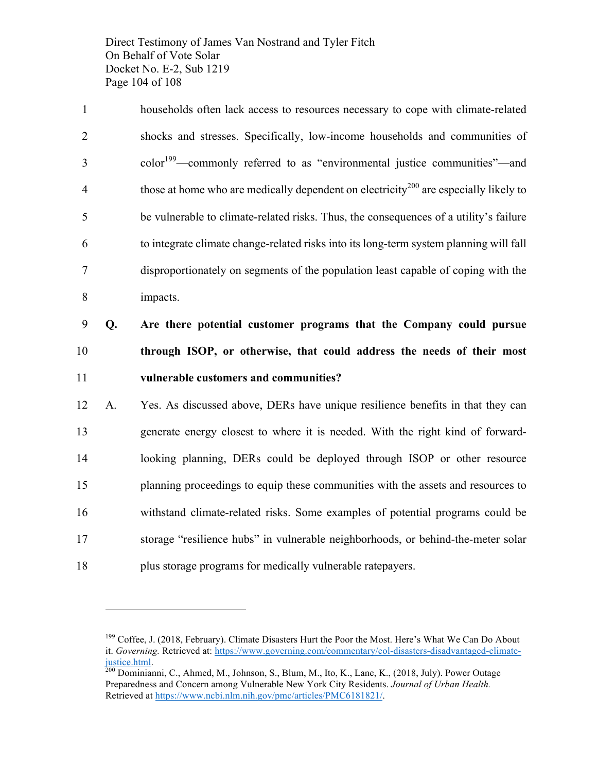Direct Testimony of James Van Nostrand and Tyler Fitch On Behalf of Vote Solar Docket No. E-2, Sub 1219 Page 104 of 108

 households often lack access to resources necessary to cope with climate-related shocks and stresses. Specifically, low-income households and communities of 3 color<sup>199</sup>—commonly referred to as "environmental justice communities"—and those at home who are medically dependent on electricity<sup>200</sup> are especially likely to be vulnerable to climate-related risks. Thus, the consequences of a utility's failure to integrate climate change-related risks into its long-term system planning will fall disproportionately on segments of the population least capable of coping with the 8 impacts.

9 **Q. Are there potential customer programs that the Company could pursue**  10 **through ISOP, or otherwise, that could address the needs of their most**  11 **vulnerable customers and communities?**

 A. Yes. As discussed above, DERs have unique resilience benefits in that they can generate energy closest to where it is needed. With the right kind of forward- looking planning, DERs could be deployed through ISOP or other resource planning proceedings to equip these communities with the assets and resources to withstand climate-related risks. Some examples of potential programs could be storage "resilience hubs" in vulnerable neighborhoods, or behind-the-meter solar plus storage programs for medically vulnerable ratepayers.

<sup>&</sup>lt;sup>199</sup> Coffee, J. (2018, February). Climate Disasters Hurt the Poor the Most. Here's What We Can Do About it. *Governing.* Retrieved at: https://www.governing.com/commentary/col-disasters-disadvantaged-climatejustice.html. <sup>200</sup> Dominianni, C., Ahmed, M., Johnson, S., Blum, M., Ito, K., Lane, K., (2018, July). Power Outage

Preparedness and Concern among Vulnerable New York City Residents. *Journal of Urban Health.* Retrieved at https://www.ncbi.nlm.nih.gov/pmc/articles/PMC6181821/.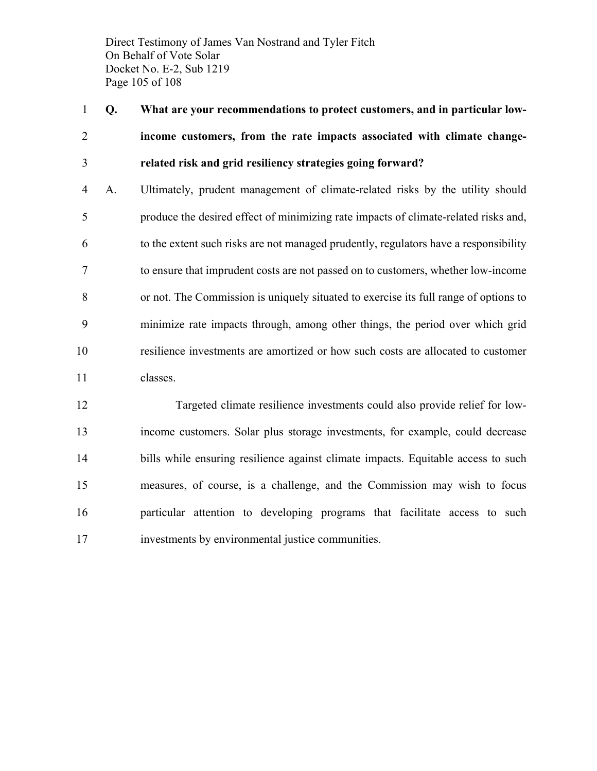Direct Testimony of James Van Nostrand and Tyler Fitch On Behalf of Vote Solar Docket No. E-2, Sub 1219 Page 105 of 108

 **Q. What are your recommendations to protect customers, and in particular low- income customers, from the rate impacts associated with climate change-related risk and grid resiliency strategies going forward?**

 A. Ultimately, prudent management of climate-related risks by the utility should produce the desired effect of minimizing rate impacts of climate-related risks and, to the extent such risks are not managed prudently, regulators have a responsibility to ensure that imprudent costs are not passed on to customers, whether low-income or not. The Commission is uniquely situated to exercise its full range of options to minimize rate impacts through, among other things, the period over which grid resilience investments are amortized or how such costs are allocated to customer classes.

 Targeted climate resilience investments could also provide relief for low- income customers. Solar plus storage investments, for example, could decrease bills while ensuring resilience against climate impacts. Equitable access to such measures, of course, is a challenge, and the Commission may wish to focus particular attention to developing programs that facilitate access to such investments by environmental justice communities.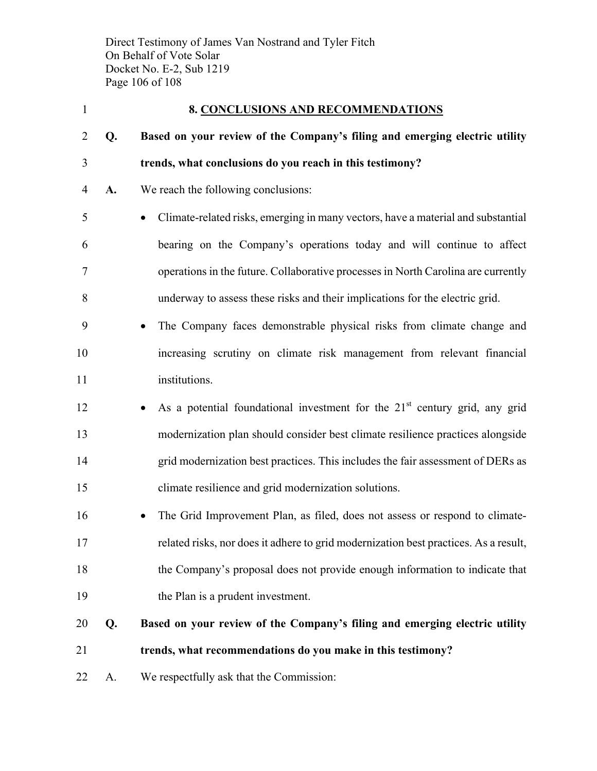Direct Testimony of James Van Nostrand and Tyler Fitch On Behalf of Vote Solar Docket No. E-2, Sub 1219 Page 106 of 108

| $\mathbf{1}$   | <b>8. CONCLUSIONS AND RECOMMENDATIONS</b> |                                                                                          |  |
|----------------|-------------------------------------------|------------------------------------------------------------------------------------------|--|
| $\overline{2}$ | Q.                                        | Based on your review of the Company's filing and emerging electric utility               |  |
| 3              |                                           | trends, what conclusions do you reach in this testimony?                                 |  |
| 4              | A.                                        | We reach the following conclusions:                                                      |  |
| 5              |                                           | Climate-related risks, emerging in many vectors, have a material and substantial         |  |
| 6              |                                           | bearing on the Company's operations today and will continue to affect                    |  |
| 7              |                                           | operations in the future. Collaborative processes in North Carolina are currently        |  |
| 8              |                                           | underway to assess these risks and their implications for the electric grid.             |  |
| 9              |                                           | The Company faces demonstrable physical risks from climate change and<br>$\bullet$       |  |
| 10             |                                           | increasing scrutiny on climate risk management from relevant financial                   |  |
| 11             |                                           | institutions.                                                                            |  |
| 12             |                                           | As a potential foundational investment for the 21 <sup>st</sup> century grid, any grid   |  |
| 13             |                                           | modernization plan should consider best climate resilience practices alongside           |  |
| 14             |                                           | grid modernization best practices. This includes the fair assessment of DERs as          |  |
| 15             |                                           | climate resilience and grid modernization solutions.                                     |  |
| 16             |                                           | The Grid Improvement Plan, as filed, does not assess or respond to climate-<br>$\bullet$ |  |
| 17             |                                           | related risks, nor does it adhere to grid modernization best practices. As a result,     |  |
| 18             |                                           | the Company's proposal does not provide enough information to indicate that              |  |
| 19             |                                           | the Plan is a prudent investment.                                                        |  |
| 20             | Q.                                        | Based on your review of the Company's filing and emerging electric utility               |  |
| 21             |                                           | trends, what recommendations do you make in this testimony?                              |  |
| 22             | A.                                        | We respectfully ask that the Commission:                                                 |  |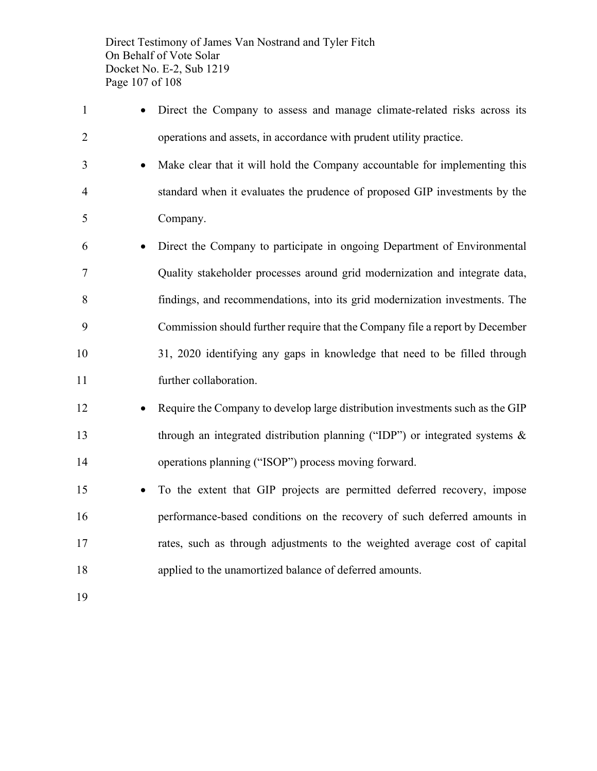Direct Testimony of James Van Nostrand and Tyler Fitch On Behalf of Vote Solar Docket No. E-2, Sub 1219 Page 107 of 108

- Direct the Company to assess and manage climate-related risks across its operations and assets, in accordance with prudent utility practice. • Make clear that it will hold the Company accountable for implementing this standard when it evaluates the prudence of proposed GIP investments by the Company. • Direct the Company to participate in ongoing Department of Environmental Quality stakeholder processes around grid modernization and integrate data, findings, and recommendations, into its grid modernization investments. The Commission should further require that the Company file a report by December
- 31, 2020 identifying any gaps in knowledge that need to be filled through further collaboration.
- 12 Require the Company to develop large distribution investments such as the GIP through an integrated distribution planning ("IDP") or integrated systems & operations planning ("ISOP") process moving forward.
- To the extent that GIP projects are permitted deferred recovery, impose performance-based conditions on the recovery of such deferred amounts in rates, such as through adjustments to the weighted average cost of capital applied to the unamortized balance of deferred amounts.
-